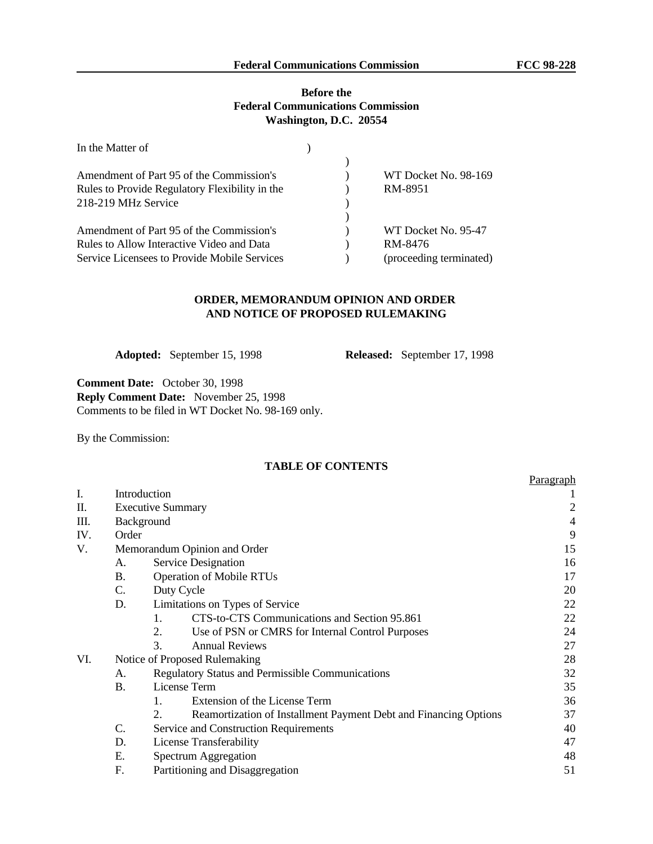# **Before the Federal Communications Commission Washington, D.C. 20554**

| In the Matter of                               |  |                         |
|------------------------------------------------|--|-------------------------|
|                                                |  |                         |
| Amendment of Part 95 of the Commission's       |  | WT Docket No. 98-169    |
| Rules to Provide Regulatory Flexibility in the |  | RM-8951                 |
| 218-219 MHz Service                            |  |                         |
|                                                |  |                         |
| Amendment of Part 95 of the Commission's       |  | WT Docket No. 95-47     |
| Rules to Allow Interactive Video and Data      |  | RM-8476                 |
| Service Licensees to Provide Mobile Services   |  | (proceeding terminated) |

# **ORDER, MEMORANDUM OPINION AND ORDER AND NOTICE OF PROPOSED RULEMAKING**

**Adopted:** September 15, 1998 **Released:** September 17, 1998

**Comment Date:** October 30, 1998 **Reply Comment Date:** November 25, 1998 Comments to be filed in WT Docket No. 98-169 only.

By the Commission:

# **TABLE OF CONTENTS**

|      |           |                                                                        | <b>Paragraph</b> |
|------|-----------|------------------------------------------------------------------------|------------------|
| I.   |           | Introduction                                                           |                  |
| П.   |           | <b>Executive Summary</b>                                               | $\overline{c}$   |
| III. |           | Background                                                             | $\overline{4}$   |
| IV.  | Order     |                                                                        | 9                |
| V.   |           | Memorandum Opinion and Order                                           | 15               |
|      | A.        | Service Designation                                                    | 16               |
|      | <b>B.</b> | <b>Operation of Mobile RTUs</b>                                        | 17               |
|      | C.        | Duty Cycle                                                             | 20               |
|      | D.        | Limitations on Types of Service                                        | 22               |
|      |           | CTS-to-CTS Communications and Section 95.861<br>1.                     | 22               |
|      |           | 2.<br>Use of PSN or CMRS for Internal Control Purposes                 | 24               |
|      |           | 3.<br><b>Annual Reviews</b>                                            | 27               |
| VI.  |           | Notice of Proposed Rulemaking                                          | 28               |
|      | А.        | <b>Regulatory Status and Permissible Communications</b>                | 32               |
|      | <b>B.</b> | License Term                                                           | 35               |
|      |           | Extension of the License Term                                          | 36               |
|      |           | Reamortization of Installment Payment Debt and Financing Options<br>2. | 37               |
|      | C.        | Service and Construction Requirements                                  | 40               |
|      | D.        | License Transferability                                                | 47               |
|      | Ε.        | Spectrum Aggregation                                                   | 48               |
|      | F.        | Partitioning and Disaggregation                                        | 51               |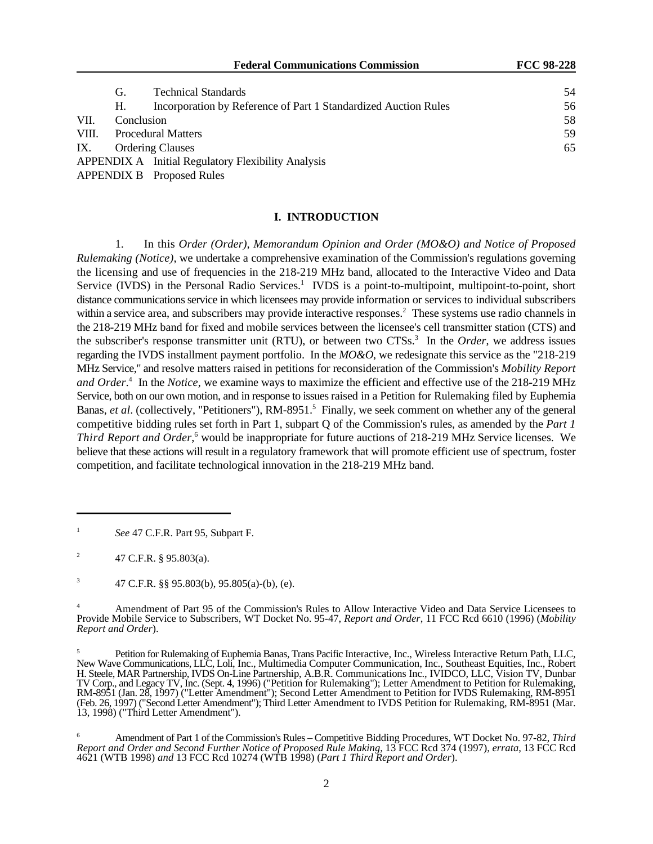|       | G.         | <b>Technical Standards</b>                                      | 54 |
|-------|------------|-----------------------------------------------------------------|----|
|       | Н.         | Incorporation by Reference of Part 1 Standardized Auction Rules | 56 |
| VII.  | Conclusion |                                                                 | 58 |
| VIII. |            | <b>Procedural Matters</b>                                       | 59 |
| IX.   |            | <b>Ordering Clauses</b>                                         | 65 |
|       |            | <b>APPENDIX A</b> Initial Regulatory Flexibility Analysis       |    |
|       |            | APPENDIX B Proposed Rules                                       |    |

## **I. INTRODUCTION**

1. In this *Order (Order), Memorandum Opinion and Order (MO&O) and Notice of Proposed Rulemaking (Notice)*, we undertake a comprehensive examination of the Commission's regulations governing the licensing and use of frequencies in the 218-219 MHz band, allocated to the Interactive Video and Data Service (IVDS) in the Personal Radio Services.<sup>1</sup> IVDS is a point-to-multipoint, multipoint-to-point, short distance communications service in which licensees may provide information or services to individual subscribers within a service area, and subscribers may provide interactive responses.<sup>2</sup> These systems use radio channels in the 218-219 MHz band for fixed and mobile services between the licensee's cell transmitter station (CTS) and the subscriber's response transmitter unit (RTU), or between two CTSs.<sup>3</sup> In the *Order*, we address issues regarding the IVDS installment payment portfolio. In the *MO&O*, we redesignate this service as the "218-219 MHz Service," and resolve matters raised in petitions for reconsideration of the Commission's *Mobility Report and Order*<sup>4</sup>. In the *Notice*, we examine ways to maximize the efficient and effective use of the 218-219 MHz Service, both on our own motion, and in response to issues raised in a Petition for Rulemaking filed by Euphemia Banas, *et al.* (collectively, "Petitioners"), RM-8951.<sup>5</sup> Finally, we seek comment on whether any of the general competitive bidding rules set forth in Part 1, subpart Q of the Commission's rules, as amended by the *Part 1* Third Report and Order,<sup>6</sup> would be inappropriate for future auctions of 218-219 MHz Service licenses. We believe that these actions will result in a regulatory framework that will promote efficient use of spectrum, foster competition, and facilitate technological innovation in the 218-219 MHz band.

*See* 47 C.F.R. Part 95, Subpart F.

<sup>&</sup>lt;sup>2</sup> 47 C.F.R. § 95.803(a).

<sup>&</sup>lt;sup>3</sup> 47 C.F.R. §§ 95.803(b), 95.805(a)-(b), (e).

Amendment of Part 95 of the Commission's Rules to Allow Interactive Video and Data Service Licensees to 4 Provide Mobile Service to Subscribers, WT Docket No. 95-47, *Report and Order*, 11 FCC Rcd 6610 (1996) (*Mobility Report and Order*).

Petition for Rulemaking of Euphemia Banas, Trans Pacific Interactive, Inc., Wireless Interactive Return Path, LLC, <sup>5</sup> New Wave Communications, LLC, Loli, Inc., Multimedia Computer Communication, Inc., Southeast Equities, Inc., Robert H. Steele, MAR Partnership, IVDS On-Line Partnership, A.B.R. Communications Inc., IVIDCO, LLC, Vision TV, Dunbar TV Corp., and Legacy TV, Inc. (Sept. 4, 1996) ("Petition for Rulemaking"); Letter Amendment to Petition for Rulemaking, RM-8951 (Jan. 28, 1997) ("Letter Amendment"); Second Letter Amendment to Petition for IVDS Rulemaking, RM-8951 (Feb. 26, 1997) ("Second Letter Amendment"); Third Letter Amendment to IVDS Petition for Rulemaking, RM-8951 (Mar. 13, 1998) ("Third Letter Amendment").

Amendment of Part 1 of the Commission's Rules – Competitive Bidding Procedures, WT Docket No. 97-82, *Third* <sup>6</sup> *Report and Order and Second Further Notice of Proposed Rule Making*, 13 FCC Rcd 374 (1997), *errata*, 13 FCC Rcd 4621 (WTB 1998) *and* 13 FCC Rcd 10274 (WTB 1998) (*Part 1 Third Report and Order*).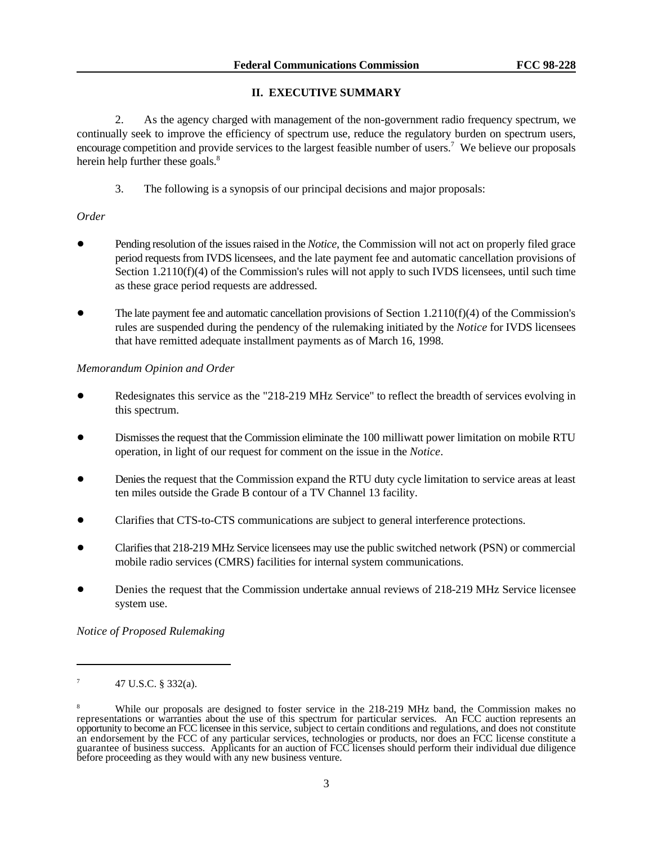# **II. EXECUTIVE SUMMARY**

2. As the agency charged with management of the non-government radio frequency spectrum, we continually seek to improve the efficiency of spectrum use, reduce the regulatory burden on spectrum users, encourage competition and provide services to the largest feasible number of users.<sup>7</sup> We believe our proposals herein help further these goals.<sup>8</sup>

3. The following is a synopsis of our principal decisions and major proposals:

# *Order*

- ! Pending resolution of the issues raised in the *Notice*, the Commission will not act on properly filed grace period requests from IVDS licensees, and the late payment fee and automatic cancellation provisions of Section 1.2110(f)(4) of the Commission's rules will not apply to such IVDS licensees, until such time as these grace period requests are addressed.
- The late payment fee and automatic cancellation provisions of Section  $1.2110(f)(4)$  of the Commission's rules are suspended during the pendency of the rulemaking initiated by the *Notice* for IVDS licensees that have remitted adequate installment payments as of March 16, 1998.

# *Memorandum Opinion and Order*

- Redesignates this service as the "218-219 MHz Service" to reflect the breadth of services evolving in this spectrum.
- ! Dismissesthe request that the Commission eliminate the 100 milliwatt power limitation on mobile RTU operation, in light of our request for comment on the issue in the *Notice*.
- Denies the request that the Commission expand the RTU duty cycle limitation to service areas at least ten miles outside the Grade B contour of a TV Channel 13 facility.
- ! Clarifies that CTS-to-CTS communications are subject to general interference protections.
- ! Clarifiesthat 218-219 MHz Service licensees may use the public switched network (PSN) or commercial mobile radio services (CMRS) facilities for internal system communications.
- ! Denies the request that the Commission undertake annual reviews of 218-219 MHz Service licensee system use.

*Notice of Proposed Rulemaking*

<sup>&</sup>lt;sup>7</sup> 47 U.S.C. § 332(a).

<sup>&</sup>lt;sup>8</sup> While our proposals are designed to foster service in the 218-219 MHz band, the Commission makes no representations or warranties about the use of this spectrum for particular services. An FCC auction represents an opportunity to become an FCC licensee in this service, subject to certain conditions and regulations, and does not constitute an endorsement by the FCC of any particular services, technologies or products, nor does an FCC license constitute a guarantee of business success. Applicants for an auction of FCC licenses should perform their individual due diligence before proceeding as they would with any new business venture.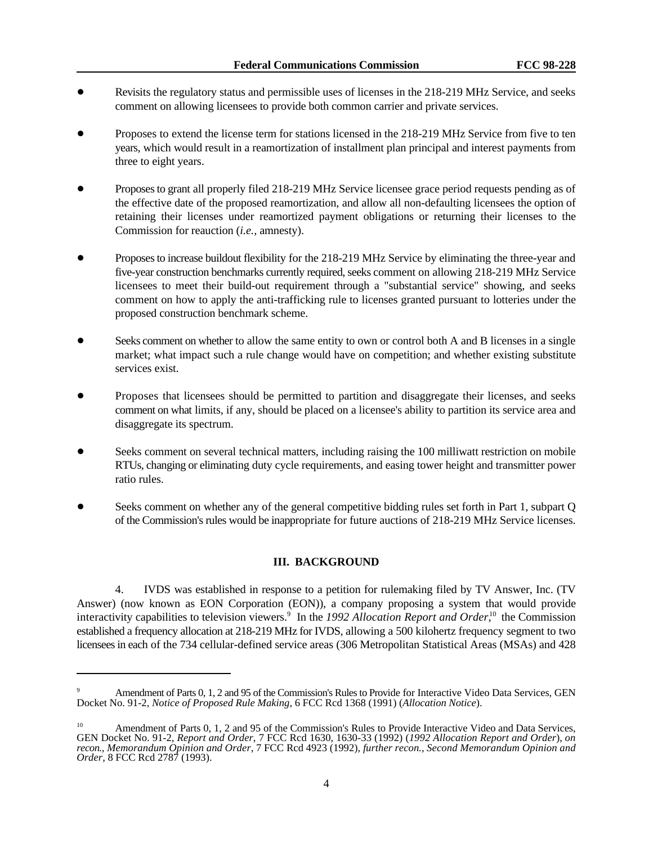- Revisits the regulatory status and permissible uses of licenses in the 218-219 MHz Service, and seeks comment on allowing licensees to provide both common carrier and private services.
- ! Proposes to extend the license term for stations licensed in the 218-219 MHz Service from five to ten years, which would result in a reamortization of installment plan principal and interest payments from three to eight years.
- ! Proposesto grant all properly filed 218-219 MHz Service licensee grace period requests pending as of the effective date of the proposed reamortization, and allow all non-defaulting licensees the option of retaining their licenses under reamortized payment obligations or returning their licenses to the Commission for reauction (*i.e.*, amnesty).
- ! Proposesto increase buildout flexibility for the 218-219 MHz Service by eliminating the three-year and five-year construction benchmarks currently required, seeks comment on allowing 218-219 MHz Service licensees to meet their build-out requirement through a "substantial service" showing, and seeks comment on how to apply the anti-trafficking rule to licenses granted pursuant to lotteries under the proposed construction benchmark scheme.
- Seeks comment on whether to allow the same entity to own or control both A and B licenses in a single market; what impact such a rule change would have on competition; and whether existing substitute services exist.
- ! Proposes that licensees should be permitted to partition and disaggregate their licenses, and seeks comment on what limits, if any, should be placed on a licensee's ability to partition its service area and disaggregate its spectrum.
- Seeks comment on several technical matters, including raising the 100 milliwatt restriction on mobile RTUs, changing or eliminating duty cycle requirements, and easing tower height and transmitter power ratio rules.
- Seeks comment on whether any of the general competitive bidding rules set forth in Part 1, subpart Q of the Commission's rules would be inappropriate for future auctions of 218-219 MHz Service licenses.

# **III. BACKGROUND**

4. IVDS was established in response to a petition for rulemaking filed by TV Answer, Inc. (TV Answer) (now known as EON Corporation (EON)), a company proposing a system that would provide interactivity capabilities to television viewers.<sup>9</sup> In the *1992 Allocation Report and Order*,<sup>10</sup> the Commission established a frequency allocation at 218-219 MHz for IVDS, allowing a 500 kilohertz frequency segment to two licensees in each of the 734 cellular-defined service areas (306 Metropolitan Statistical Areas (MSAs) and 428

Amendment of Parts 0, 1, 2 and 95 of the Commission's Rules to Provide for Interactive Video Data Services, GEN <sup>9</sup> Docket No. 91-2, *Notice of Proposed Rule Making*, 6 FCC Rcd 1368 (1991) (*Allocation Notice*).

Amendment of Parts 0, 1, 2 and 95 of the Commission's Rules to Provide Interactive Video and Data Services, GEN Docket No. 91-2, *Report and Order*, 7 FCC Rcd 1630, 1630-33 (1992) (*1992 Allocation Report and Order*), *on recon.*, *Memorandum Opinion and Order*, 7 FCC Rcd 4923 (1992), *further recon.*, *Second Memorandum Opinion and Order*, 8 FCC Rcd 2787 (1993).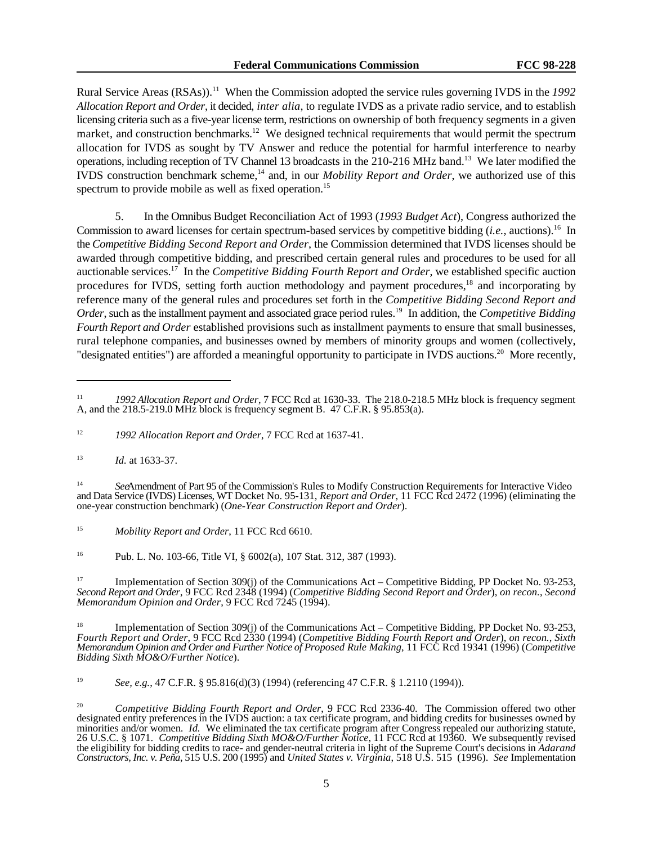Rural Service Areas (RSAs)).<sup>11</sup> When the Commission adopted the service rules governing IVDS in the 1992 *Allocation Report and Order*, it decided, *inter alia*, to regulate IVDS as a private radio service, and to establish licensing criteria such as a five-year license term, restrictions on ownership of both frequency segments in a given market, and construction benchmarks.<sup>12</sup> We designed technical requirements that would permit the spectrum allocation for IVDS as sought by TV Answer and reduce the potential for harmful interference to nearby operations, including reception of TV Channel 13 broadcasts in the 210-216 MHz band.<sup>13</sup> We later modified the IVDS construction benchmark scheme,<sup>14</sup> and, in our *Mobility Report and Order*, we authorized use of this spectrum to provide mobile as well as fixed operation.<sup>15</sup>

5. In the Omnibus Budget Reconciliation Act of 1993 (*1993 Budget Act*), Congress authorized the Commission to award licenses for certain spectrum-based services by competitive bidding (*i.e.*, auctions).<sup>16</sup> In the *Competitive Bidding Second Report and Order*, the Commission determined that IVDS licenses should be awarded through competitive bidding, and prescribed certain general rules and procedures to be used for all auctionable services.<sup>17</sup> In the *Competitive Bidding Fourth Report and Order*, we established specific auction procedures for IVDS, setting forth auction methodology and payment procedures,<sup>18</sup> and incorporating by reference many of the general rules and procedures set forth in the *Competitive Bidding Second Report and Order*, such as the installment payment and associated grace period rules.<sup>19</sup> In addition, the *Competitive Bidding Fourth Report and Order* established provisions such as installment payments to ensure that small businesses, rural telephone companies, and businesses owned by members of minority groups and women (collectively, "designated entities") are afforded a meaningful opportunity to participate in IVDS auctions.<sup>20</sup> More recently,

<sup>16</sup> Pub. L. No. 103-66, Title VI, § 6002(a), 107 Stat. 312, 387 (1993).

<sup>&</sup>lt;sup>11</sup> 1992 *Allocation Report and Order*, 7 FCC Rcd at 1630-33. The 218.0-218.5 MHz block is frequency segment A, and the 218.5-219.0 MHz block is frequency segment B. 47 C.F.R. § 95.853(a).

<sup>&</sup>lt;sup>12</sup> 1992 Allocation Report and Order, 7 FCC Rcd at 1637-41.

 $13$  *Id.* at 1633-37.

<sup>&</sup>lt;sup>14</sup> SeeAmendment of Part 95 of the Commission's Rules to Modify Construction Requirements for Interactive Video and Data Service (IVDS) Licenses, WT Docket No. 95-131, *Report and Order*, 11 FCC Rcd 2472 (1996) (eliminating the one-year construction benchmark) (*One-Year Construction Report and Order*).

<sup>&</sup>lt;sup>15</sup> Mobility Report and Order, 11 FCC Rcd 6610.

Implementation of Section 309(j) of the Communications Act – Competitive Bidding, PP Docket No. 93-253, 17 *Second Report and Order*, 9 FCC Rcd 2348 (1994) (*Competitive Bidding Second Report and Order*), *on recon.*, *Second Memorandum Opinion and Order*, 9 FCC Rcd 7245 (1994).

Implementation of Section 309(j) of the Communications Act – Competitive Bidding, PP Docket No. 93-253, 18 *Fourth Report and Order*, 9 FCC Rcd 2330 (1994) (*Competitive Bidding Fourth Report and Order*), *on recon.*, *Sixth Memorandum Opinion and Order and Further Notice of Proposed Rule Making*, 11 FCC Rcd 19341 (1996) (*Competitive Bidding Sixth MO&O/Further Notice*).

<sup>&</sup>lt;sup>19</sup> *See, e.g.*, 47 C.F.R. § 95.816(d)(3) (1994) (referencing 47 C.F.R. § 1.2110 (1994)).

*Competitive Bidding Fourth Report and Order*, 9 FCC Rcd 2336-40. The Commission offered two other 20 designated entity preferences in the IVDS auction: a tax certificate program, and bidding credits for businesses owned by minorities and/or women. *Id.* We eliminated the tax certificate program after Congress repealed our authorizing statute, 26 U.S.C. § 1071. *Competitive Bidding Sixth MO&O/Further Notice*, 11 FCC Rcd at 19360. We subsequently revised the eligibility for bidding credits to race- and gender-neutral criteria in light of the Supreme Court's decisions in *Adarand Constructors, Inc. v. Peña*, 515 U.S. 200 (1995) and *United States v. Virginia*, 518 U.S. 515 (1996). *See* Implementation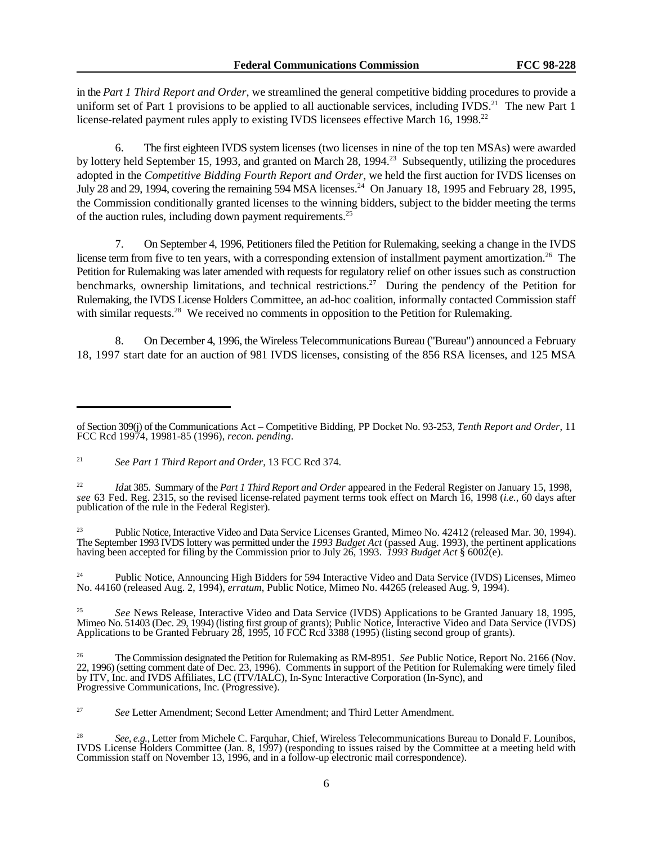in the *Part 1 Third Report and Order*, we streamlined the general competitive bidding procedures to provide a uniform set of Part 1 provisions to be applied to all auctionable services, including IVDS.<sup>21</sup> The new Part 1 license-related payment rules apply to existing IVDS licensees effective March 16, 1998.<sup>22</sup>

6. The first eighteen IVDS system licenses (two licenses in nine of the top ten MSAs) were awarded by lottery held September 15, 1993, and granted on March 28, 1994.<sup>23</sup> Subsequently, utilizing the procedures adopted in the *Competitive Bidding Fourth Report and Order*, we held the first auction for IVDS licenses on July 28 and 29, 1994, covering the remaining 594 MSA licenses.<sup>24</sup> On January 18, 1995 and February 28, 1995, the Commission conditionally granted licenses to the winning bidders, subject to the bidder meeting the terms of the auction rules, including down payment requirements.<sup>25</sup>

7. On September 4, 1996, Petitioners filed the Petition for Rulemaking, seeking a change in the IVDS license term from five to ten years, with a corresponding extension of installment payment amortization.<sup>26</sup> The Petition for Rulemaking was later amended with requests for regulatory relief on other issues such as construction benchmarks, ownership limitations, and technical restrictions.<sup>27</sup> During the pendency of the Petition for Rulemaking, the IVDS License Holders Committee, an ad-hoc coalition, informally contacted Commission staff with similar requests. $^{28}$  We received no comments in opposition to the Petition for Rulemaking.

8. On December 4, 1996, the Wireless Telecommunications Bureau ("Bureau") announced a February 18, 1997 start date for an auction of 981 IVDS licenses, consisting of the 856 RSA licenses, and 125 MSA

Public Notice, Interactive Video and Data Service Licenses Granted, Mimeo No. 42412 (released Mar. 30, 1994). The September 1993 IVDS lottery was permitted under the *1993 Budget Act* (passed Aug. 1993), the pertinent applications having been accepted for filing by the Commission prior to July 26, 1993. *1993 Budget Act* § 6002(e).

<sup>24</sup> Public Notice, Announcing High Bidders for 594 Interactive Video and Data Service (IVDS) Licenses, Mimeo No. 44160 (released Aug. 2, 1994), *erratum*, Public Notice, Mimeo No. 44265 (released Aug. 9, 1994).

<sup>25</sup> See News Release, Interactive Video and Data Service (IVDS) Applications to be Granted January 18, 1995, Mimeo No. 51403 (Dec. 29, 1994) (listing first group of grants); Public Notice, Interactive Video and Data Service (IVDS) Applications to be Granted February 28, 1995, 10 FCC Rcd 3388 (1995) (listing second group of grants).

of Section 309(j) of the Communications Act – Competitive Bidding, PP Docket No. 93-253, *Tenth Report and Order*, 11 FCC Rcd 19974, 19981-85 (1996), *recon. pending*.

<sup>&</sup>lt;sup>21</sup> See Part 1 Third Report and Order, 13 FCC Rcd 374.

<sup>&</sup>lt;sup>22</sup> *Idat* 385. Summary of the *Part 1 Third Report and Order* appeared in the Federal Register on January 15, 1998, *see* 63 Fed. Reg. 2315, so the revised license-related payment terms took effect on March 16, 1998 (*i.e.*, 60 days after publication of the rule in the Federal Register).

<sup>&</sup>lt;sup>26</sup> The Commission designated the Petition for Rulemaking as RM-8951. *See* Public Notice, Report No. 2166 (Nov. 22, 1996) (setting comment date of Dec. 23, 1996). Comments in support of the Petition for Rulemaking were timely filed by ITV, Inc. and IVDS Affiliates, LC (ITV/IALC), In-Sync Interactive Corporation (In-Sync), and Progressive Communications, Inc. (Progressive).

<sup>&</sup>lt;sup>27</sup> See Letter Amendment; Second Letter Amendment; and Third Letter Amendment.

*See, e.g.*, Letter from Michele C. Farquhar, Chief, Wireless Telecommunications Bureau to Donald F. Lounibos, <sup>28</sup> IVDS License Holders Committee (Jan. 8, 1997) (responding to issues raised by the Committee at a meeting held with Commission staff on November 13, 1996, and in a follow-up electronic mail correspondence).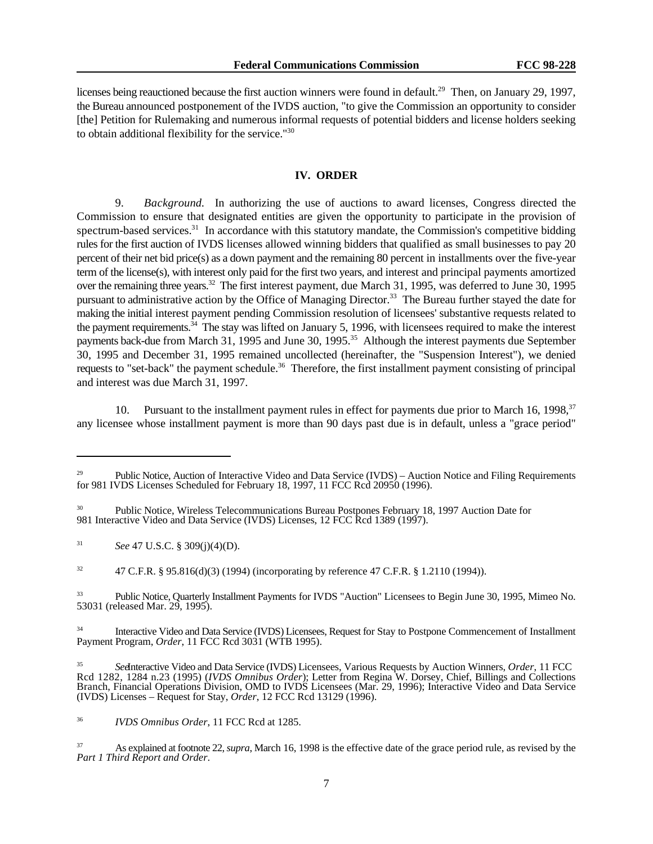licenses being reauctioned because the first auction winners were found in default.<sup>29</sup> Then, on January 29, 1997, the Bureau announced postponement of the IVDS auction, "to give the Commission an opportunity to consider [the] Petition for Rulemaking and numerous informal requests of potential bidders and license holders seeking to obtain additional flexibility for the service."<sup>30</sup>

# **IV. ORDER**

9. *Background.* In authorizing the use of auctions to award licenses, Congress directed the Commission to ensure that designated entities are given the opportunity to participate in the provision of spectrum-based services.<sup>31</sup> In accordance with this statutory mandate, the Commission's competitive bidding rules for the first auction of IVDS licenses allowed winning bidders that qualified as small businesses to pay 20 percent of their net bid price(s) as a down payment and the remaining 80 percent in installments over the five-year term of the license(s), with interest only paid for the first two years, and interest and principal payments amortized over the remaining three years.<sup>32</sup> The first interest payment, due March 31, 1995, was deferred to June 30, 1995 pursuant to administrative action by the Office of Managing Director.<sup>33</sup> The Bureau further stayed the date for making the initial interest payment pending Commission resolution of licensees' substantive requests related to the payment requirements.  $34$  The stay was lifted on January 5, 1996, with licensees required to make the interest payments back-due from March 31, 1995 and June 30, 1995.<sup>35</sup> Although the interest payments due September 30, 1995 and December 31, 1995 remained uncollected (hereinafter, the "Suspension Interest"), we denied requests to "set-back" the payment schedule.<sup>36</sup> Therefore, the first installment payment consisting of principal and interest was due March 31, 1997.

10. Pursuant to the installment payment rules in effect for payments due prior to March 16, 1998,  $37$ any licensee whose installment payment is more than 90 days past due is in default, unless a "grace period"

<sup>32</sup> 47 C.F.R. § 95.816(d)(3) (1994) (incorporating by reference 47 C.F.R. § 1.2110 (1994)).

<sup>33</sup> Public Notice, Quarterly Installment Payments for IVDS "Auction" Licensees to Begin June 30, 1995, Mimeo No. 53031 (released Mar. 29, 1995).

<sup>34</sup> Interactive Video and Data Service (IVDS) Licensees, Request for Stay to Postpone Commencement of Installment Payment Program, *Order*, 11 FCC Rcd 3031 (WTB 1995).

<sup>36</sup> *IVDS Omnibus Order*, 11 FCC Rcd at 1285.

 $^{29}$  Public Notice, Auction of Interactive Video and Data Service (IVDS) – Auction Notice and Filing Requirements for 981 IVDS Licenses Scheduled for February 18, 1997, 11 FCC Rcd 20950 (1996).

<sup>&</sup>lt;sup>30</sup> Public Notice, Wireless Telecommunications Bureau Postpones February 18, 1997 Auction Date for 981 Interactive Video and Data Service (IVDS) Licenses, 12 FCC Rcd 1389 (1997).

<sup>&</sup>lt;sup>31</sup> *See* 47 U.S.C. § 309(j)(4)(D).

*See*Interactive Video and Data Service (IVDS) Licensees, Various Requests by Auction Winners, *Order*, 11 FCC <sup>35</sup> Rcd 1282, 1284 n.23 (1995) (*IVDS Omnibus Order*); Letter from Regina W. Dorsey, Chief, Billings and Collections Branch, Financial Operations Division, OMD to IVDS Licensees (Mar. 29, 1996); Interactive Video and Data Service (IVDS) Licenses – Request for Stay, *Order*, 12 FCC Rcd 13129 (1996).

As explained at footnote 22, *supra*, March 16, 1998 is the effective date of the grace period rule, as revised by the *Part 1 Third Report and Order*.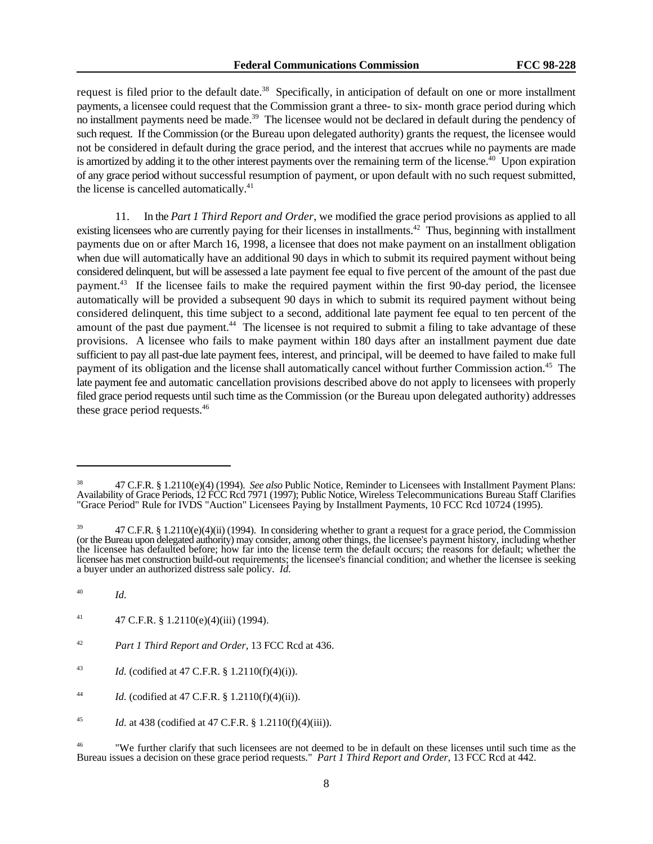request is filed prior to the default date.<sup>38</sup> Specifically, in anticipation of default on one or more installment payments, a licensee could request that the Commission grant a three- to six- month grace period during which no installment payments need be made.<sup>39</sup> The licensee would not be declared in default during the pendency of such request. If the Commission (or the Bureau upon delegated authority) grants the request, the licensee would not be considered in default during the grace period, and the interest that accrues while no payments are made is amortized by adding it to the other interest payments over the remaining term of the license.<sup>40</sup> Upon expiration of any grace period without successful resumption of payment, or upon default with no such request submitted, the license is cancelled automatically.<sup>41</sup>

11. In the *Part 1 Third Report and Order*, we modified the grace period provisions as applied to all existing licensees who are currently paying for their licenses in installments.<sup>42</sup> Thus, beginning with installment payments due on or after March 16, 1998, a licensee that does not make payment on an installment obligation when due will automatically have an additional 90 days in which to submit its required payment without being considered delinquent, but will be assessed a late payment fee equal to five percent of the amount of the past due payment.<sup>43</sup> If the licensee fails to make the required payment within the first 90-day period, the licensee automatically will be provided a subsequent 90 days in which to submit its required payment without being considered delinquent, this time subject to a second, additional late payment fee equal to ten percent of the amount of the past due payment.<sup>44</sup> The licensee is not required to submit a filing to take advantage of these provisions. A licensee who fails to make payment within 180 days after an installment payment due date sufficient to pay all past-due late payment fees, interest, and principal, will be deemed to have failed to make full payment of its obligation and the license shall automatically cancel without further Commission action.<sup>45</sup> The late payment fee and automatic cancellation provisions described above do not apply to licensees with properly filed grace period requests until such time as the Commission (or the Bureau upon delegated authority) addresses these grace period requests.46

*Id.* <sup>40</sup>

<sup>47</sup> C.F.R. § 1.2110(e)(4) (1994). *See also* Public Notice, Reminder to Licensees with Installment Payment Plans: <sup>38</sup> Availability of Grace Periods, 12 FCC Rcd 7971 (1997); Public Notice, Wireless Telecommunications Bureau Staff Clarifies "Grace Period" Rule for IVDS "Auction" Licensees Paying by Installment Payments, 10 FCC Rcd 10724 (1995).

<sup>&</sup>lt;sup>39</sup> 47 C.F.R. § 1.2110(e)(4)(ii) (1994). In considering whether to grant a request for a grace period, the Commission (or the Bureau upon delegated authority) may consider, among other things, the licensee's payment history, including whether the licensee has defaulted before; how far into the license term the default occurs; the reasons for default; whether the licensee has met construction build-out requirements; the licensee's financial condition; and whether the licensee is seeking a buyer under an authorized distress sale policy. *Id.*

<sup>41 47</sup> C.F.R. § 1.2110(e)(4)(iii) (1994).

<sup>&</sup>lt;sup>42</sup> Part 1 Third Report and Order, 13 FCC Rcd at 436.

<sup>&</sup>lt;sup>43</sup> *Id.* (codified at 47 C.F.R. § 1.2110(f)(4)(i)).

<sup>&</sup>lt;sup>44</sup> *Id.* (codified at 47 C.F.R. § 1.2110(f)(4)(ii)).

<sup>&</sup>lt;sup>45</sup> *Id.* at 438 (codified at 47 C.F.R. § 1.2110(f)(4)(iii)).

<sup>&</sup>quot;We further clarify that such licensees are not deemed to be in default on these licenses until such time as the 46 Bureau issues a decision on these grace period requests." *Part 1 Third Report and Order*, 13 FCC Rcd at 442.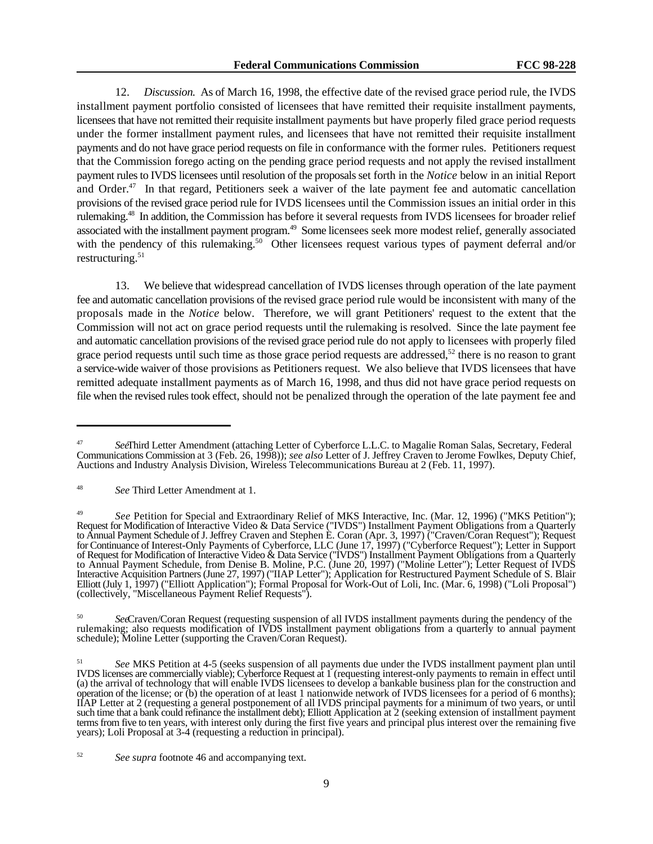12. *Discussion.* As of March 16, 1998, the effective date of the revised grace period rule, the IVDS installment payment portfolio consisted of licensees that have remitted their requisite installment payments, licensees that have not remitted their requisite installment payments but have properly filed grace period requests under the former installment payment rules, and licensees that have not remitted their requisite installment payments and do not have grace period requests on file in conformance with the former rules. Petitioners request that the Commission forego acting on the pending grace period requests and not apply the revised installment payment rules to IVDS licensees until resolution of the proposals set forth in the *Notice* below in an initial Report and Order. $47$  In that regard, Petitioners seek a waiver of the late payment fee and automatic cancellation provisions of the revised grace period rule for IVDS licensees until the Commission issues an initial order in this rulemaking.<sup>48</sup> In addition, the Commission has before it several requests from IVDS licensees for broader relief associated with the installment payment program.<sup>49</sup> Some licensees seek more modest relief, generally associated with the pendency of this rulemaking.<sup>50</sup> Other licensees request various types of payment deferral and/or restructuring. $51$ 

13. We believe that widespread cancellation of IVDS licenses through operation of the late payment fee and automatic cancellation provisions of the revised grace period rule would be inconsistent with many of the proposals made in the *Notice* below. Therefore, we will grant Petitioners' request to the extent that the Commission will not act on grace period requests until the rulemaking is resolved. Since the late payment fee and automatic cancellation provisions of the revised grace period rule do not apply to licensees with properly filed grace period requests until such time as those grace period requests are addressed,<sup>52</sup> there is no reason to grant a service-wide waiver of those provisions as Petitioners request. We also believe that IVDS licensees that have remitted adequate installment payments as of March 16, 1998, and thus did not have grace period requests on file when the revised rules took effect, should not be penalized through the operation of the late payment fee and

<sup>50</sup> SeeCraven/Coran Request (requesting suspension of all IVDS installment payments during the pendency of the rulemaking; also requests modification of IVDS installment payment obligations from a quarterly to annual payment schedule); Moline Letter (supporting the Craven/Coran Request).

*See*Third Letter Amendment (attaching Letter of Cyberforce L.L.C. to Magalie Roman Salas, Secretary, Federal <sup>47</sup> Communications Commission at 3 (Feb. 26, 1998)); *see also* Letter of J. Jeffrey Craven to Jerome Fowlkes, Deputy Chief, Auctions and Industry Analysis Division, Wireless Telecommunications Bureau at 2 (Feb. 11, 1997).

<sup>&</sup>lt;sup>48</sup> See Third Letter Amendment at 1.

*See* Petition for Special and Extraordinary Relief of MKS Interactive, Inc. (Mar. 12, 1996) ("MKS Petition"); 49 Request for Modification of Interactive Video & Data Service ("IVDS") Installment Payment Obligations from a Quarterly to Annual Payment Schedule of J. Jeffrey Craven and Stephen E. Coran (Apr. 3, 1997) ("Craven/Coran Request"); Request for Continuance of Interest-Only Payments of Cyberforce, LLC (June 17, 1997) ("Cyberforce Request"); Letter in Support of Request for Modification of Interactive Video & Data Service ("IVDS") Installment Payment Obligations from a Quarterly to Annual Payment Schedule, from Denise B. Moline, P.C. (June 20, 1997) ("Moline Letter"); Letter Request of IVDS Interactive Acquisition Partners (June 27, 1997) ("IIAP Letter"); Application for Restructured Payment Schedule of S. Blair Elliott (July 1, 1997) ("Elliott Application"); Formal Proposal for Work-Out of Loli, Inc. (Mar. 6, 1998) ("Loli Proposal") (collectively, "Miscellaneous Payment Relief Requests").

*See* MKS Petition at 4-5 (seeks suspension of all payments due under the IVDS installment payment plan until 51 IVDS licenses are commercially viable); Cyberforce Request at 1 (requesting interest-only payments to remain in effect until (a) the arrival of technology that will enable IVDS licensees to develop a bankable business plan for the construction and operation of the license; or (b) the operation of at least 1 nationwide network of IVDS licensees for a period of 6 months); IIAP Letter at 2 (requesting a general postponement of all IVDS principal payments for a minimum of two years, or until such time that a bank could refinance the installment debt); Elliott Application at 2 (seeking extension of installment payment terms from five to ten years, with interest only during the first five years and principal plus interest over the remaining five years); Loli Proposal at 3-4 (requesting a reduction in principal).

<sup>&</sup>lt;sup>52</sup> *See supra* footnote 46 and accompanying text.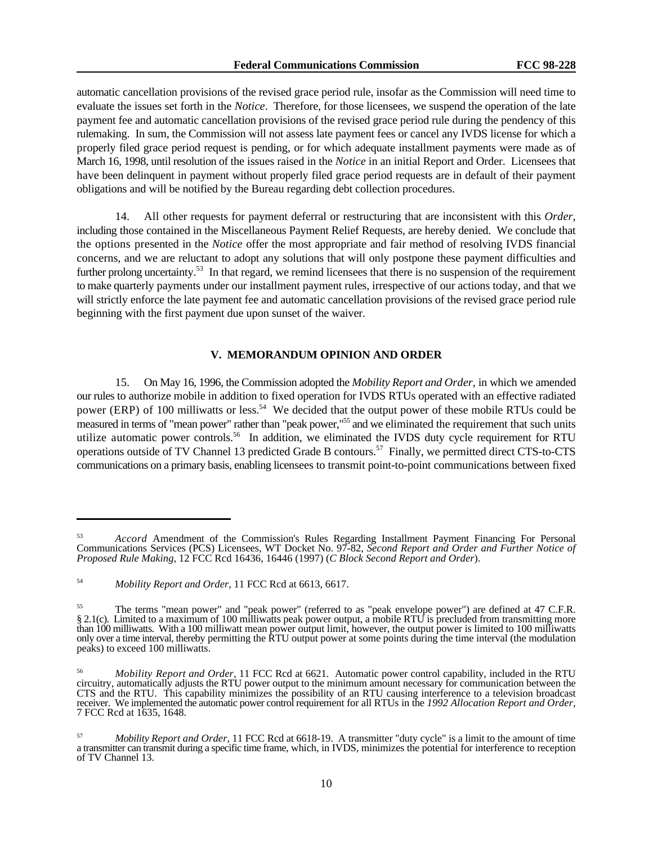automatic cancellation provisions of the revised grace period rule, insofar as the Commission will need time to evaluate the issues set forth in the *Notice*. Therefore, for those licensees, we suspend the operation of the late payment fee and automatic cancellation provisions of the revised grace period rule during the pendency of this rulemaking. In sum, the Commission will not assess late payment fees or cancel any IVDS license for which a properly filed grace period request is pending, or for which adequate installment payments were made as of March 16, 1998, until resolution of the issues raised in the *Notice* in an initial Report and Order. Licensees that have been delinquent in payment without properly filed grace period requests are in default of their payment obligations and will be notified by the Bureau regarding debt collection procedures.

14. All other requests for payment deferral or restructuring that are inconsistent with this *Order*, including those contained in the Miscellaneous Payment Relief Requests, are hereby denied. We conclude that the options presented in the *Notice* offer the most appropriate and fair method of resolving IVDS financial concerns, and we are reluctant to adopt any solutions that will only postpone these payment difficulties and further prolong uncertainty.<sup>53</sup> In that regard, we remind licensees that there is no suspension of the requirement to make quarterly payments under our installment payment rules, irrespective of our actions today, and that we will strictly enforce the late payment fee and automatic cancellation provisions of the revised grace period rule beginning with the first payment due upon sunset of the waiver.

### **V. MEMORANDUM OPINION AND ORDER**

15. On May 16, 1996, the Commission adopted the *Mobility Report and Order*, in which we amended our rules to authorize mobile in addition to fixed operation for IVDS RTUs operated with an effective radiated power (ERP) of 100 milliwatts or less.<sup>54</sup> We decided that the output power of these mobile RTUs could be measured in terms of "mean power" rather than "peak power,"<sup>55</sup> and we eliminated the requirement that such units utilize automatic power controls.<sup>56</sup> In addition, we eliminated the IVDS duty cycle requirement for RTU operations outside of TV Channel 13 predicted Grade B contours.<sup>57</sup> Finally, we permitted direct CTS-to-CTS communications on a primary basis, enabling licensees to transmit point-to-point communications between fixed

*Accord* Amendment of the Commission's Rules Regarding Installment Payment Financing For Personal 53 Communications Services (PCS) Licensees, WT Docket No. 97-82, *Second Report and Order and Further Notice of Proposed Rule Making*, 12 FCC Rcd 16436, 16446 (1997) (*C Block Second Report and Order*).

<sup>&</sup>lt;sup>54</sup> Mobility Report and Order, 11 FCC Rcd at 6613, 6617.

<sup>&</sup>lt;sup>55</sup> The terms "mean power" and "peak power" (referred to as "peak envelope power") are defined at 47 C.F.R. § 2.1(c). Limited to a maximum of 100 milliwatts peak power output, a mobile RTU is precluded from transmitting more than 100 milliwatts. With a 100 milliwatt mean power output limit, however, the output power is limited to 100 milliwatts only over a time interval, thereby permitting the RTU output power at some points during the time interval (the modulation peaks) to exceed 100 milliwatts.

*Mobility Report and Order*, 11 FCC Rcd at 6621. Automatic power control capability, included in the RTU 56 circuitry, automatically adjusts the RTU power output to the minimum amount necessary for communication between the CTS and the RTU. This capability minimizes the possibility of an RTU causing interference to a television broadcast receiver. We implemented the automatic power control requirement for all RTUs in the *1992 Allocation Report and Order*, 7 FCC Rcd at 1635, 1648.

*Mobility Report and Order*, 11 FCC Rcd at 6618-19. A transmitter "duty cycle" is a limit to the amount of time a transmitter can transmit during a specific time frame, which, in IVDS, minimizes the potential for interference to reception of TV Channel 13.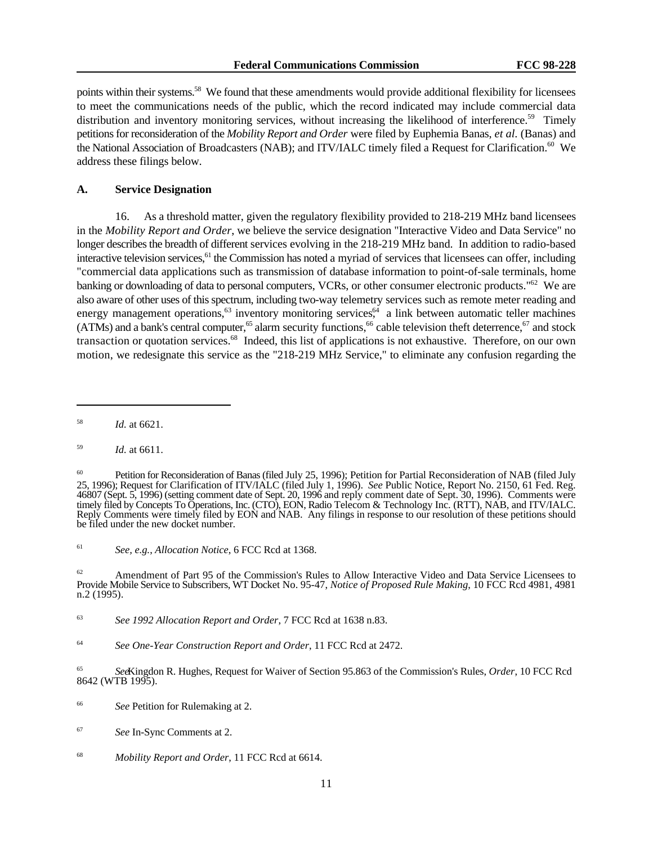points within their systems.<sup>58</sup> We found that these amendments would provide additional flexibility for licensees to meet the communications needs of the public, which the record indicated may include commercial data distribution and inventory monitoring services, without increasing the likelihood of interference.<sup>59</sup> Timely petitions for reconsideration of the *Mobility Report and Order* were filed by Euphemia Banas, *et al.* (Banas) and the National Association of Broadcasters (NAB); and ITV/IALC timely filed a Request for Clarification.<sup>60</sup> We address these filings below.

#### **A. Service Designation**

16. As a threshold matter, given the regulatory flexibility provided to 218-219 MHz band licensees in the *Mobility Report and Order*, we believe the service designation "Interactive Video and Data Service" no longer describes the breadth of different services evolving in the 218-219 MHz band. In addition to radio-based interactive television services,<sup>61</sup> the Commission has noted a myriad of services that licensees can offer, including "commercial data applications such as transmission of database information to point-of-sale terminals, home banking or downloading of data to personal computers, VCRs, or other consumer electronic products."<sup>62</sup> We are also aware of other uses of this spectrum, including two-way telemetry services such as remote meter reading and energy management operations,<sup>63</sup> inventory monitoring services,<sup>64</sup> a link between automatic teller machines (ATMs) and a bank's central computer,<sup>65</sup> alarm security functions,  $66$  cable television theft deterrence,  $67$  and stock transaction or quotation services.<sup>68</sup> Indeed, this list of applications is not exhaustive. Therefore, on our own motion, we redesignate this service as the "218-219 MHz Service," to eliminate any confusion regarding the

<sup>61</sup> See, e.g., *Allocation Notice*, 6 FCC Rcd at 1368.

Amendment of Part 95 of the Commission's Rules to Allow Interactive Video and Data Service Licensees to 62 Provide Mobile Service to Subscribers, WT Docket No. 95-47, *Notice of Proposed Rule Making*, 10 FCC Rcd 4981, 4981 n.2 (1995).

*Id.* at 6621.

 $Id.$  at 6611.

Petition for Reconsideration of Banas (filed July 25, 1996); Petition for Partial Reconsideration of NAB (filed July 25, 1996); Request for Clarification of ITV/IALC (filed July 1, 1996). *See* Public Notice, Report No. 2150, 61 Fed. Reg. 46807 (Sept. 5, 1996) (setting comment date of Sept. 20, 1996 and reply comment date of Sept. 30, 1996). Comments were timely filed by Concepts To Operations, Inc. (CTO), EON, Radio Telecom & Technology Inc. (RTT), NAB, and ITV/IALC. Reply Comments were timely filed by EON and NAB. Any filings in response to our resolution of these petitions should be filed under the new docket number.

<sup>&</sup>lt;sup>63</sup> See 1992 Allocation Report and Order, 7 FCC Rcd at 1638 n.83.

*See One-Year Construction Report and Order*, 11 FCC Rcd at 2472. <sup>64</sup>

<sup>&</sup>lt;sup>65</sup> SeeKingdon R. Hughes, Request for Waiver of Section 95.863 of the Commission's Rules, *Order*, 10 FCC Rcd 8642 (WTB 1995).

<sup>&</sup>lt;sup>66</sup> See Petition for Rulemaking at 2.

*See* In-Sync Comments at 2. <sup>67</sup>

<sup>&</sup>lt;sup>68</sup> Mobility Report and Order, 11 FCC Rcd at 6614.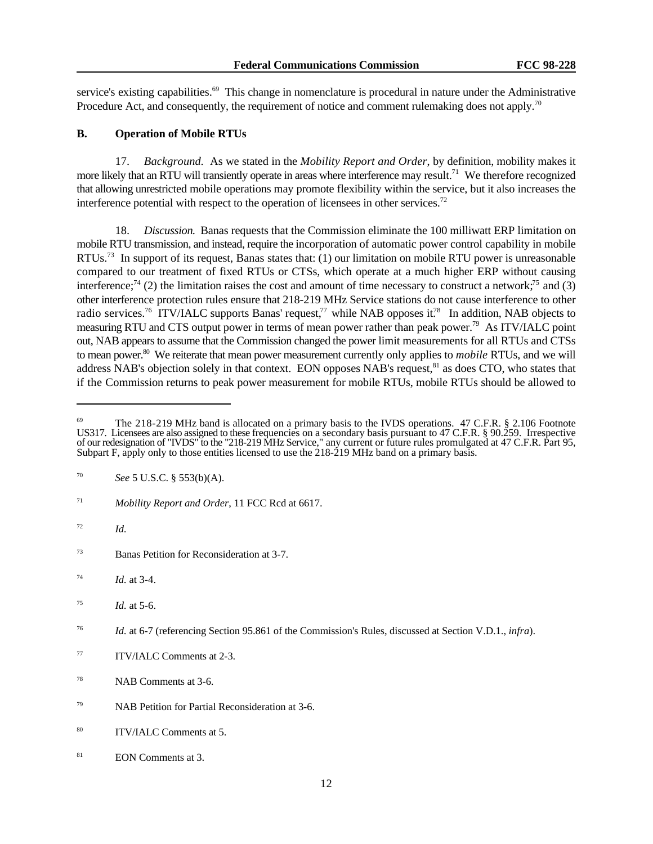service's existing capabilities.<sup>69</sup> This change in nomenclature is procedural in nature under the Administrative Procedure Act, and consequently, the requirement of notice and comment rulemaking does not apply.<sup>70</sup>

#### **B. Operation of Mobile RTUs**

17. *Background.* As we stated in the *Mobility Report and Order*, by definition, mobility makes it more likely that an RTU will transiently operate in areas where interference may result.<sup>71</sup> We therefore recognized that allowing unrestricted mobile operations may promote flexibility within the service, but it also increases the interference potential with respect to the operation of licensees in other services.<sup>72</sup>

18. *Discussion.* Banas requests that the Commission eliminate the 100 milliwatt ERP limitation on mobile RTU transmission, and instead, require the incorporation of automatic power control capability in mobile RTUs.<sup>73</sup> In support of its request, Banas states that: (1) our limitation on mobile RTU power is unreasonable compared to our treatment of fixed RTUs or CTSs, which operate at a much higher ERP without causing interference;<sup>74</sup> (2) the limitation raises the cost and amount of time necessary to construct a network;<sup>75</sup> and (3) other interference protection rules ensure that 218-219 MHz Service stations do not cause interference to other radio services.<sup>76</sup> ITV/IALC supports Banas' request,<sup>77</sup> while NAB opposes it.<sup>78</sup> In addition, NAB objects to measuring RTU and CTS output power in terms of mean power rather than peak power.<sup>79</sup> As ITV/IALC point out, NAB appears to assume that the Commission changed the power limit measurements for all RTUs and CTSs to mean power.<sup>80</sup> We reiterate that mean power measurement currently only applies to *mobile* RTUs, and we will address NAB's objection solely in that context. EON opposes NAB's request,<sup>81</sup> as does CTO, who states that if the Commission returns to peak power measurement for mobile RTUs, mobile RTUs should be allowed to

 $\frac{72}{ld}$ .

<sup>77</sup> ITV/IALC Comments at 2-3.

 $^{69}$  The 218-219 MHz band is allocated on a primary basis to the IVDS operations. 47 C.F.R. § 2.106 Footnote US317. Licensees are also assigned to these frequencies on a secondary basis pursuant to 47 C.F.R. § 90.259. Irrespective of our redesignation of "IVDS" to the "218-219 MHz Service," any current or future rules promulgated at 47 C.F.R. Part 95, Subpart F, apply only to those entities licensed to use the 218-219 MHz band on a primary basis.

*See* 5 U.S.C. § 553(b)(A). <sup>70</sup>

<sup>&</sup>lt;sup>71</sup> Mobility Report and Order, 11 FCC Rcd at 6617.

<sup>&</sup>lt;sup>73</sup> Banas Petition for Reconsideration at 3-7.

 $Id.$  at 3-4.

 $Id.$  at 5-6.

*Id.* at 6-7 (referencing Section 95.861 of the Commission's Rules, discussed at Section V.D.1., *infra*). <sup>76</sup>

<sup>&</sup>lt;sup>78</sup> NAB Comments at 3-6.

<sup>&</sup>lt;sup>79</sup> NAB Petition for Partial Reconsideration at 3-6.

<sup>&</sup>lt;sup>80</sup> ITV/IALC Comments at 5.

 $81$  EON Comments at 3.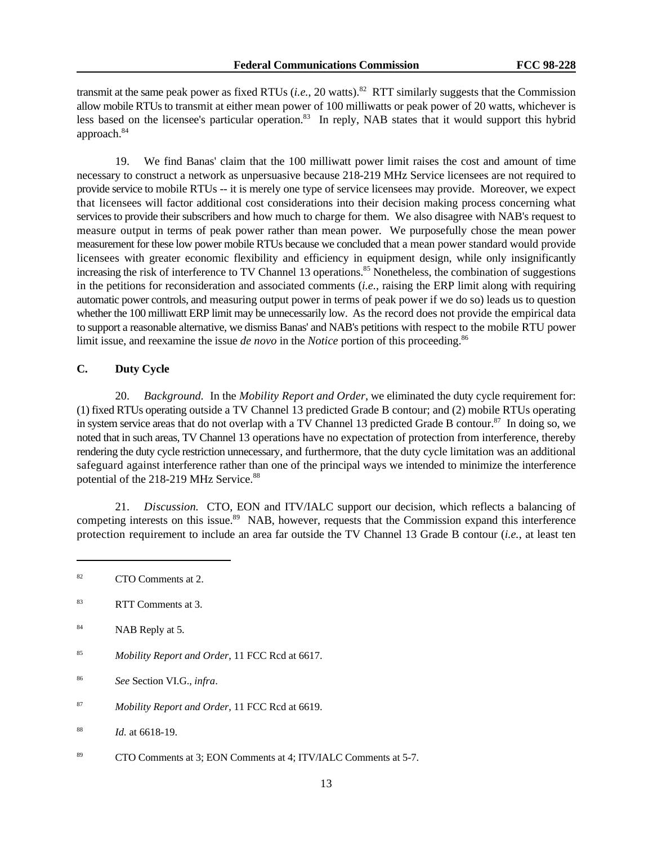transmit at the same peak power as fixed RTUs  $(i.e., 20$  watts).<sup>82</sup> RTT similarly suggests that the Commission allow mobile RTUs to transmit at either mean power of 100 milliwatts or peak power of 20 watts, whichever is less based on the licensee's particular operation.<sup>83</sup> In reply, NAB states that it would support this hybrid approach.<sup>84</sup>

19. We find Banas' claim that the 100 milliwatt power limit raises the cost and amount of time necessary to construct a network as unpersuasive because 218-219 MHz Service licensees are not required to provide service to mobile RTUs -- it is merely one type of service licensees may provide. Moreover, we expect that licensees will factor additional cost considerations into their decision making process concerning what services to provide their subscribers and how much to charge for them. We also disagree with NAB's request to measure output in terms of peak power rather than mean power. We purposefully chose the mean power measurement for these low power mobile RTUs because we concluded that a mean power standard would provide licensees with greater economic flexibility and efficiency in equipment design, while only insignificantly increasing the risk of interference to TV Channel 13 operations.<sup>85</sup> Nonetheless, the combination of suggestions in the petitions for reconsideration and associated comments (*i.e.*, raising the ERP limit along with requiring automatic power controls, and measuring output power in terms of peak power if we do so) leads us to question whether the 100 milliwatt ERP limit may be unnecessarily low. As the record does not provide the empirical data to support a reasonable alternative, we dismiss Banas' and NAB's petitions with respect to the mobile RTU power limit issue, and reexamine the issue *de novo* in the *Notice* portion of this proceeding.<sup>86</sup>

# **C. Duty Cycle**

20. *Background.* In the *Mobility Report and Order*, we eliminated the duty cycle requirement for: (1) fixed RTUs operating outside a TV Channel 13 predicted Grade B contour; and (2) mobile RTUs operating in system service areas that do not overlap with a TV Channel 13 predicted Grade B contour.<sup>87</sup> In doing so, we noted that in such areas, TV Channel 13 operations have no expectation of protection from interference, thereby rendering the duty cycle restriction unnecessary, and furthermore, that the duty cycle limitation was an additional safeguard against interference rather than one of the principal ways we intended to minimize the interference potential of the 218-219 MHz Service.<sup>88</sup>

21. *Discussion.* CTO, EON and ITV/IALC support our decision, which reflects a balancing of competing interests on this issue.<sup>89</sup> NAB, however, requests that the Commission expand this interference protection requirement to include an area far outside the TV Channel 13 Grade B contour (*i.e.*, at least ten

<sup>87</sup> Mobility Report and Order, 11 FCC Rcd at 6619.

<sup>89</sup> CTO Comments at 3; EON Comments at 4; ITV/IALC Comments at 5-7.

 $^{82}$  CTO Comments at 2.

<sup>&</sup>lt;sup>83</sup> RTT Comments at 3.

 $84$  NAB Reply at 5.

<sup>&</sup>lt;sup>85</sup> Mobility Report and Order, 11 FCC Rcd at 6617.

*See* Section VI.G., *infra*. 86

<sup>&</sup>lt;sup>88</sup> *Id.* at 6618-19.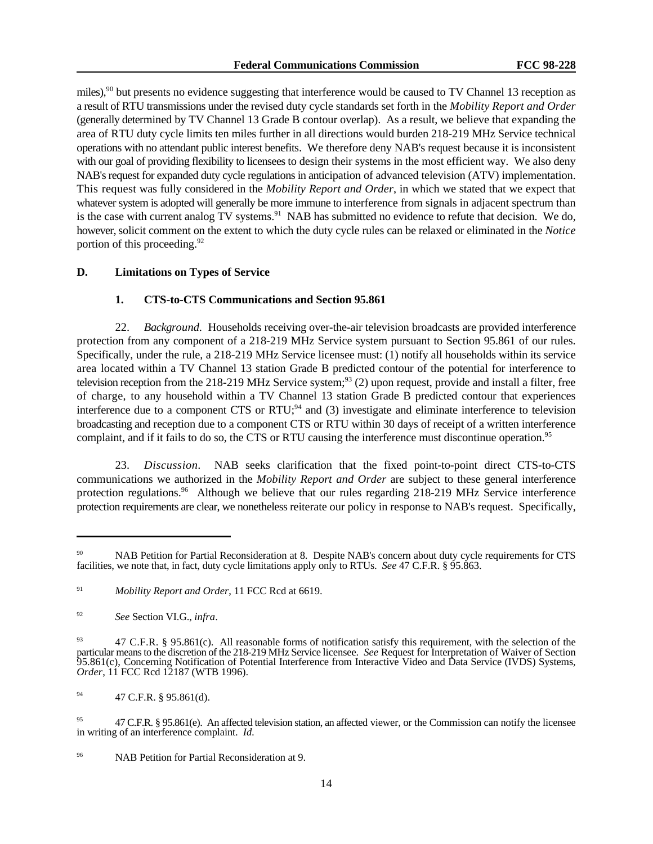miles), <sup>90</sup> but presents no evidence suggesting that interference would be caused to TV Channel 13 reception as a result of RTU transmissions under the revised duty cycle standards set forth in the *Mobility Report and Order* (generally determined by TV Channel 13 Grade B contour overlap). As a result, we believe that expanding the area of RTU duty cycle limits ten miles further in all directions would burden 218-219 MHz Service technical operations with no attendant public interest benefits. We therefore deny NAB's request because it is inconsistent with our goal of providing flexibility to licensees to design their systems in the most efficient way. We also deny NAB's request for expanded duty cycle regulations in anticipation of advanced television (ATV) implementation. This request was fully considered in the *Mobility Report and Order*, in which we stated that we expect that whatever system is adopted will generally be more immune to interference from signals in adjacent spectrum than is the case with current analog TV systems.<sup>91</sup> NAB has submitted no evidence to refute that decision. We do, however, solicit comment on the extent to which the duty cycle rules can be relaxed or eliminated in the *Notice* portion of this proceeding.  $92$ 

### **D. Limitations on Types of Service**

# **1. CTS-to-CTS Communications and Section 95.861**

22. *Background.* Households receiving over-the-air television broadcasts are provided interference protection from any component of a 218-219 MHz Service system pursuant to Section 95.861 of our rules. Specifically, under the rule, a 218-219 MHz Service licensee must: (1) notify all households within its service area located within a TV Channel 13 station Grade B predicted contour of the potential for interference to television reception from the 218-219 MHz Service system; $^{93}$  (2) upon request, provide and install a filter, free of charge, to any household within a TV Channel 13 station Grade B predicted contour that experiences interference due to a component CTS or RTU; $^{94}$  and (3) investigate and eliminate interference to television broadcasting and reception due to a component CTS or RTU within 30 days of receipt of a written interference complaint, and if it fails to do so, the CTS or RTU causing the interference must discontinue operation.<sup>95</sup>

23. *Discussion*. NAB seeks clarification that the fixed point-to-point direct CTS-to-CTS communications we authorized in the *Mobility Report and Order* are subject to these general interference protection regulations.<sup>96</sup> Although we believe that our rules regarding 218-219 MHz Service interference protection requirements are clear, we nonetheless reiterate our policy in response to NAB's request. Specifically,

NAB Petition for Partial Reconsideration at 8. Despite NAB's concern about duty cycle requirements for CTS 90 facilities, we note that, in fact, duty cycle limitations apply only to RTUs. *See* 47 C.F.R. § 95.863.

<sup>&</sup>lt;sup>91</sup> Mobility Report and Order, 11 FCC Rcd at 6619.

*See* Section VI.G., *infra*. 92

<sup>&</sup>lt;sup>93</sup> 47 C.F.R. § 95.861(c). All reasonable forms of notification satisfy this requirement, with the selection of the particular means to the discretion of the 218-219 MHz Service licensee. *See* Request for Interpretation of Waiver of Section 95.861(c), Concerning Notification of Potential Interference from Interactive Video and Data Service (IVDS) Systems, *Order*, 11 FCC Rcd 12187 (WTB 1996).

 $47$  C.F.R. § 95.861(d).

<sup>&</sup>lt;sup>95</sup> 47 C.F.R. § 95.861(e). An affected television station, an affected viewer, or the Commission can notify the licensee in writing of an interference complaint. *Id.*

<sup>&</sup>lt;sup>96</sup> NAB Petition for Partial Reconsideration at 9.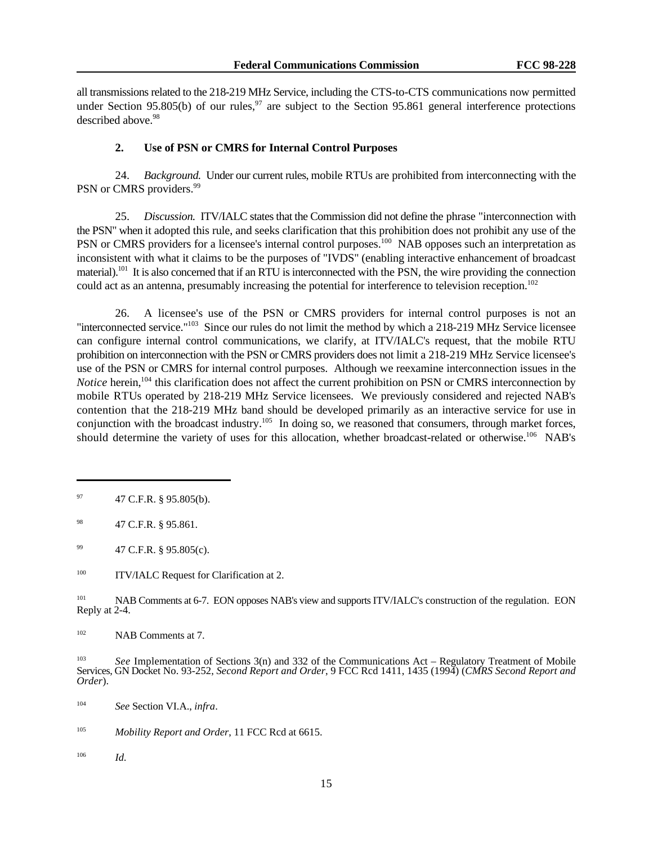all transmissions related to the 218-219 MHz Service, including the CTS-to-CTS communications now permitted under Section 95.805(b) of our rules,  $97$  are subject to the Section 95.861 general interference protections described above.<sup>98</sup>

# **2. Use of PSN or CMRS for Internal Control Purposes**

24. *Background.* Under our current rules, mobile RTUs are prohibited from interconnecting with the PSN or CMRS providers.<sup>99</sup>

25. *Discussion.* ITV/IALC states that the Commission did not define the phrase "interconnection with the PSN" when it adopted this rule, and seeks clarification that this prohibition does not prohibit any use of the PSN or CMRS providers for a licensee's internal control purposes.<sup>100</sup> NAB opposes such an interpretation as inconsistent with what it claims to be the purposes of "IVDS" (enabling interactive enhancement of broadcast material). <sup> $101$ </sup> It is also concerned that if an RTU is interconnected with the PSN, the wire providing the connection could act as an antenna, presumably increasing the potential for interference to television reception.<sup>102</sup>

26. A licensee's use of the PSN or CMRS providers for internal control purposes is not an "interconnected service."<sup>103</sup> Since our rules do not limit the method by which a 218-219 MHz Service licensee can configure internal control communications, we clarify, at ITV/IALC's request, that the mobile RTU prohibition on interconnection with the PSN or CMRS providers does not limit a 218-219 MHz Service licensee's use of the PSN or CMRS for internal control purposes. Although we reexamine interconnection issues in the *Notice* herein,<sup>104</sup> this clarification does not affect the current prohibition on PSN or CMRS interconnection by mobile RTUs operated by 218-219 MHz Service licensees. We previously considered and rejected NAB's contention that the 218-219 MHz band should be developed primarily as an interactive service for use in conjunction with the broadcast industry.<sup>105</sup> In doing so, we reasoned that consumers, through market forces, should determine the variety of uses for this allocation, whether broadcast-related or otherwise.<sup>106</sup> NAB's

<sup>101</sup> NAB Comments at 6-7. EON opposes NAB's view and supports ITV/IALC's construction of the regulation. EON Reply at 2-4.

*See* Section VI.A., *infra*. 104

<sup>105</sup> Mobility Report and Order, 11 FCC Rcd at 6615.

 $106$  *Id.* 

 $^{97}$  47 C.F.R. § 95.805(b).

 $^{98}$  47 C.F.R. § 95.861.

 $47$  C.F.R. § 95.805(c).

 $IV/IALC$  Request for Clarification at 2.

<sup>&</sup>lt;sup>102</sup> NAB Comments at 7.

<sup>&</sup>lt;sup>103</sup> See Implementation of Sections 3(n) and 332 of the Communications Act – Regulatory Treatment of Mobile Services, GN Docket No. 93-252, *Second Report and Order*, 9 FCC Rcd 1411, 1435 (1994) (*CMRS Second Report and Order*).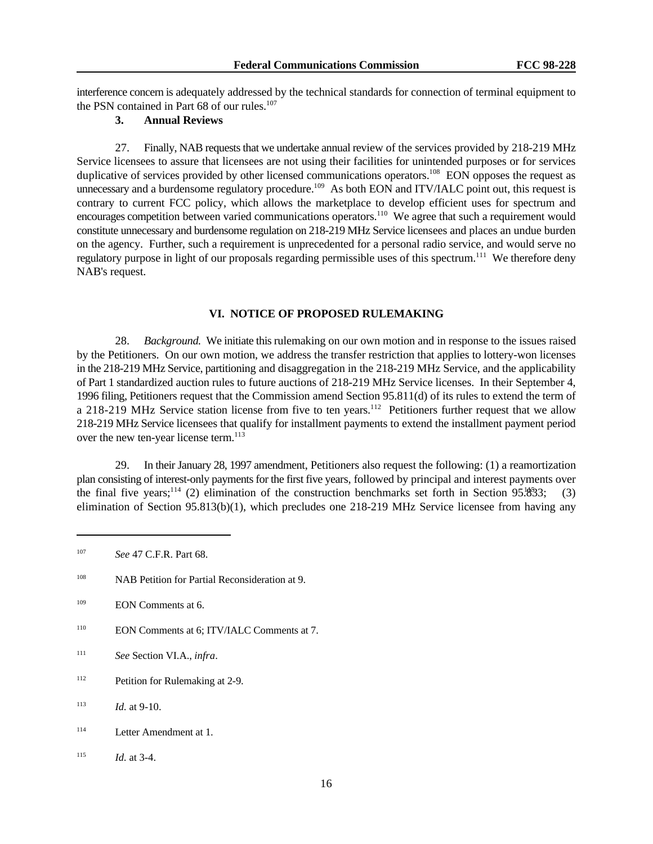interference concern is adequately addressed by the technical standards for connection of terminal equipment to the PSN contained in Part 68 of our rules.<sup>107</sup>

# **3. Annual Reviews**

27. Finally, NAB requests that we undertake annual review of the services provided by 218-219 MHz Service licensees to assure that licensees are not using their facilities for unintended purposes or for services duplicative of services provided by other licensed communications operators.<sup>108</sup> EON opposes the request as unnecessary and a burdensome regulatory procedure.<sup>109</sup> As both EON and ITV/IALC point out, this request is contrary to current FCC policy, which allows the marketplace to develop efficient uses for spectrum and encourages competition between varied communications operators.<sup>110</sup> We agree that such a requirement would constitute unnecessary and burdensome regulation on 218-219 MHz Service licensees and places an undue burden on the agency. Further, such a requirement is unprecedented for a personal radio service, and would serve no regulatory purpose in light of our proposals regarding permissible uses of this spectrum.<sup>111</sup> We therefore deny NAB's request.

## **VI. NOTICE OF PROPOSED RULEMAKING**

28. *Background.* We initiate this rulemaking on our own motion and in response to the issues raised by the Petitioners. On our own motion, we address the transfer restriction that applies to lottery-won licenses in the 218-219 MHz Service, partitioning and disaggregation in the 218-219 MHz Service, and the applicability of Part 1 standardized auction rules to future auctions of 218-219 MHz Service licenses. In their September 4, 1996 filing, Petitioners request that the Commission amend Section 95.811(d) of its rules to extend the term of a 218-219 MHz Service station license from five to ten years.<sup>112</sup> Petitioners further request that we allow 218-219 MHz Service licensees that qualify for installment payments to extend the installment payment period over the new ten-year license term.<sup>113</sup>

29. In their January 28, 1997 amendment, Petitioners also request the following: (1) a reamortization plan consisting of interest-only payments for the first five years, followed by principal and interest payments over the final five years;<sup>114</sup> (2) elimination of the construction benchmarks set forth in Section 95.853; (3) elimination of Section 95.813(b)(1), which precludes one 218-219 MHz Service licensee from having any

- <sup>108</sup> NAB Petition for Partial Reconsideration at 9.
- <sup>109</sup> EON Comments at 6.
- <sup>110</sup> EON Comments at 6; ITV/IALC Comments at 7.
- *See* Section VI.A., *infra*. 111
- $P$ etition for Rulemaking at 2-9.
- $113$  *Id.* at 9-10.
- $114$  Letter Amendment at 1.
- <sup>115</sup> *Id.* at 3-4.

<sup>&</sup>lt;sup>107</sup> *See* 47 C.F.R. Part 68.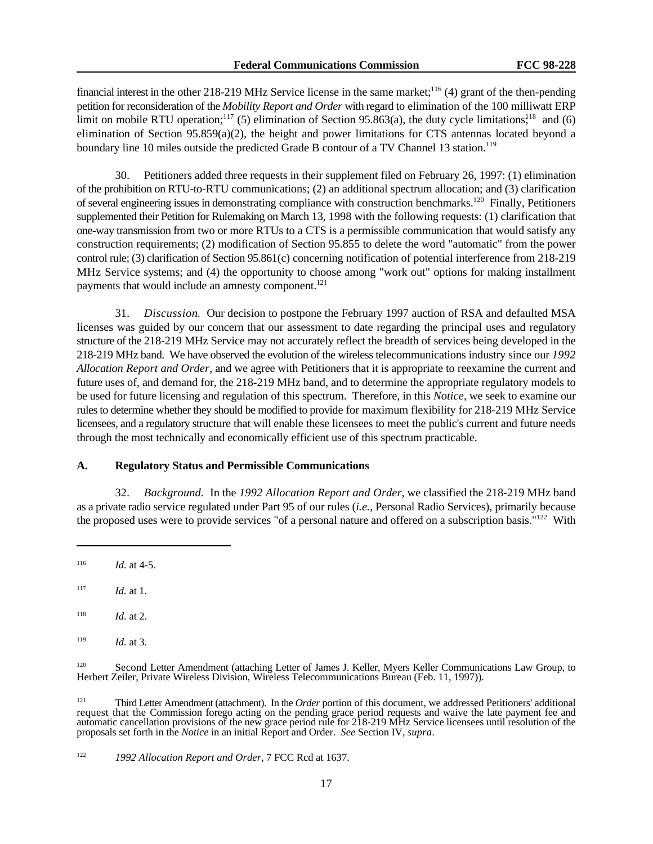financial interest in the other 218-219 MHz Service license in the same market;  $\frac{116}{16}$  (4) grant of the then-pending petition for reconsideration of the *Mobility Report and Order* with regard to elimination of the 100 milliwatt ERP limit on mobile RTU operation;<sup>117</sup> (5) elimination of Section 95.863(a), the duty cycle limitations<sup>118</sup> and (6) elimination of Section 95.859(a)(2), the height and power limitations for CTS antennas located beyond a boundary line 10 miles outside the predicted Grade B contour of a TV Channel 13 station.<sup>119</sup>

30. Petitioners added three requests in their supplement filed on February 26, 1997: (1) elimination of the prohibition on RTU-to-RTU communications; (2) an additional spectrum allocation; and (3) clarification of several engineering issues in demonstrating compliance with construction benchmarks.<sup>120</sup> Finally, Petitioners supplemented their Petition for Rulemaking on March 13, 1998 with the following requests: (1) clarification that one-way transmission from two or more RTUs to a CTS is a permissible communication that would satisfy any construction requirements; (2) modification of Section 95.855 to delete the word "automatic" from the power control rule; (3) clarification of Section 95.861(c) concerning notification of potential interference from 218-219 MHz Service systems; and (4) the opportunity to choose among "work out" options for making installment payments that would include an amnesty component.<sup>121</sup>

31. *Discussion.* Our decision to postpone the February 1997 auction of RSA and defaulted MSA licenses was guided by our concern that our assessment to date regarding the principal uses and regulatory structure of the 218-219 MHz Service may not accurately reflect the breadth of services being developed in the 218-219 MHz band. We have observed the evolution of the wireless telecommunications industry since our *1992 Allocation Report and Order*, and we agree with Petitioners that it is appropriate to reexamine the current and future uses of, and demand for, the 218-219 MHz band, and to determine the appropriate regulatory models to be used for future licensing and regulation of this spectrum. Therefore, in this *Notice*, we seek to examine our rules to determine whether they should be modified to provide for maximum flexibility for 218-219 MHz Service licensees, and a regulatory structure that will enable these licensees to meet the public's current and future needs through the most technically and economically efficient use of this spectrum practicable.

## **A. Regulatory Status and Permissible Communications**

32. *Background.* In the *1992 Allocation Report and Order*, we classified the 218-219 MHz band as a private radio service regulated under Part 95 of our rules (*i.e.*, Personal Radio Services), primarily because the proposed uses were to provide services "of a personal nature and offered on a subscription basis." $^{122}$  With

 $118$  *Id.* at 2.

 $116$  *Id.* at 4-5.

 $117$  *Id.* at 1.

 $119$  *Id.* at 3.

Second Letter Amendment (attaching Letter of James J. Keller, Myers Keller Communications Law Group, to 120 Herbert Zeiler, Private Wireless Division, Wireless Telecommunications Bureau (Feb. 11, 1997)).

Third Letter Amendment (attachment). In the *Order* portion of this document, we addressed Petitioners' additional <sup>121</sup> request that the Commission forego acting on the pending grace period requests and waive the late payment fee and automatic cancellation provisions of the new grace period rule for 218-219 MHz Service licensees until resolution of the proposals set forth in the *Notice* in an initial Report and Order. *See* Section IV, *supra*.

<sup>&</sup>lt;sup>122</sup> 1992 Allocation Report and Order, 7 FCC Rcd at 1637.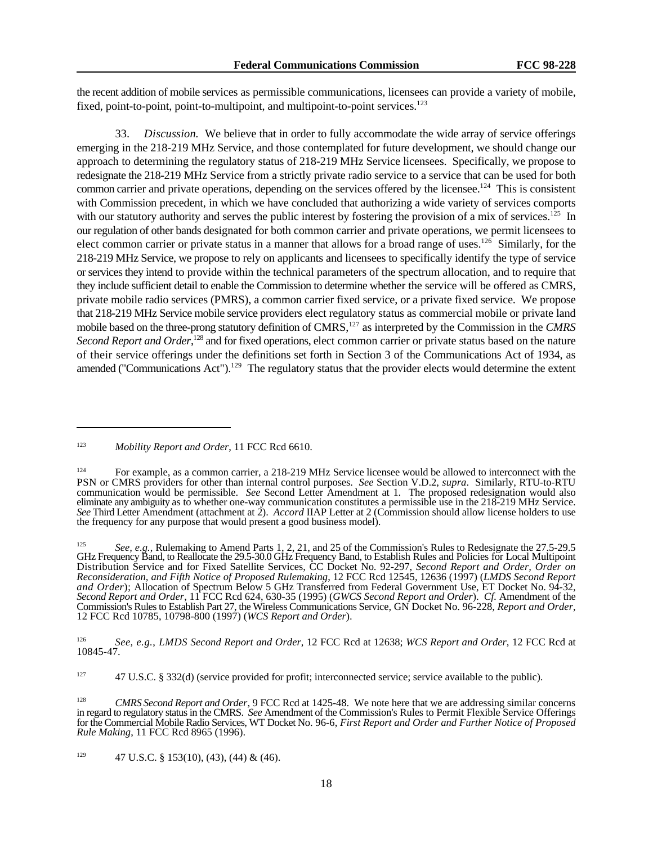the recent addition of mobile services as permissible communications, licensees can provide a variety of mobile, fixed, point-to-point, point-to-multipoint, and multipoint-to-point services.<sup>123</sup>

33. *Discussion.* We believe that in order to fully accommodate the wide array of service offerings emerging in the 218-219 MHz Service, and those contemplated for future development, we should change our approach to determining the regulatory status of 218-219 MHz Service licensees. Specifically, we propose to redesignate the 218-219 MHz Service from a strictly private radio service to a service that can be used for both common carrier and private operations, depending on the services offered by the licensee.<sup>124</sup> This is consistent with Commission precedent, in which we have concluded that authorizing a wide variety of services comports with our statutory authority and serves the public interest by fostering the provision of a mix of services.  $^{125}$  In our regulation of other bands designated for both common carrier and private operations, we permit licensees to elect common carrier or private status in a manner that allows for a broad range of uses.<sup>126</sup> Similarly, for the 218-219 MHz Service, we propose to rely on applicants and licensees to specifically identify the type of service or services they intend to provide within the technical parameters of the spectrum allocation, and to require that they include sufficient detail to enable the Commission to determine whether the service will be offered as CMRS, private mobile radio services (PMRS), a common carrier fixed service, or a private fixed service. We propose that 218-219 MHz Service mobile service providers elect regulatory status as commercial mobile or private land mobile based on the three-prong statutory definition of CMRS,<sup>127</sup> as interpreted by the Commission in the *CMRS Second Report and Order*,<sup>128</sup> and for fixed operations, elect common carrier or private status based on the nature of their service offerings under the definitions set forth in Section 3 of the Communications Act of 1934, as amended ("Communications Act").<sup>129</sup> The regulatory status that the provider elects would determine the extent

<sup>&</sup>lt;sup>123</sup> Mobility Report and Order, 11 FCC Rcd 6610.

For example, as a common carrier, a 218-219 MHz Service licensee would be allowed to interconnect with the PSN or CMRS providers for other than internal control purposes. *See* Section V.D.2, *supra*. Similarly, RTU-to-RTU communication would be permissible. *See* Second Letter Amendment at 1. The proposed redesignation would also eliminate any ambiguity as to whether one-way communication constitutes a permissible use in the 218-219 MHz Service. *See* Third Letter Amendment (attachment at 2). *Accord* IIAP Letter at 2 (Commission should allow license holders to use the frequency for any purpose that would present a good business model).

<sup>&</sup>lt;sup>125</sup> See, e.g., Rulemaking to Amend Parts 1, 2, 21, and 25 of the Commission's Rules to Redesignate the 27.5-29.5 GHz Frequency Band, to Reallocate the 29.5-30.0 GHz Frequency Band, to Establish Rules and Policies for Local Multipoint Distribution Service and for Fixed Satellite Services, CC Docket No. 92-297, *Second Report and Order, Order on Reconsideration, and Fifth Notice of Proposed Rulemaking*, 12 FCC Rcd 12545, 12636 (1997) (*LMDS Second Report and Order*); Allocation of Spectrum Below 5 GHz Transferred from Federal Government Use, ET Docket No. 94-32, *Second Report and Order*, 11 FCC Rcd 624, 630-35 (1995) (*GWCS Second Report and Order*). *Cf.* Amendment of the Commission's Rules to Establish Part 27, the Wireless Communications Service, GN Docket No. 96-228, *Report and Order*, 12 FCC Rcd 10785, 10798-800 (1997) (*WCS Report and Order*).

*See, e.g.*, *LMDS Second Report and Order*, 12 FCC Rcd at 12638; *WCS Report and Order*, 12 FCC Rcd at 126 10845-47.

<sup>&</sup>lt;sup>127</sup> 47 U.S.C. § 332(d) (service provided for profit; interconnected service; service available to the public).

<sup>&</sup>lt;sup>128</sup> *CMRS Second Report and Order*, 9 FCC Rcd at 1425-48. We note here that we are addressing similar concerns in regard to regulatory status in the CMRS. *See* Amendment of the Commission's Rules to Permit Flexible Service Offerings for the Commercial Mobile Radio Services, WT Docket No. 96-6, *First Report and Order and Further Notice of Proposed Rule Making*, 11 FCC Rcd 8965 (1996).

<sup>&</sup>lt;sup>129</sup> 47 U.S.C. § 153(10), (43), (44) & (46).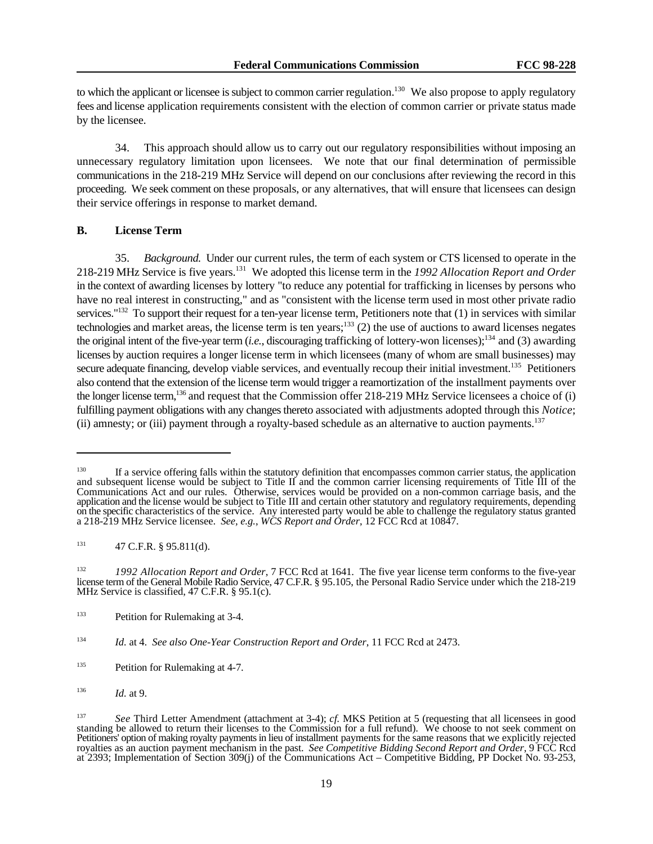to which the applicant or licensee is subject to common carrier regulation.<sup>130</sup> We also propose to apply regulatory fees and license application requirements consistent with the election of common carrier or private status made by the licensee.

34. This approach should allow us to carry out our regulatory responsibilities without imposing an unnecessary regulatory limitation upon licensees. We note that our final determination of permissible communications in the 218-219 MHz Service will depend on our conclusions after reviewing the record in this proceeding. We seek comment on these proposals, or any alternatives, that will ensure that licensees can design their service offerings in response to market demand.

# **B. License Term**

35. *Background.* Under our current rules, the term of each system or CTS licensed to operate in the 218-219 MHz Service is five years.<sup>131</sup> We adopted this license term in the *1992 Allocation Report and Order* in the context of awarding licenses by lottery "to reduce any potential for trafficking in licenses by persons who have no real interest in constructing," and as "consistent with the license term used in most other private radio services." $132$  To support their request for a ten-year license term, Petitioners note that  $(1)$  in services with similar technologies and market areas, the license term is ten years;  $133$  (2) the use of auctions to award licenses negates the original intent of the five-year term  $(i.e.,$  discouraging trafficking of lottery-won licenses);  $134$  and (3) awarding licenses by auction requires a longer license term in which licensees (many of whom are small businesses) may secure adequate financing, develop viable services, and eventually recoup their initial investment.<sup>135</sup> Petitioners also contend that the extension of the license term would trigger a reamortization of the installment payments over the longer license term,  $^{136}$  and request that the Commission offer 218-219 MHz Service licensees a choice of (i) fulfilling payment obligations with any changes thereto associated with adjustments adopted through this *Notice*; (ii) amnesty; or (iii) payment through a royalty-based schedule as an alternative to auction payments.137

<sup>&</sup>lt;sup>130</sup> If a service offering falls within the statutory definition that encompasses common carrier status, the application and subsequent license would be subject to Title II and the common carrier licensing requirements of Title III of the Communications Act and our rules. Otherwise, services would be provided on a non-common carriage basis, and the application and the license would be subject to Title III and certain other statutory and regulatory requirements, depending on the specific characteristics of the service. Any interested party would be able to challenge the regulatory status granted a 218-219 MHz Service licensee. *See, e.g.*, *WCS Report and Order*, 12 FCC Rcd at 10847.

 $^{131}$  47 C.F.R. § 95.811(d).

*<sup>1992</sup> Allocation Report and Order*, 7 FCC Rcd at 1641. The five year license term conforms to the five-year 132 license term of the General Mobile Radio Service, 47 C.F.R. § 95.105, the Personal Radio Service under which the 218-219 MHz Service is classified, 47 C.F.R. § 95.1(c).

<sup>&</sup>lt;sup>133</sup> Petition for Rulemaking at 3-4.

<sup>&</sup>lt;sup>134</sup> *Id.* at 4. *See also One-Year Construction Report and Order*, 11 FCC Rcd at 2473.

<sup>&</sup>lt;sup>135</sup> Petition for Rulemaking at 4-7.

 $136$  *Id.* at 9.

*See* Third Letter Amendment (attachment at 3-4); *cf.* MKS Petition at 5 (requesting that all licensees in good 137 standing be allowed to return their licenses to the Commission for a full refund). We choose to not seek comment on Petitioners' option of making royalty payments in lieu of installment payments for the same reasons that we explicitly rejected royalties as an auction payment mechanism in the past. *See Competitive Bidding Second Report and Order*, 9 FCC Rcd at 2393; Implementation of Section 309(j) of the Communications Act – Competitive Bidding, PP Docket No. 93-253,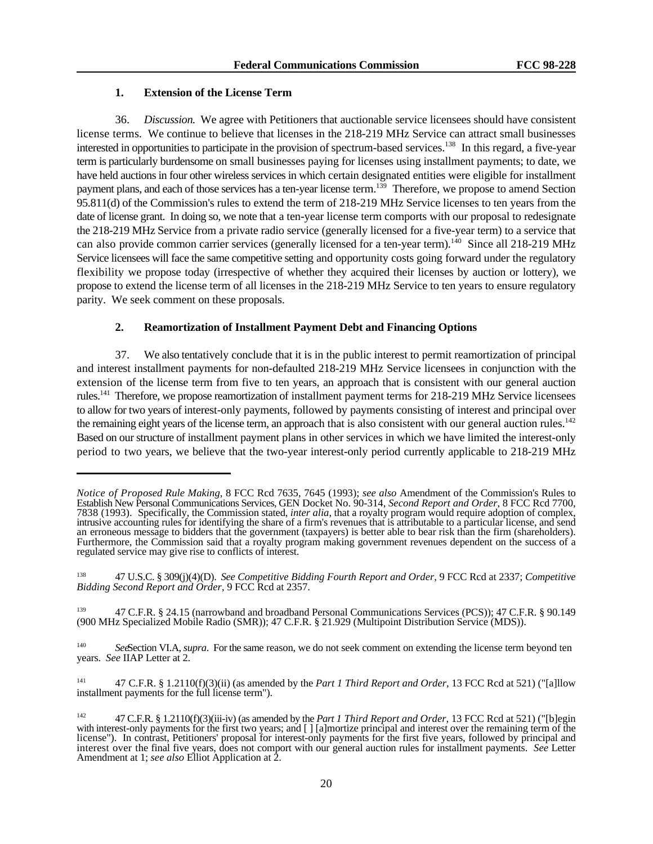### **1. Extension of the License Term**

36. *Discussion.* We agree with Petitioners that auctionable service licensees should have consistent license terms. We continue to believe that licenses in the 218-219 MHz Service can attract small businesses interested in opportunities to participate in the provision of spectrum-based services.<sup>138</sup> In this regard, a five-year term is particularly burdensome on small businesses paying for licenses using installment payments; to date, we have held auctions in four other wireless services in which certain designated entities were eligible for installment payment plans, and each of those services has a ten-year license term.<sup>139</sup> Therefore, we propose to amend Section 95.811(d) of the Commission's rules to extend the term of 218-219 MHz Service licenses to ten years from the date of license grant. In doing so, we note that a ten-year license term comports with our proposal to redesignate the 218-219 MHz Service from a private radio service (generally licensed for a five-year term) to a service that can also provide common carrier services (generally licensed for a ten-year term).<sup>140</sup> Since all 218-219 MHz Service licensees will face the same competitive setting and opportunity costs going forward under the regulatory flexibility we propose today (irrespective of whether they acquired their licenses by auction or lottery), we propose to extend the license term of all licenses in the 218-219 MHz Service to ten years to ensure regulatory parity. We seek comment on these proposals.

## **2. Reamortization of Installment Payment Debt and Financing Options**

37. We also tentatively conclude that it is in the public interest to permit reamortization of principal and interest installment payments for non-defaulted 218-219 MHz Service licensees in conjunction with the extension of the license term from five to ten years, an approach that is consistent with our general auction rules.<sup>141</sup> Therefore, we propose reamortization of installment payment terms for 218-219 MHz Service licensees to allow for two years of interest-only payments, followed by payments consisting of interest and principal over the remaining eight years of the license term, an approach that is also consistent with our general auction rules.<sup>142</sup> Based on our structure of installment payment plans in other services in which we have limited the interest-only period to two years, we believe that the two-year interest-only period currently applicable to 218-219 MHz

*Notice of Proposed Rule Making*, 8 FCC Rcd 7635, 7645 (1993); *see also* Amendment of the Commission's Rules to Establish New Personal Communications Services, GEN Docket No. 90-314, *Second Report and Order*, 8 FCC Rcd 7700, 7838 (1993). Specifically, the Commission stated, *inter alia*, that a royalty program would require adoption of complex, intrusive accounting rules for identifying the share of a firm's revenues that is attributable to a particular license, and send an erroneous message to bidders that the government (taxpayers) is better able to bear risk than the firm (shareholders). Furthermore, the Commission said that a royalty program making government revenues dependent on the success of a regulated service may give rise to conflicts of interest.

<sup>47</sup> U.S.C. § 309(j)(4)(D). *See Competitive Bidding Fourth Report and Order*, 9 FCC Rcd at 2337; *Competitive* <sup>138</sup> *Bidding Second Report and Order*, 9 FCC Rcd at 2357.

<sup>&</sup>lt;sup>139</sup> 47 C.F.R. § 24.15 (narrowband and broadband Personal Communications Services (PCS)); 47 C.F.R. § 90.149 (900 MHz Specialized Mobile Radio (SMR)); 47 C.F.R. § 21.929 (Multipoint Distribution Service (MDS)).

<sup>&</sup>lt;sup>140</sup> See Section VI.A, *supra*. For the same reason, we do not seek comment on extending the license term beyond ten years. *See* IIAP Letter at 2.

<sup>&</sup>lt;sup>141</sup> 47 C.F.R. § 1.2110(f)(3)(ii) (as amended by the *Part 1 Third Report and Order*, 13 FCC Rcd at 521) ("[a]llow installment payments for the full license term").

<sup>&</sup>lt;sup>142</sup> 47 C.F.R. § 1.2110(f)(3)(iii-iv) (as amended by the *Part 1 Third Report and Order*, 13 FCC Rcd at 521) ("[b]egin with interest-only payments for the first two years; and [ ] [a]mortize principal and interest over the remaining term of the license"). In contrast, Petitioners' proposal for interest-only payments for the first five years, followed by principal and interest over the final five years, does not comport with our general auction rules for installment payments. *See* Letter Amendment at 1; *see also* Elliot Application at 2.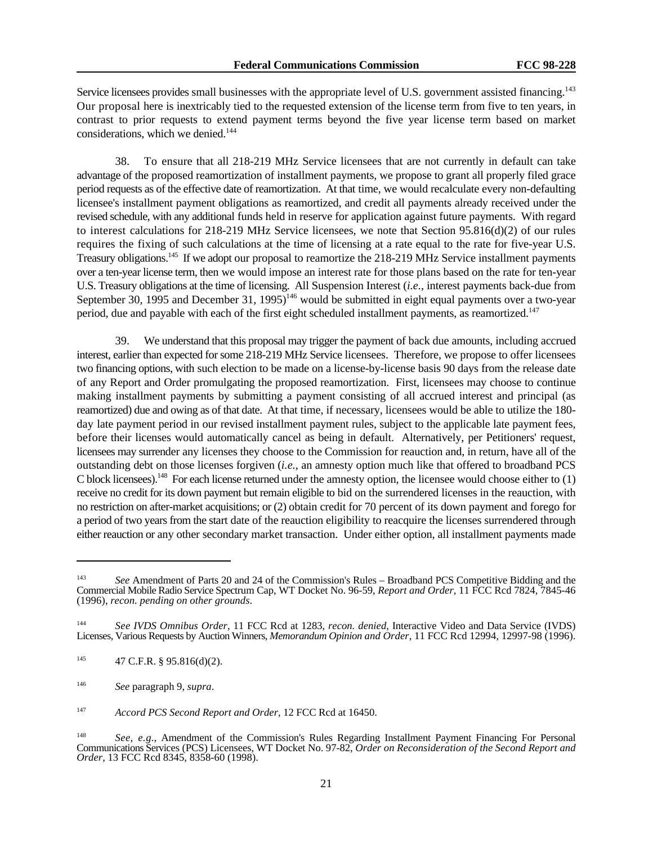Service licensees provides small businesses with the appropriate level of U.S. government assisted financing.<sup>143</sup> Our proposal here is inextricably tied to the requested extension of the license term from five to ten years, in contrast to prior requests to extend payment terms beyond the five year license term based on market considerations, which we denied.<sup>144</sup>

38. To ensure that all 218-219 MHz Service licensees that are not currently in default can take advantage of the proposed reamortization of installment payments, we propose to grant all properly filed grace period requests as of the effective date of reamortization. At that time, we would recalculate every non-defaulting licensee's installment payment obligations as reamortized, and credit all payments already received under the revised schedule, with any additional funds held in reserve for application against future payments. With regard to interest calculations for 218-219 MHz Service licensees, we note that Section 95.816(d)(2) of our rules requires the fixing of such calculations at the time of licensing at a rate equal to the rate for five-year U.S. Treasury obligations.<sup>145</sup> If we adopt our proposal to reamortize the 218-219 MHz Service installment payments over a ten-year license term, then we would impose an interest rate for those plans based on the rate for ten-year U.S. Treasury obligations at the time of licensing. All Suspension Interest (*i.e.*, interest payments back-due from September 30, 1995 and December 31, 1995)<sup>146</sup> would be submitted in eight equal payments over a two-year period, due and payable with each of the first eight scheduled installment payments, as reamortized.<sup>147</sup>

39. We understand that this proposal may trigger the payment of back due amounts, including accrued interest, earlier than expected for some 218-219 MHz Service licensees. Therefore, we propose to offer licensees two financing options, with such election to be made on a license-by-license basis 90 days from the release date of any Report and Order promulgating the proposed reamortization. First, licensees may choose to continue making installment payments by submitting a payment consisting of all accrued interest and principal (as reamortized) due and owing as of that date. At that time, if necessary, licensees would be able to utilize the 180 day late payment period in our revised installment payment rules, subject to the applicable late payment fees, before their licenses would automatically cancel as being in default. Alternatively, per Petitioners' request, licensees may surrender any licenses they choose to the Commission for reauction and, in return, have all of the outstanding debt on those licenses forgiven (*i.e.*, an amnesty option much like that offered to broadband PCS C block licensees).<sup>148</sup> For each license returned under the amnesty option, the licensee would choose either to  $(1)$ receive no credit for its down payment but remain eligible to bid on the surrendered licenses in the reauction, with no restriction on after-market acquisitions; or (2) obtain credit for 70 percent of its down payment and forego for a period of two years from the start date of the reauction eligibility to reacquire the licenses surrendered through either reauction or any other secondary market transaction. Under either option, all installment payments made

See Amendment of Parts 20 and 24 of the Commission's Rules – Broadband PCS Competitive Bidding and the Commercial Mobile Radio Service Spectrum Cap, WT Docket No. 96-59, *Report and Order*, 11 FCC Rcd 7824, 7845-46 (1996), *recon. pending on other grounds*.

*See IVDS Omnibus Order*, 11 FCC Rcd at 1283, *recon. denied*, Interactive Video and Data Service (IVDS) 144 Licenses, Various Requests by Auction Winners, *Memorandum Opinion and Order*, 11 FCC Rcd 12994, 12997-98 (1996).

 $^{145}$  47 C.F.R. § 95.816(d)(2).

*See* paragraph 9, *supra*. 146

<sup>&</sup>lt;sup>147</sup> Accord PCS Second Report and Order, 12 FCC Rcd at 16450.

<sup>148</sup> See, e.g., Amendment of the Commission's Rules Regarding Installment Payment Financing For Personal Communications Services (PCS) Licensees, WT Docket No. 97-82, *Order on Reconsideration of the Second Report and Order*, 13 FCC Rcd 8345, 8358-60 (1998).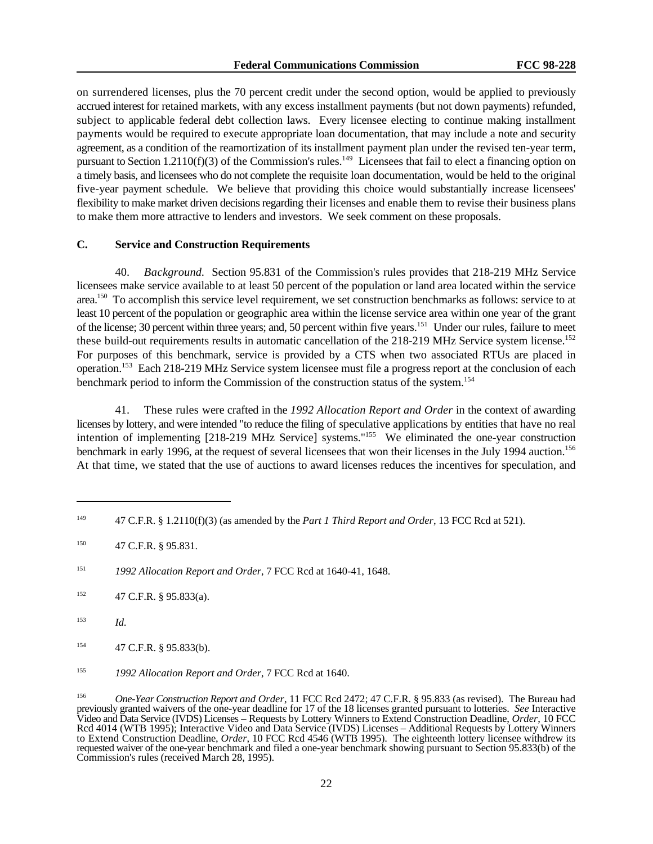on surrendered licenses, plus the 70 percent credit under the second option, would be applied to previously accrued interest for retained markets, with any excess installment payments (but not down payments) refunded, subject to applicable federal debt collection laws. Every licensee electing to continue making installment payments would be required to execute appropriate loan documentation, that may include a note and security agreement, as a condition of the reamortization of its installment payment plan under the revised ten-year term, pursuant to Section 1.2110(f)(3) of the Commission's rules.<sup>149</sup> Licensees that fail to elect a financing option on a timely basis, and licensees who do not complete the requisite loan documentation, would be held to the original five-year payment schedule. We believe that providing this choice would substantially increase licensees' flexibility to make market driven decisions regarding their licenses and enable them to revise their business plans to make them more attractive to lenders and investors. We seek comment on these proposals.

#### **C. Service and Construction Requirements**

40. *Background.* Section 95.831 of the Commission's rules provides that 218-219 MHz Service licensees make service available to at least 50 percent of the population or land area located within the service area.<sup>150</sup> To accomplish this service level requirement, we set construction benchmarks as follows: service to at least 10 percent of the population or geographic area within the license service area within one year of the grant of the license; 30 percent within three years; and, 50 percent within five years.<sup>151</sup> Under our rules, failure to meet these build-out requirements results in automatic cancellation of the 218-219 MHz Service system license.<sup>152</sup> For purposes of this benchmark, service is provided by a CTS when two associated RTUs are placed in operation.<sup>153</sup> Each 218-219 MHz Service system licensee must file a progress report at the conclusion of each benchmark period to inform the Commission of the construction status of the system.<sup>154</sup>

41. These rules were crafted in the *1992 Allocation Report and Order* in the context of awarding licenses by lottery, and were intended "to reduce the filing of speculative applications by entities that have no real intention of implementing [218-219 MHz Service] systems."<sup>155</sup> We eliminated the one-year construction benchmark in early 1996, at the request of several licensees that won their licenses in the July 1994 auction.<sup>156</sup> At that time, we stated that the use of auctions to award licenses reduces the incentives for speculation, and

*Id.* <sup>153</sup>

<sup>&</sup>lt;sup>149</sup> 47 C.F.R. § 1.2110(f)(3) (as amended by the *Part 1 Third Report and Order*, 13 FCC Rcd at 521).

 $^{150}$  47 C.F.R. § 95.831.

<sup>&</sup>lt;sup>151</sup> 1992 Allocation Report and Order, 7 FCC Rcd at 1640-41, 1648.

 $^{152}$  47 C.F.R. § 95.833(a).

 $^{154}$  47 C.F.R. § 95.833(b).

<sup>&</sup>lt;sup>155</sup> 1992 Allocation Report and Order, 7 FCC Rcd at 1640.

<sup>&</sup>lt;sup>156</sup> *One-Year Construction Report and Order*, 11 FCC Rcd 2472; 47 C.F.R. § 95.833 (as revised). The Bureau had previously granted waivers of the one-year deadline for 17 of the 18 licenses granted pursuant to lotteries. *See* Interactive Video and Data Service (IVDS) Licenses – Requests by Lottery Winners to Extend Construction Deadline, *Order*, 10 FCC Rcd 4014 (WTB 1995); Interactive Video and Data Service (IVDS) Licenses – Additional Requests by Lottery Winners to Extend Construction Deadline, *Order*, 10 FCC Rcd 4546 (WTB 1995). The eighteenth lottery licensee withdrew its requested waiver of the one-year benchmark and filed a one-year benchmark showing pursuant to Section 95.833(b) of the Commission's rules (received March 28, 1995).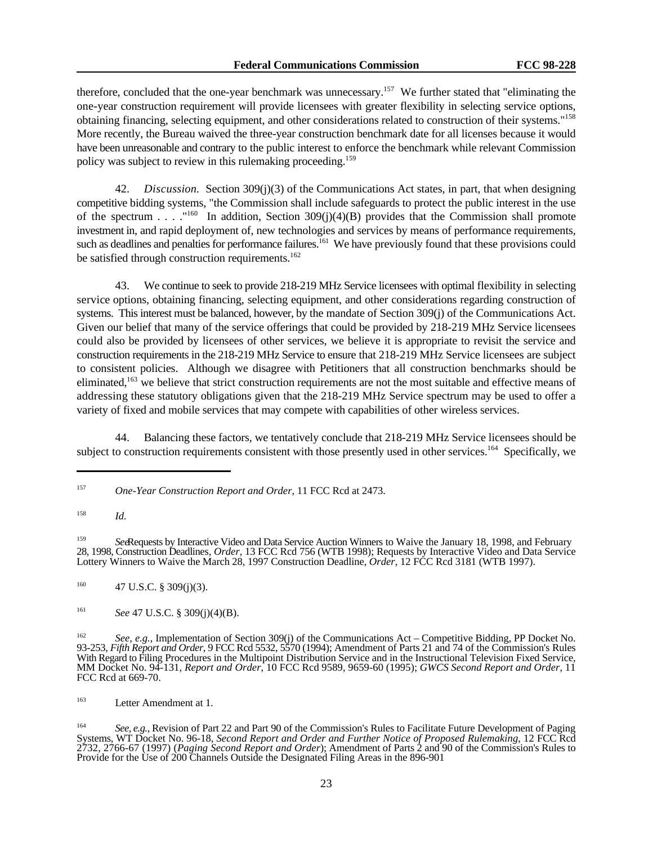therefore, concluded that the one-year benchmark was unnecessary.<sup>157</sup> We further stated that "eliminating the one-year construction requirement will provide licensees with greater flexibility in selecting service options, obtaining financing, selecting equipment, and other considerations related to construction of their systems."<sup>158</sup> More recently, the Bureau waived the three-year construction benchmark date for all licenses because it would have been unreasonable and contrary to the public interest to enforce the benchmark while relevant Commission policy was subject to review in this rulemaking proceeding.<sup>159</sup>

42. *Discussion.* Section 309(j)(3) of the Communications Act states, in part, that when designing competitive bidding systems, "the Commission shall include safeguards to protect the public interest in the use of the spectrum . . . . "<sup>160</sup> In addition, Section 309(j)(4)(B) provides that the Commission shall promote investment in, and rapid deployment of, new technologies and services by means of performance requirements, such as deadlines and penalties for performance failures.<sup>161</sup> We have previously found that these provisions could be satisfied through construction requirements.<sup>162</sup>

43. We continue to seek to provide 218-219 MHz Service licensees with optimal flexibility in selecting service options, obtaining financing, selecting equipment, and other considerations regarding construction of systems. This interest must be balanced, however, by the mandate of Section 309(j) of the Communications Act. Given our belief that many of the service offerings that could be provided by 218-219 MHz Service licensees could also be provided by licensees of other services, we believe it is appropriate to revisit the service and construction requirements in the 218-219 MHz Service to ensure that 218-219 MHz Service licensees are subject to consistent policies. Although we disagree with Petitioners that all construction benchmarks should be eliminated,  $^{163}$  we believe that strict construction requirements are not the most suitable and effective means of addressing these statutory obligations given that the 218-219 MHz Service spectrum may be used to offer a variety of fixed and mobile services that may compete with capabilities of other wireless services.

44. Balancing these factors, we tentatively conclude that 218-219 MHz Service licensees should be subject to construction requirements consistent with those presently used in other services.<sup>164</sup> Specifically, we

 $^{160}$  47 U.S.C. § 309(j)(3).

<sup>161</sup> *See* 47 U.S.C. § 309(j)(4)(B).

<sup>163</sup> Letter Amendment at 1.

<sup>&</sup>lt;sup>157</sup> *One-Year Construction Report and Order*, 11 FCC Rcd at 2473.

*Id.* <sup>158</sup>

<sup>&</sup>lt;sup>159</sup> SeeRequests by Interactive Video and Data Service Auction Winners to Waive the January 18, 1998, and February 28, 1998, Construction Deadlines, *Order*, 13 FCC Rcd 756 (WTB 1998); Requests by Interactive Video and Data Service Lottery Winners to Waive the March 28, 1997 Construction Deadline, *Order*, 12 FCC Rcd 3181 (WTB 1997).

<sup>&</sup>lt;sup>162</sup> See, e.g., Implementation of Section 309(j) of the Communications Act – Competitive Bidding, PP Docket No. 93-253, *Fifth Report and Order*, 9 FCC Rcd 5532, 5570 (1994); Amendment of Parts 21 and 74 of the Commission's Rules With Regard to Filing Procedures in the Multipoint Distribution Service and in the Instructional Television Fixed Service, MM Docket No. 94-131, *Report and Order*, 10 FCC Rcd 9589, 9659-60 (1995); *GWCS Second Report and Order*, 11 FCC Rcd at 669-70.

*See, e.g.*, Revision of Part 22 and Part 90 of the Commission's Rules to Facilitate Future Development of Paging <sup>164</sup> Systems, WT Docket No. 96-18, *Second Report and Order and Further Notice of Proposed Rulemaking*, 12 FCC Rcd 2732, 2766-67 (1997) (*Paging Second Report and Order*); Amendment of Parts 2 and 90 of the Commission's Rules to Provide for the Use of 200 Channels Outside the Designated Filing Areas in the 896-901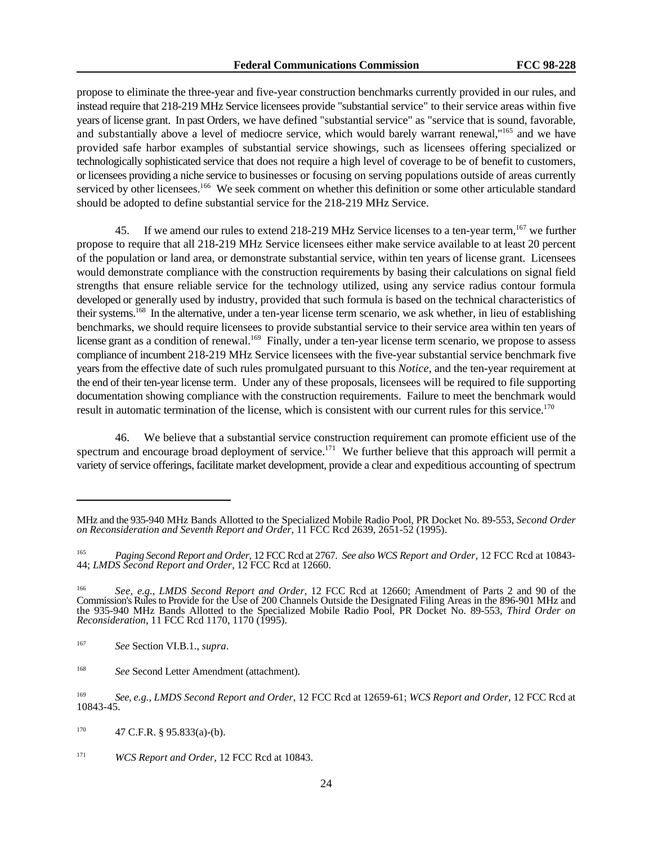propose to eliminate the three-year and five-year construction benchmarks currently provided in our rules, and instead require that 218-219 MHz Service licensees provide "substantial service" to their service areas within five years of license grant. In past Orders, we have defined "substantial service" as "service that is sound, favorable, and substantially above a level of mediocre service, which would barely warrant renewal,"<sup>165</sup> and we have provided safe harbor examples of substantial service showings, such as licensees offering specialized or technologically sophisticated service that does not require a high level of coverage to be of benefit to customers, or licensees providing a niche service to businesses or focusing on serving populations outside of areas currently serviced by other licensees.<sup>166</sup> We seek comment on whether this definition or some other articulable standard should be adopted to define substantial service for the 218-219 MHz Service.

45. If we amend our rules to extend 218-219 MHz Service licenses to a ten-year term, <sup>167</sup> we further propose to require that all 218-219 MHz Service licensees either make service available to at least 20 percent of the population or land area, or demonstrate substantial service, within ten years of license grant. Licensees would demonstrate compliance with the construction requirements by basing their calculations on signal field strengths that ensure reliable service for the technology utilized, using any service radius contour formula developed or generally used by industry, provided that such formula is based on the technical characteristics of their systems.<sup>168</sup> In the alternative, under a ten-year license term scenario, we ask whether, in lieu of establishing benchmarks, we should require licensees to provide substantial service to their service area within ten years of license grant as a condition of renewal.<sup>169</sup> Finally, under a ten-year license term scenario, we propose to assess compliance of incumbent 218-219 MHz Service licensees with the five-year substantial service benchmark five years from the effective date of such rules promulgated pursuant to this *Notice*, and the ten-year requirement at the end of their ten-year license term. Under any of these proposals, licensees will be required to file supporting documentation showing compliance with the construction requirements. Failure to meet the benchmark would result in automatic termination of the license, which is consistent with our current rules for this service.<sup>170</sup>

46. We believe that a substantial service construction requirement can promote efficient use of the spectrum and encourage broad deployment of service.<sup>171</sup> We further believe that this approach will permit a variety of service offerings, facilitate market development, provide a clear and expeditious accounting of spectrum

 $^{170}$  47 C.F.R. § 95.833(a)-(b).

MHz and the 935-940 MHz Bands Allotted to the Specialized Mobile Radio Pool, PR Docket No. 89-553, *Second Order on Reconsideration and Seventh Report and Order*, 11 FCC Rcd 2639, 2651-52 (1995).

*Paging Second Report and Order*, 12 FCC Rcd at 2767. *See also WCS Report and Order*, 12 FCC Rcd at 10843- <sup>165</sup> 44; *LMDS Second Report and Order*, 12 FCC Rcd at 12660.

*See, e.g.*, *LMDS Second Report and Order*, 12 FCC Rcd at 12660; Amendment of Parts 2 and 90 of the 166 Commission's Rules to Provide for the Use of 200 Channels Outside the Designated Filing Areas in the 896-901 MHz and the 935-940 MHz Bands Allotted to the Specialized Mobile Radio Pool, PR Docket No. 89-553, *Third Order on Reconsideration*, 11 FCC Rcd 1170, 1170 (1995).

*See* Section VI.B.1., *supra*. 167

<sup>&</sup>lt;sup>168</sup> See Second Letter Amendment (attachment).

<sup>&</sup>lt;sup>169</sup> See, e.g., *LMDS Second Report and Order*, 12 FCC Rcd at 12659-61; *WCS Report and Order*, 12 FCC Rcd at 10843-45.

<sup>&</sup>lt;sup>171</sup> *WCS Report and Order*, 12 FCC Rcd at 10843.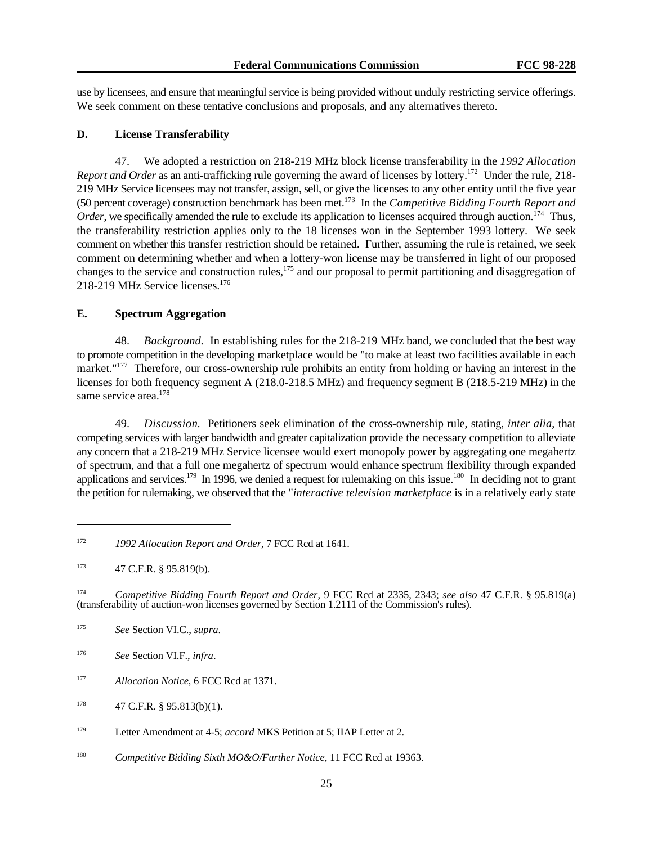use by licensees, and ensure that meaningful service is being provided without unduly restricting service offerings. We seek comment on these tentative conclusions and proposals, and any alternatives thereto.

#### **D. License Transferability**

47. We adopted a restriction on 218-219 MHz block license transferability in the *1992 Allocation Report and Order* as an anti-trafficking rule governing the award of licenses by lottery.<sup>172</sup> Under the rule, 218-219 MHz Service licensees may not transfer, assign, sell, or give the licenses to any other entity until the five year (50 percent coverage) construction benchmark has been met.<sup>173</sup> In the *Competitive Bidding Fourth Report and Order*, we specifically amended the rule to exclude its application to licenses acquired through auction.<sup>174</sup> Thus, the transferability restriction applies only to the 18 licenses won in the September 1993 lottery. We seek comment on whether this transfer restriction should be retained. Further, assuming the rule is retained, we seek comment on determining whether and when a lottery-won license may be transferred in light of our proposed changes to the service and construction rules,  $175$  and our proposal to permit partitioning and disaggregation of 218-219 MHz Service licenses.<sup>176</sup>

### **E. Spectrum Aggregation**

48. *Background.* In establishing rules for the 218-219 MHz band, we concluded that the best way to promote competition in the developing marketplace would be "to make at least two facilities available in each market."<sup>177</sup> Therefore, our cross-ownership rule prohibits an entity from holding or having an interest in the licenses for both frequency segment A (218.0-218.5 MHz) and frequency segment B (218.5-219 MHz) in the same service area.<sup>178</sup>

49. *Discussion.* Petitioners seek elimination of the cross-ownership rule, stating, *inter alia*, that competing services with larger bandwidth and greater capitalization provide the necessary competition to alleviate any concern that a 218-219 MHz Service licensee would exert monopoly power by aggregating one megahertz of spectrum, and that a full one megahertz of spectrum would enhance spectrum flexibility through expanded applications and services.<sup>179</sup> In 1996, we denied a request for rulemaking on this issue.<sup>180</sup> In deciding not to grant the petition for rulemaking, we observed that the "*interactive television marketplace* is in a relatively early state

*Competitive Bidding Fourth Report and Order*, 9 FCC Rcd at 2335, 2343; *see also* 47 C.F.R. § 95.819(a) 174 (transferability of auction-won licenses governed by Section 1.2111 of the Commission's rules).

<sup>&</sup>lt;sup>172</sup> 1992 Allocation Report and Order, 7 FCC Rcd at 1641.

 $^{173}$  47 C.F.R. § 95.819(b).

*See* Section VI.C., *supra*. 175

*See* Section VI.F., *infra*. 176

<sup>&</sup>lt;sup>177</sup> *Allocation Notice*, 6 FCC Rcd at 1371.

 $^{178}$  47 C.F.R. § 95.813(b)(1).

<sup>&</sup>lt;sup>179</sup> Letter Amendment at 4-5; *accord* MKS Petition at 5; IIAP Letter at 2.

<sup>&</sup>lt;sup>180</sup> Competitive Bidding Sixth MO&O/Further Notice, 11 FCC Rcd at 19363.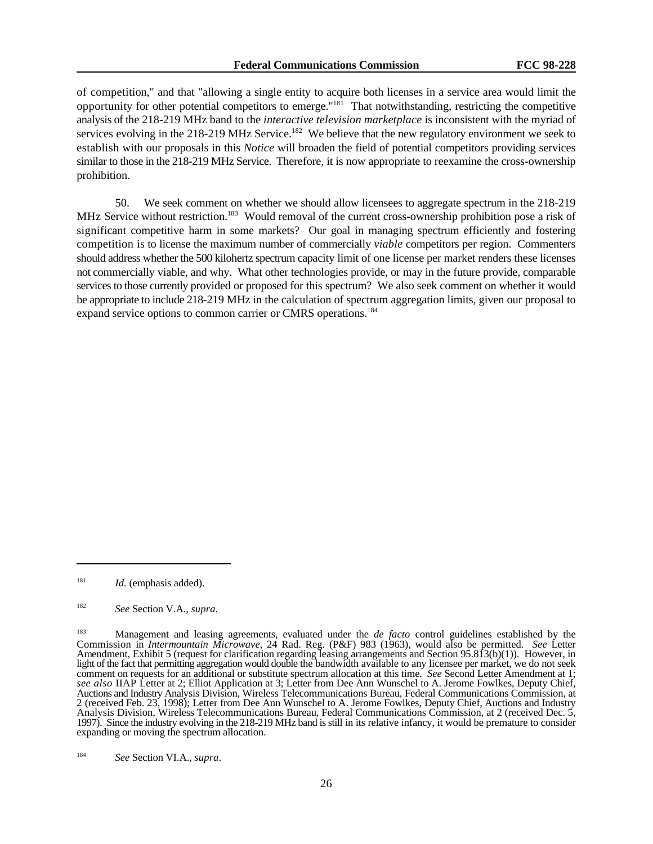of competition," and that "allowing a single entity to acquire both licenses in a service area would limit the opportunity for other potential competitors to emerge."<sup>181</sup> That notwithstanding, restricting the competitive analysis of the 218-219 MHz band to the *interactive television marketplace* is inconsistent with the myriad of services evolving in the 218-219 MHz Service.<sup>182</sup> We believe that the new regulatory environment we seek to establish with our proposals in this *Notice* will broaden the field of potential competitors providing services similar to those in the 218-219 MHz Service. Therefore, it is now appropriate to reexamine the cross-ownership prohibition.

50. We seek comment on whether we should allow licensees to aggregate spectrum in the 218-219 MHz Service without restriction.<sup>183</sup> Would removal of the current cross-ownership prohibition pose a risk of significant competitive harm in some markets? Our goal in managing spectrum efficiently and fostering competition is to license the maximum number of commercially *viable* competitors per region. Commenters should address whether the 500 kilohertz spectrum capacity limit of one license per market renders these licenses not commercially viable, and why. What other technologies provide, or may in the future provide, comparable services to those currently provided or proposed for this spectrum? We also seek comment on whether it would be appropriate to include 218-219 MHz in the calculation of spectrum aggregation limits, given our proposal to expand service options to common carrier or CMRS operations.<sup>184</sup>

*See* Section VI.A., *supra*. 184

 $181$  *Id.* (emphasis added).

*See* Section V.A., *supra*. 182

<sup>&</sup>lt;sup>183</sup> Management and leasing agreements, evaluated under the *de facto* control guidelines established by the Commission in *Intermountain Microwave*, 24 Rad. Reg. (P&F) 983 (1963), would also be permitted. *See* Letter Amendment, Exhibit 5 (request for clarification regarding leasing arrangements and Section 95.813(b)(1)). However, in light of the fact that permitting aggregation would double the bandwidth available to any licensee per market, we do not seek comment on requests for an additional or substitute spectrum allocation at this time. *See* Second Letter Amendment at 1; *see also* IIAP Letter at 2; Elliot Application at 3; Letter from Dee Ann Wunschel to A. Jerome Fowlkes, Deputy Chief, Auctions and Industry Analysis Division, Wireless Telecommunications Bureau, Federal Communications Commission, at 2 (received Feb. 23, 1998); Letter from Dee Ann Wunschel to A. Jerome Fowlkes, Deputy Chief, Auctions and Industry Analysis Division, Wireless Telecommunications Bureau, Federal Communications Commission, at 2 (received Dec. 5, 1997). Since the industry evolving in the 218-219 MHz band is still in its relative infancy, it would be premature to consider expanding or moving the spectrum allocation.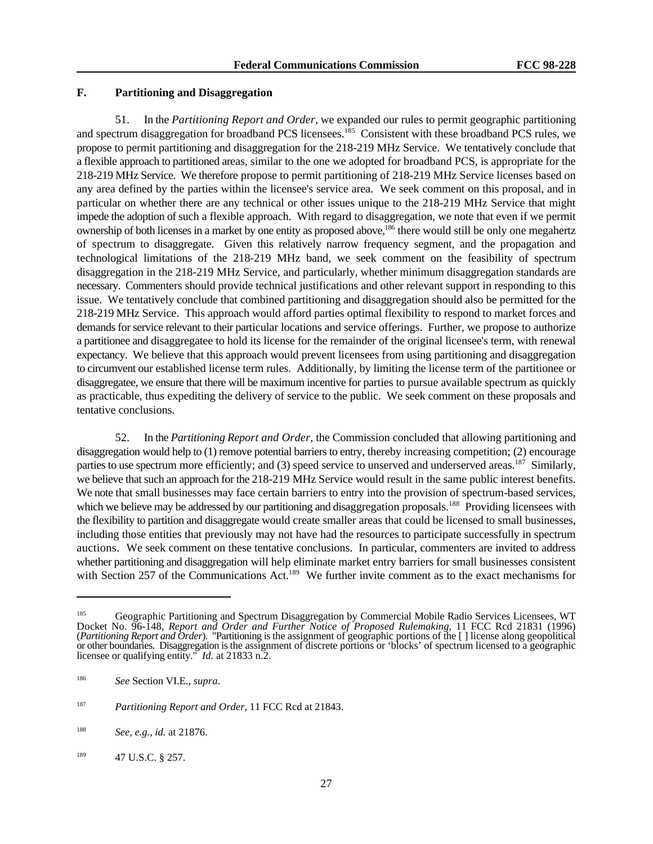## **F. Partitioning and Disaggregation**

51. In the *Partitioning Report and Order*, we expanded our rules to permit geographic partitioning and spectrum disaggregation for broadband PCS licensees.<sup>185</sup> Consistent with these broadband PCS rules, we propose to permit partitioning and disaggregation for the 218-219 MHz Service. We tentatively conclude that a flexible approach to partitioned areas, similar to the one we adopted for broadband PCS, is appropriate for the 218-219 MHz Service. We therefore propose to permit partitioning of 218-219 MHz Service licenses based on any area defined by the parties within the licensee's service area. We seek comment on this proposal, and in particular on whether there are any technical or other issues unique to the 218-219 MHz Service that might impede the adoption of such a flexible approach. With regard to disaggregation, we note that even if we permit ownership of both licenses in a market by one entity as proposed above, <sup>186</sup> there would still be only one megahertz of spectrum to disaggregate. Given this relatively narrow frequency segment, and the propagation and technological limitations of the 218-219 MHz band, we seek comment on the feasibility of spectrum disaggregation in the 218-219 MHz Service, and particularly, whether minimum disaggregation standards are necessary. Commenters should provide technical justifications and other relevant support in responding to this issue. We tentatively conclude that combined partitioning and disaggregation should also be permitted for the 218-219 MHz Service. This approach would afford parties optimal flexibility to respond to market forces and demands for service relevant to their particular locations and service offerings. Further, we propose to authorize a partitionee and disaggregatee to hold its license for the remainder of the original licensee's term, with renewal expectancy. We believe that this approach would prevent licensees from using partitioning and disaggregation to circumvent our established license term rules. Additionally, by limiting the license term of the partitionee or disaggregatee, we ensure that there will be maximum incentive for parties to pursue available spectrum as quickly as practicable, thus expediting the delivery of service to the public. We seek comment on these proposals and tentative conclusions.

52. In the *Partitioning Report and Order*, the Commission concluded that allowing partitioning and disaggregation would help to (1) remove potential barriers to entry, thereby increasing competition; (2) encourage parties to use spectrum more efficiently; and (3) speed service to unserved and underserved areas. <sup>187</sup> Similarly, we believe that such an approach for the 218-219 MHz Service would result in the same public interest benefits. We note that small businesses may face certain barriers to entry into the provision of spectrum-based services. which we believe may be addressed by our partitioning and disaggregation proposals.<sup>188</sup> Providing licensees with the flexibility to partition and disaggregate would create smaller areas that could be licensed to small businesses, including those entities that previously may not have had the resources to participate successfully in spectrum auctions. We seek comment on these tentative conclusions. In particular, commenters are invited to address whether partitioning and disaggregation will help eliminate market entry barriers for small businesses consistent with Section 257 of the Communications Act.<sup>189</sup> We further invite comment as to the exact mechanisms for

Geographic Partitioning and Spectrum Disaggregation by Commercial Mobile Radio Services Licensees, WT 185 Docket No. 96-148, *Report and Order and Further Notice of Proposed Rulemaking*, 11 FCC Rcd 21831 (1996) (*Partitioning Report and Order*). "Partitioning is the assignment of geographic portions of the [ ] license along geopolitical or other boundaries. Disaggregation is the assignment of discrete portions or 'blocks' of spectrum licensed to a geographic licensee or qualifying entity." *Id.* at 21833 n.2.

*See* Section VI.E., *supra*. 186

<sup>&</sup>lt;sup>187</sup> Partitioning Report and Order, 11 FCC Rcd at 21843.

<sup>&</sup>lt;sup>188</sup> *See, e.g., id.* at 21876.

 $^{189}$  47 U.S.C. § 257.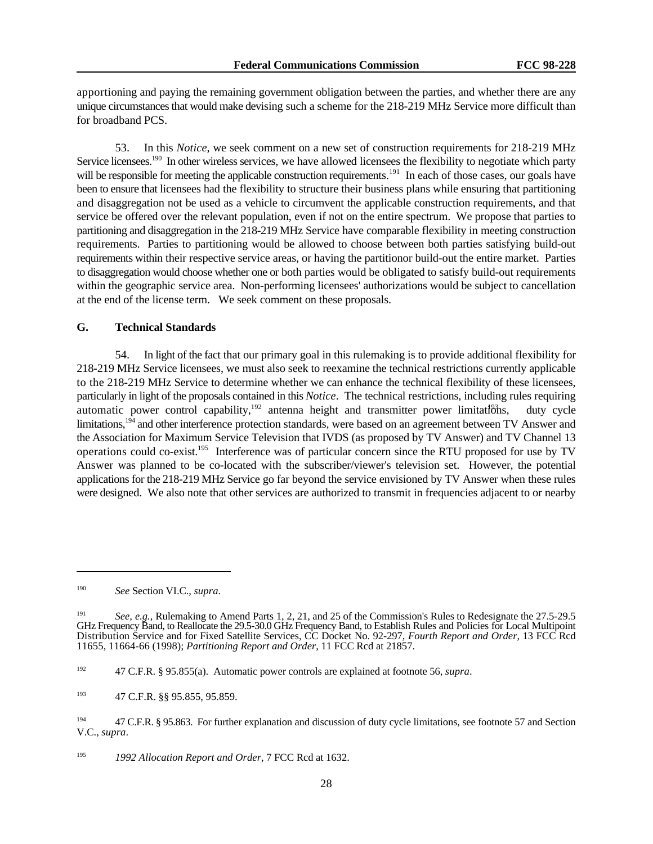apportioning and paying the remaining government obligation between the parties, and whether there are any unique circumstances that would make devising such a scheme for the 218-219 MHz Service more difficult than for broadband PCS.

53. In this *Notice*, we seek comment on a new set of construction requirements for 218-219 MHz Service licensees.<sup>190</sup> In other wireless services, we have allowed licensees the flexibility to negotiate which party will be responsible for meeting the applicable construction requirements.<sup>191</sup> In each of those cases, our goals have been to ensure that licensees had the flexibility to structure their business plans while ensuring that partitioning and disaggregation not be used as a vehicle to circumvent the applicable construction requirements, and that service be offered over the relevant population, even if not on the entire spectrum. We propose that parties to partitioning and disaggregation in the 218-219 MHz Service have comparable flexibility in meeting construction requirements. Parties to partitioning would be allowed to choose between both parties satisfying build-out requirements within their respective service areas, or having the partitionor build-out the entire market. Parties to disaggregation would choose whether one or both parties would be obligated to satisfy build-out requirements within the geographic service area. Non-performing licensees' authorizations would be subject to cancellation at the end of the license term. We seek comment on these proposals.

#### **G. Technical Standards**

54. In light of the fact that our primary goal in this rulemaking is to provide additional flexibility for 218-219 MHz Service licensees, we must also seek to reexamine the technical restrictions currently applicable to the 218-219 MHz Service to determine whether we can enhance the technical flexibility of these licensees, particularly in light of the proposals contained in this *Notice*. The technical restrictions, including rules requiring automatic power control capability,  $192$  antenna height and transmitter power limitations, duty cycle limitations,  $194$  and other interference protection standards, were based on an agreement between TV Answer and the Association for Maximum Service Television that IVDS (as proposed by TV Answer) and TV Channel 13 operations could co-exist.<sup>195</sup> Interference was of particular concern since the RTU proposed for use by TV Answer was planned to be co-located with the subscriber/viewer's television set. However, the potential applications for the 218-219 MHz Service go far beyond the service envisioned by TV Answer when these rules were designed. We also note that other services are authorized to transmit in frequencies adjacent to or nearby

*See* Section VI.C., *supra*. 190

<sup>&</sup>lt;sup>191</sup> See, e.g., Rulemaking to Amend Parts 1, 2, 21, and 25 of the Commission's Rules to Redesignate the 27.5-29.5 GHz Frequency Band, to Reallocate the 29.5-30.0 GHz Frequency Band, to Establish Rules and Policies for Local Multipoint Distribution Service and for Fixed Satellite Services, CC Docket No. 92-297, *Fourth Report and Order*, 13 FCC Rcd 11655, 11664-66 (1998); *Partitioning Report and Order*, 11 FCC Rcd at 21857.

<sup>47</sup> C.F.R. § 95.855(a). Automatic power controls are explained at footnote 56, *supra*. 192

<sup>&</sup>lt;sup>193</sup> 47 C.F.R. §§ 95.855, 95.859.

<sup>&</sup>lt;sup>194</sup> 47 C.F.R. § 95.863. For further explanation and discussion of duty cycle limitations, see footnote 57 and Section V.C., *supra*.

<sup>&</sup>lt;sup>195</sup> 1992 Allocation Report and Order, 7 FCC Rcd at 1632.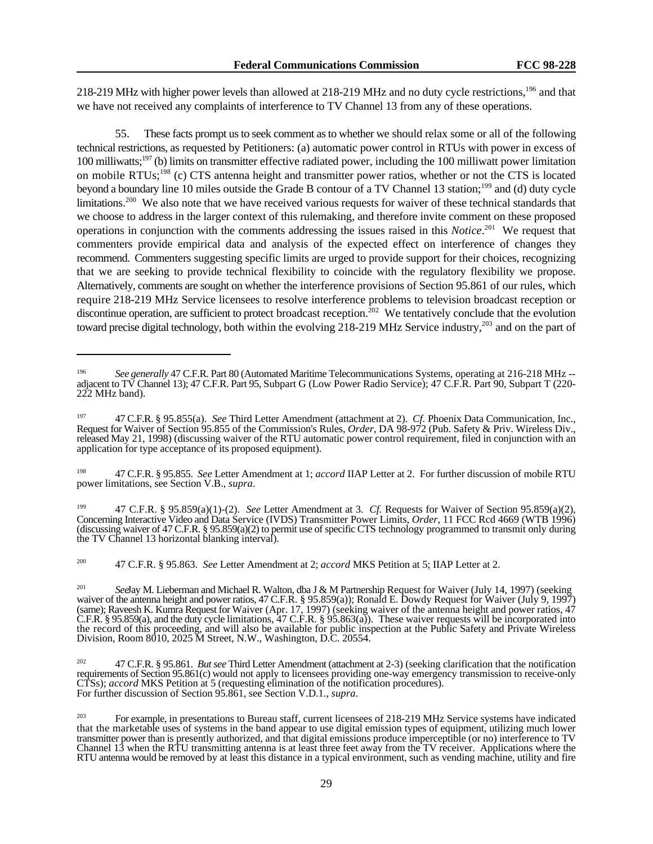218-219 MHz with higher power levels than allowed at 218-219 MHz and no duty cycle restrictions,  $196$  and that we have not received any complaints of interference to TV Channel 13 from any of these operations.

55. These facts prompt us to seek comment as to whether we should relax some or all of the following technical restrictions, as requested by Petitioners: (a) automatic power control in RTUs with power in excess of 100 milliwatts;<sup>197</sup> (b) limits on transmitter effective radiated power, including the 100 milliwatt power limitation on mobile RTUs;<sup>198</sup> (c) CTS antenna height and transmitter power ratios, whether or not the CTS is located beyond a boundary line 10 miles outside the Grade B contour of a TV Channel 13 station;<sup>199</sup> and (d) duty cycle limitations.<sup>200</sup> We also note that we have received various requests for waiver of these technical standards that we choose to address in the larger context of this rulemaking, and therefore invite comment on these proposed operations in conjunction with the comments addressing the issues raised in this *Notice*.<sup>201</sup> We request that commenters provide empirical data and analysis of the expected effect on interference of changes they recommend. Commenters suggesting specific limits are urged to provide support for their choices, recognizing that we are seeking to provide technical flexibility to coincide with the regulatory flexibility we propose. Alternatively, comments are sought on whether the interference provisions of Section 95.861 of our rules, which require 218-219 MHz Service licensees to resolve interference problems to television broadcast reception or discontinue operation, are sufficient to protect broadcast reception.  $202$  We tentatively conclude that the evolution toward precise digital technology, both within the evolving  $218-219$  MHz Service industry,<sup>203</sup> and on the part of

<sup>198</sup> 47 C.F.R. § 95.855. *See* Letter Amendment at 1; *accord* IIAP Letter at 2. For further discussion of mobile RTU power limitations, see Section V.B., *supra*.

47 C.F.R. § 95.859(a)(1)-(2). *See* Letter Amendment at 3. *Cf.* Requests for Waiver of Section 95.859(a)(2), 199 Concerning Interactive Video and Data Service (IVDS) Transmitter Power Limits, *Order*, 11 FCC Rcd 4669 (WTB 1996) (discussing waiver of 47 C.F.R. § 95.859(a)(2) to permit use of specific CTS technology programmed to transmit only during the TV Channel 13 horizontal blanking interval).

<sup>200</sup> 47 C.F.R. § 95.863. *See* Letter Amendment at 2; *accord* MKS Petition at 5; IIAP Letter at 2.

<sup>201</sup> SeeJay M. Lieberman and Michael R. Walton, dba J & M Partnership Request for Waiver (July 14, 1997) (seeking waiver of the antenna height and power ratios, 47 C.F.R. § 95.859(a)); Ronald E. Dowdy Request for Waiver (July 9, 1997) (same); Raveesh K. Kumra Request for Waiver (Apr. 17, 1997) (seeking waiver of the antenna height and power ratios, 47 C.F.R. § 95.859(a), and the duty cycle limitations, 47 C.F.R. § 95.863(a)). These waiver requests will be incorporated into the record of this proceeding, and will also be available for public inspection at the Public Safety and Private Wireless Division, Room 8010, 2025 M Street, N.W., Washington, D.C. 20554.

<sup>202</sup> 47 C.F.R. § 95.861. *But see* Third Letter Amendment (attachment at 2-3) (seeking clarification that the notification requirements of Section 95.861(c) would not apply to licensees providing one-way emergency transmission to receive-only CTSs); *accord* MKS Petition at 5 (requesting elimination of the notification procedures). For further discussion of Section 95.861, see Section V.D.1., *supra*.

<sup>203</sup> For example, in presentations to Bureau staff, current licensees of 218-219 MHz Service systems have indicated that the marketable uses of systems in the band appear to use digital emission types of equipment, utilizing much lower transmitter power than is presently authorized, and that digital emissions produce imperceptible (or no) interference to TV Channel 13 when the RTU transmitting antenna is at least three feet away from the TV receiver. Applications where the RTU antenna would be removed by at least this distance in a typical environment, such as vending machine, utility and fire

<sup>&</sup>lt;sup>196</sup> See generally 47 C.F.R. Part 80 (Automated Maritime Telecommunications Systems, operating at 216-218 MHz -adjacent to TV Channel 13); 47 C.F.R. Part 95, Subpart G (Low Power Radio Service); 47 C.F.R. Part 90, Subpart T (220-  $222$  MHz band).

<sup>47</sup> C.F.R. § 95.855(a). *See* Third Letter Amendment (attachment at 2). *Cf.* Phoenix Data Communication, Inc., <sup>197</sup> Request for Waiver of Section 95.855 of the Commission's Rules, *Order*, DA 98-972 (Pub. Safety & Priv. Wireless Div., released May 21, 1998) (discussing waiver of the RTU automatic power control requirement, filed in conjunction with an application for type acceptance of its proposed equipment).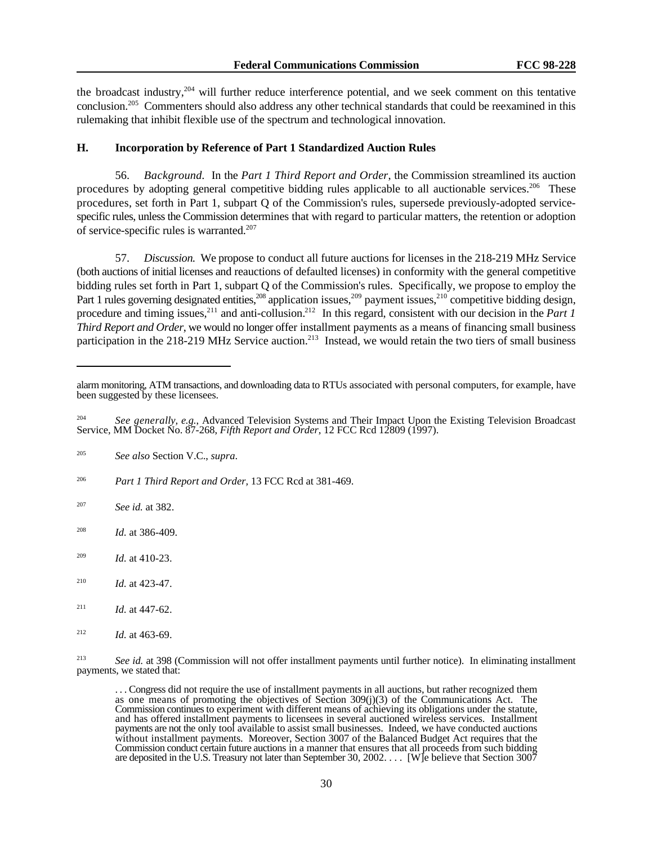the broadcast industry,<sup>204</sup> will further reduce interference potential, and we seek comment on this tentative conclusion.<sup>205</sup> Commenters should also address any other technical standards that could be reexamined in this rulemaking that inhibit flexible use of the spectrum and technological innovation.

#### **H. Incorporation by Reference of Part 1 Standardized Auction Rules**

56. *Background.* In the *Part 1 Third Report and Order*, the Commission streamlined its auction procedures by adopting general competitive bidding rules applicable to all auctionable services.<sup>206</sup> These procedures, set forth in Part 1, subpart Q of the Commission's rules, supersede previously-adopted servicespecific rules, unless the Commission determines that with regard to particular matters, the retention or adoption of service-specific rules is warranted.<sup>207</sup>

57. *Discussion.* We propose to conduct all future auctions for licenses in the 218-219 MHz Service (both auctions of initial licenses and reauctions of defaulted licenses) in conformity with the general competitive bidding rules set forth in Part 1, subpart Q of the Commission's rules. Specifically, we propose to employ the Part 1 rules governing designated entities,<sup>208</sup> application issues,<sup>209</sup> payment issues,<sup>210</sup> competitive bidding design, procedure and timing issues,  $^{211}$  and anti-collusion.<sup>212</sup> In this regard, consistent with our decision in the *Part 1 Third Report and Order*, we would no longer offer installment payments as a means of financing small business participation in the 218-219 MHz Service auction.<sup>213</sup> Instead, we would retain the two tiers of small business

<sup>211</sup> *Id.* at 447-62.

alarm monitoring, ATM transactions, and downloading data to RTUs associated with personal computers, for example, have been suggested by these licensees.

*See generally, e.g.*, Advanced Television Systems and Their Impact Upon the Existing Television Broadcast 204 Service, MM Docket No. 87-268, *Fifth Report and Order*, 12 FCC Rcd 12809 (1997).

*See also* Section V.C., *supra*. 205

<sup>&</sup>lt;sup>206</sup> Part 1 Third Report and Order, 13 FCC Rcd at 381-469.

<sup>&</sup>lt;sup>207</sup> *See id.* at 382.

<sup>&</sup>lt;sup>208</sup> *Id.* at 386-409.

<sup>&</sup>lt;sup>209</sup> *Id.* at 410-23.

<sup>&</sup>lt;sup>210</sup> *Id.* at 423-47.

<sup>&</sup>lt;sup>212</sup> *Id.* at 463-69.

<sup>&</sup>lt;sup>213</sup> See id. at 398 (Commission will not offer installment payments until further notice). In eliminating installment payments, we stated that:

<sup>. . .</sup> Congress did not require the use of installment payments in all auctions, but rather recognized them as one means of promoting the objectives of Section 309(j)(3) of the Communications Act. The Commission continues to experiment with different means of achieving its obligations under the statute, and has offered installment payments to licensees in several auctioned wireless services. Installment payments are not the only tool available to assist small businesses. Indeed, we have conducted auctions without installment payments. Moreover, Section 3007 of the Balanced Budget Act requires that the Commission conduct certain future auctions in a manner that ensures that all proceeds from such bidding are deposited in the U.S. Treasury not later than September 30, 2002. . . . [W]e believe that Section 3007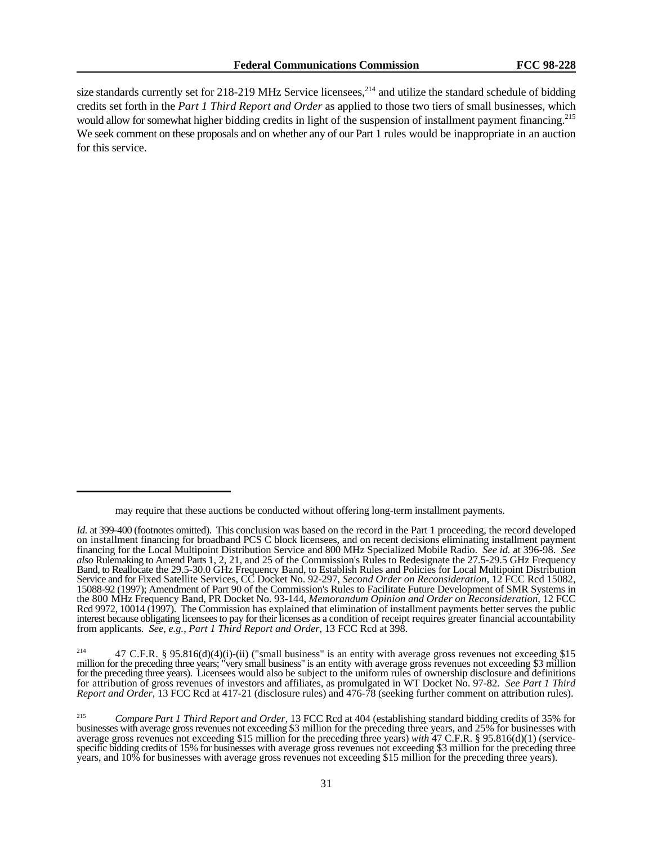size standards currently set for 218-219 MHz Service licensees,  $^{214}$  and utilize the standard schedule of bidding credits set forth in the *Part 1 Third Report and Order* as applied to those two tiers of small businesses, which would allow for somewhat higher bidding credits in light of the suspension of installment payment financing.<sup>215</sup> We seek comment on these proposals and on whether any of our Part 1 rules would be inappropriate in an auction for this service.

may require that these auctions be conducted without offering long-term installment payments.

*Id.* at 399-400 (footnotes omitted). This conclusion was based on the record in the Part 1 proceeding, the record developed on installment financing for broadband PCS C block licensees, and on recent decisions eliminating installment payment financing for the Local Multipoint Distribution Service and 800 MHz Specialized Mobile Radio. *See id.* at 396-98. *See also* Rulemaking to Amend Parts 1, 2, 21, and 25 of the Commission's Rules to Redesignate the 27.5-29.5 GHz Frequency Band, to Reallocate the 29.5-30.0 GHz Frequency Band, to Establish Rules and Policies for Local Multipoint Distribution Service and for Fixed Satellite Services, CC Docket No. 92-297, *Second Order on Reconsideration*, 12 FCC Rcd 15082, 15088-92 (1997); Amendment of Part 90 of the Commission's Rules to Facilitate Future Development of SMR Systems in the 800 MHz Frequency Band, PR Docket No. 93-144, *Memorandum Opinion and Order on Reconsideration*, 12 FCC Rcd 9972, 10014 (1997). The Commission has explained that elimination of installment payments better serves the public interest because obligating licensees to pay for their licenses as a condition of receipt requires greater financial accountability from applicants. *See, e.g.*, *Part 1 Third Report and Order*, 13 FCC Rcd at 398.

<sup>&</sup>lt;sup>214</sup> 47 C.F.R. § 95.816(d)(4)(i)-(ii) ("small business" is an entity with average gross revenues not exceeding \$15 million for the preceding three years; "very small business" is an entity with average gross revenues not exceeding \$3 million for the preceding three years). Licensees would also be subject to the uniform rules of ownership disclosure and definitions for attribution of gross revenues of investors and affiliates, as promulgated in WT Docket No. 97-82. *See Part 1 Third Report and Order*, 13 FCC Rcd at 417-21 (disclosure rules) and 476-78 (seeking further comment on attribution rules).

<sup>&</sup>lt;sup>215</sup> *Compare Part 1 Third Report and Order*, 13 FCC Rcd at 404 (establishing standard bidding credits of 35% for businesses with average gross revenues not exceeding \$3 million for the preceding three years, and 25% for businesses with average gross revenues not exceeding \$15 million for the preceding three years) *with* 47 C.F.R. § 95.816(d)(1) (servicespecific bidding credits of 15% for businesses with average gross revenues not exceeding \$3 million for the preceding three years, and 10% for businesses with average gross revenues not exceeding \$15 million for the preceding three years).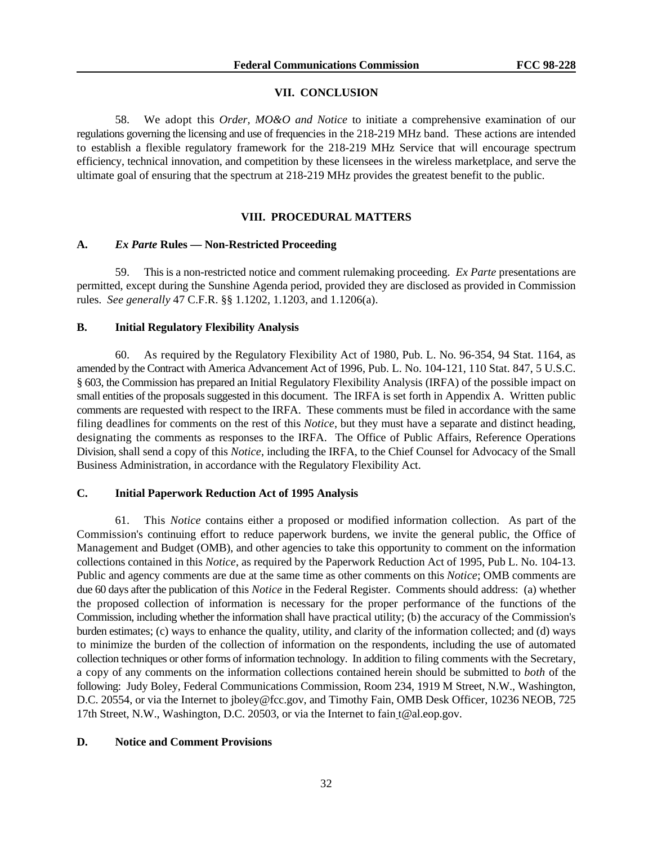## **VII. CONCLUSION**

58. We adopt this *Order, MO&O and Notice* to initiate a comprehensive examination of our regulations governing the licensing and use of frequencies in the 218-219 MHz band. These actions are intended to establish a flexible regulatory framework for the 218-219 MHz Service that will encourage spectrum efficiency, technical innovation, and competition by these licensees in the wireless marketplace, and serve the ultimate goal of ensuring that the spectrum at 218-219 MHz provides the greatest benefit to the public.

## **VIII. PROCEDURAL MATTERS**

## **A.** *Ex Parte* **Rules — Non-Restricted Proceeding**

59. This is a non-restricted notice and comment rulemaking proceeding. *Ex Parte* presentations are permitted, except during the Sunshine Agenda period, provided they are disclosed as provided in Commission rules. *See generally* 47 C.F.R. §§ 1.1202, 1.1203, and 1.1206(a).

## **B. Initial Regulatory Flexibility Analysis**

60. As required by the Regulatory Flexibility Act of 1980, Pub. L. No. 96-354, 94 Stat. 1164, as amended by the Contract with America Advancement Act of 1996, Pub. L. No. 104-121, 110 Stat. 847, 5 U.S.C. § 603, the Commission has prepared an Initial Regulatory Flexibility Analysis (IRFA) of the possible impact on small entities of the proposals suggested in this document. The IRFA is set forth in Appendix A. Written public comments are requested with respect to the IRFA. These comments must be filed in accordance with the same filing deadlines for comments on the rest of this *Notice*, but they must have a separate and distinct heading, designating the comments as responses to the IRFA. The Office of Public Affairs, Reference Operations Division, shall send a copy of this *Notice*, including the IRFA, to the Chief Counsel for Advocacy of the Small Business Administration, in accordance with the Regulatory Flexibility Act.

## **C. Initial Paperwork Reduction Act of 1995 Analysis**

61. This *Notice* contains either a proposed or modified information collection. As part of the Commission's continuing effort to reduce paperwork burdens, we invite the general public, the Office of Management and Budget (OMB), and other agencies to take this opportunity to comment on the information collections contained in this *Notice*, as required by the Paperwork Reduction Act of 1995, Pub L. No. 104-13. Public and agency comments are due at the same time as other comments on this *Notice*; OMB comments are due 60 days after the publication of this *Notice* in the Federal Register. Comments should address: (a) whether the proposed collection of information is necessary for the proper performance of the functions of the Commission, including whether the information shall have practical utility; (b) the accuracy of the Commission's burden estimates; (c) ways to enhance the quality, utility, and clarity of the information collected; and (d) ways to minimize the burden of the collection of information on the respondents, including the use of automated collection techniques or other forms of information technology. In addition to filing comments with the Secretary, a copy of any comments on the information collections contained herein should be submitted to *both* of the following: Judy Boley, Federal Communications Commission, Room 234, 1919 M Street, N.W., Washington, D.C. 20554, or via the Internet to jboley@fcc.gov, and Timothy Fain, OMB Desk Officer, 10236 NEOB, 725 17th Street, N.W., Washington, D.C. 20503, or via the Internet to fain t@al.eop.gov.

## **D. Notice and Comment Provisions**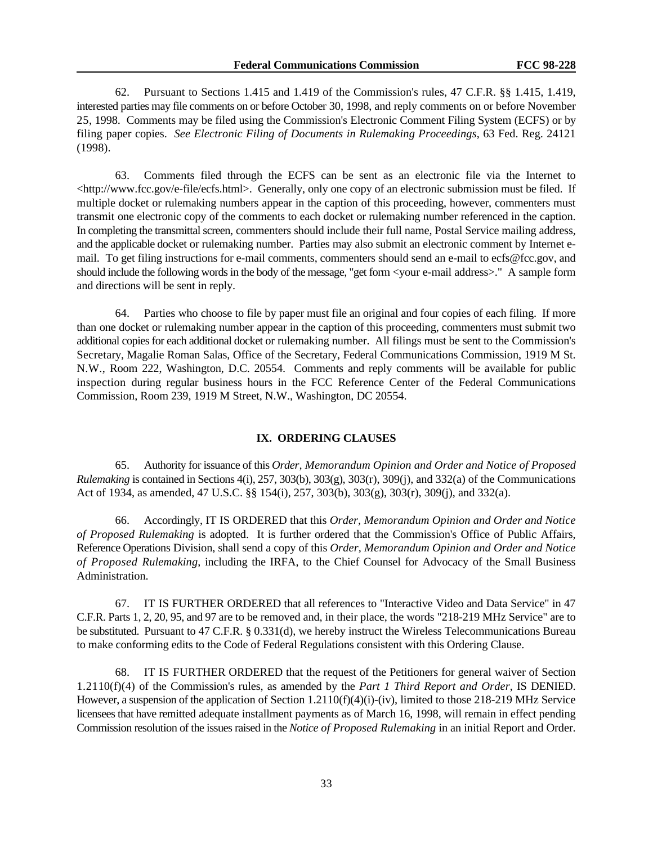62. Pursuant to Sections 1.415 and 1.419 of the Commission's rules, 47 C.F.R. §§ 1.415, 1.419, interested parties may file comments on or before October 30, 1998, and reply comments on or before November 25, 1998. Comments may be filed using the Commission's Electronic Comment Filing System (ECFS) or by filing paper copies. *See Electronic Filing of Documents in Rulemaking Proceedings*, 63 Fed. Reg. 24121 (1998).

63. Comments filed through the ECFS can be sent as an electronic file via the Internet to  $\langle \text{http://www.fcc.gov/e-file/ecfs.html}\rangle$ . Generally, only one copy of an electronic submission must be filed. If multiple docket or rulemaking numbers appear in the caption of this proceeding, however, commenters must transmit one electronic copy of the comments to each docket or rulemaking number referenced in the caption. In completing the transmittal screen, commenters should include their full name, Postal Service mailing address, and the applicable docket or rulemaking number. Parties may also submit an electronic comment by Internet email. To get filing instructions for e-mail comments, commenters should send an e-mail to ecfs@fcc.gov, and should include the following words in the body of the message, "get form <your e-mail address>." A sample form and directions will be sent in reply.

64. Parties who choose to file by paper must file an original and four copies of each filing. If more than one docket or rulemaking number appear in the caption of this proceeding, commenters must submit two additional copies for each additional docket or rulemaking number. All filings must be sent to the Commission's Secretary, Magalie Roman Salas, Office of the Secretary, Federal Communications Commission, 1919 M St. N.W., Room 222, Washington, D.C. 20554. Comments and reply comments will be available for public inspection during regular business hours in the FCC Reference Center of the Federal Communications Commission, Room 239, 1919 M Street, N.W., Washington, DC 20554.

#### **IX. ORDERING CLAUSES**

65. Authority for issuance of this *Order, Memorandum Opinion and Order and Notice of Proposed Rulemaking* is contained in Sections 4(i), 257, 303(b), 303(g), 303(r), 309(j), and 332(a) of the Communications Act of 1934, as amended, 47 U.S.C. §§ 154(i), 257, 303(b), 303(g), 303(r), 309(j), and 332(a).

66. Accordingly, IT IS ORDERED that this *Order, Memorandum Opinion and Order and Notice of Proposed Rulemaking* is adopted. It is further ordered that the Commission's Office of Public Affairs, Reference Operations Division, shall send a copy of this *Order, Memorandum Opinion and Order and Notice of Proposed Rulemaking*, including the IRFA, to the Chief Counsel for Advocacy of the Small Business Administration.

67. IT IS FURTHER ORDERED that all references to "Interactive Video and Data Service" in 47 C.F.R. Parts 1, 2, 20, 95, and 97 are to be removed and, in their place, the words "218-219 MHz Service" are to be substituted. Pursuant to 47 C.F.R. § 0.331(d), we hereby instruct the Wireless Telecommunications Bureau to make conforming edits to the Code of Federal Regulations consistent with this Ordering Clause.

68. IT IS FURTHER ORDERED that the request of the Petitioners for general waiver of Section 1.2110(f)(4) of the Commission's rules, as amended by the *Part 1 Third Report and Order*, IS DENIED. However, a suspension of the application of Section 1.2110(f)(4)(i)-(iv), limited to those 218-219 MHz Service licensees that have remitted adequate installment payments as of March 16, 1998, will remain in effect pending Commission resolution of the issues raised in the *Notice of Proposed Rulemaking* in an initial Report and Order.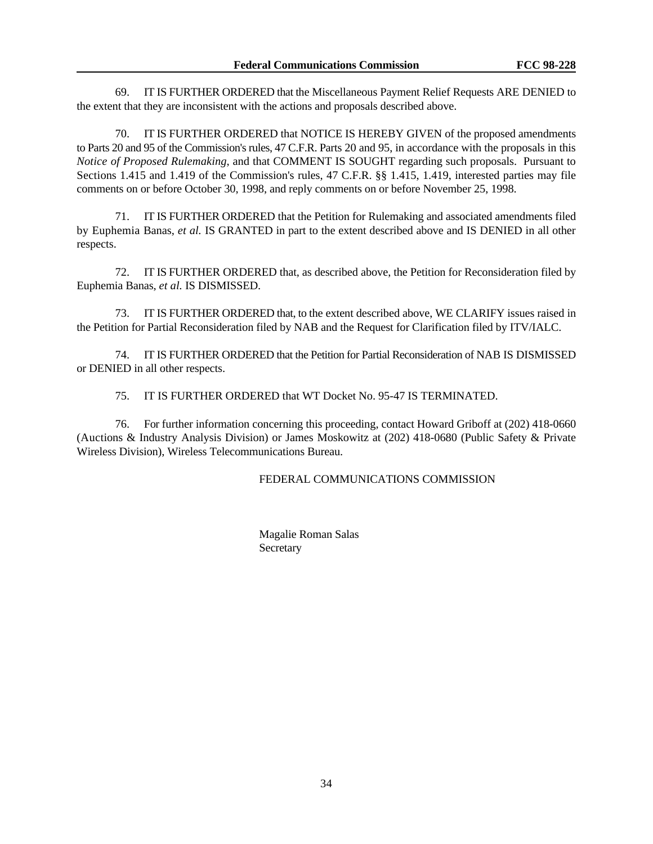69. IT IS FURTHER ORDERED that the Miscellaneous Payment Relief Requests ARE DENIED to the extent that they are inconsistent with the actions and proposals described above.

70. IT IS FURTHER ORDERED that NOTICE IS HEREBY GIVEN of the proposed amendments to Parts 20 and 95 of the Commission's rules, 47 C.F.R. Parts 20 and 95, in accordance with the proposals in this *Notice of Proposed Rulemaking*, and that COMMENT IS SOUGHT regarding such proposals. Pursuant to Sections 1.415 and 1.419 of the Commission's rules, 47 C.F.R. §§ 1.415, 1.419, interested parties may file comments on or before October 30, 1998, and reply comments on or before November 25, 1998.

71. IT IS FURTHER ORDERED that the Petition for Rulemaking and associated amendments filed by Euphemia Banas, *et al.* IS GRANTED in part to the extent described above and IS DENIED in all other respects.

72. IT IS FURTHER ORDERED that, as described above, the Petition for Reconsideration filed by Euphemia Banas, *et al.* IS DISMISSED.

73. IT IS FURTHER ORDERED that, to the extent described above, WE CLARIFY issues raised in the Petition for Partial Reconsideration filed by NAB and the Request for Clarification filed by ITV/IALC.

74. IT IS FURTHER ORDERED that the Petition for Partial Reconsideration of NAB IS DISMISSED or DENIED in all other respects.

75. IT IS FURTHER ORDERED that WT Docket No. 95-47 IS TERMINATED.

76. For further information concerning this proceeding, contact Howard Griboff at (202) 418-0660 (Auctions & Industry Analysis Division) or James Moskowitz at (202) 418-0680 (Public Safety & Private Wireless Division), Wireless Telecommunications Bureau.

## FEDERAL COMMUNICATIONS COMMISSION

Magalie Roman Salas **Secretary**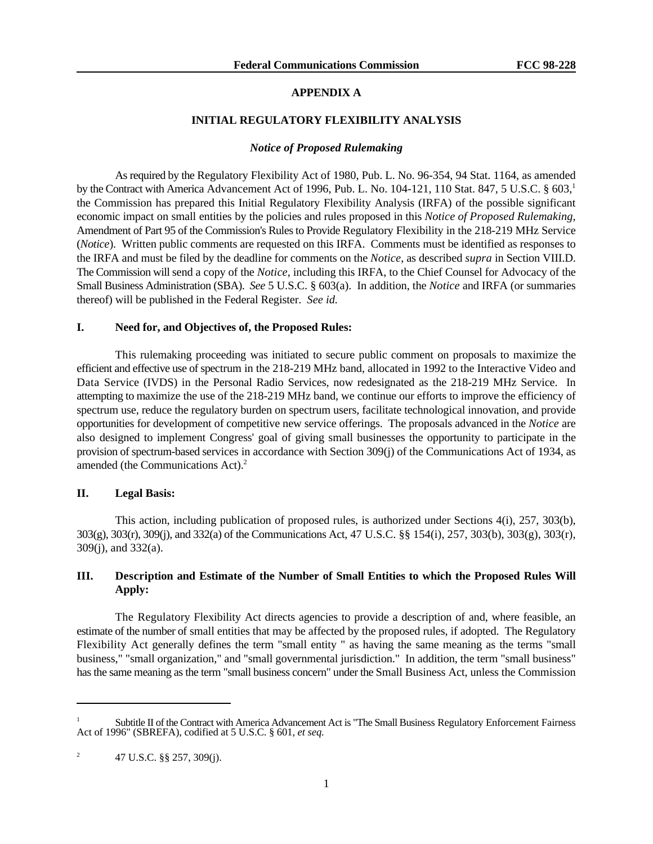#### **APPENDIX A**

### **INITIAL REGULATORY FLEXIBILITY ANALYSIS**

#### *Notice of Proposed Rulemaking*

As required by the Regulatory Flexibility Act of 1980, Pub. L. No. 96-354, 94 Stat. 1164, as amended by the Contract with America Advancement Act of 1996, Pub. L. No. 104-121, 110 Stat. 847, 5 U.S.C. § 603,<sup>1</sup> the Commission has prepared this Initial Regulatory Flexibility Analysis (IRFA) of the possible significant economic impact on small entities by the policies and rules proposed in this *Notice of Proposed Rulemaking*, Amendment of Part 95 of the Commission's Rules to Provide Regulatory Flexibility in the 218-219 MHz Service (*Notice*). Written public comments are requested on this IRFA. Comments must be identified as responses to the IRFA and must be filed by the deadline for comments on the *Notice*, as described *supra* in Section VIII.D. The Commission will send a copy of the *Notice*, including this IRFA, to the Chief Counsel for Advocacy of the Small Business Administration (SBA). *See* 5 U.S.C. § 603(a). In addition, the *Notice* and IRFA (or summaries thereof) will be published in the Federal Register. *See id.*

#### **I. Need for, and Objectives of, the Proposed Rules:**

This rulemaking proceeding was initiated to secure public comment on proposals to maximize the efficient and effective use of spectrum in the 218-219 MHz band, allocated in 1992 to the Interactive Video and Data Service (IVDS) in the Personal Radio Services, now redesignated as the 218-219 MHz Service. In attempting to maximize the use of the 218-219 MHz band, we continue our efforts to improve the efficiency of spectrum use, reduce the regulatory burden on spectrum users, facilitate technological innovation, and provide opportunities for development of competitive new service offerings. The proposals advanced in the *Notice* are also designed to implement Congress' goal of giving small businesses the opportunity to participate in the provision of spectrum-based services in accordance with Section 309(j) of the Communications Act of 1934, as amended (the Communications Act).<sup>2</sup>

# **II. Legal Basis:**

This action, including publication of proposed rules, is authorized under Sections 4(i), 257, 303(b), 303(g), 303(r), 309(j), and 332(a) of the Communications Act, 47 U.S.C. §§ 154(i), 257, 303(b), 303(g), 303(r), 309(j), and 332(a).

# **III. Description and Estimate of the Number of Small Entities to which the Proposed Rules Will Apply:**

The Regulatory Flexibility Act directs agencies to provide a description of and, where feasible, an estimate of the number of small entities that may be affected by the proposed rules, if adopted. The Regulatory Flexibility Act generally defines the term "small entity " as having the same meaning as the terms "small business," "small organization," and "small governmental jurisdiction." In addition, the term "small business" has the same meaning as the term "small business concern" under the Small Business Act, unless the Commission

Subtitle II of the Contract with America Advancement Act is "The Small Business Regulatory Enforcement Fairness <sup>1</sup> Act of 1996" (SBREFA), codified at 5 U.S.C. § 601, *et seq.*

<sup>&</sup>lt;sup>2</sup> 47 U.S.C. §§ 257, 309(j).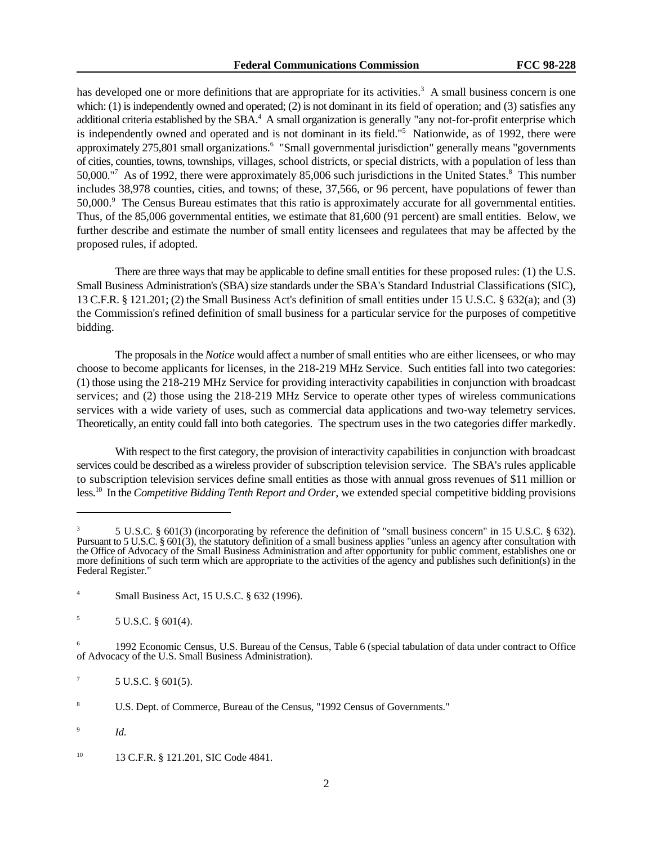has developed one or more definitions that are appropriate for its activities.<sup>3</sup> A small business concern is one which: (1) is independently owned and operated; (2) is not dominant in its field of operation; and (3) satisfies any additional criteria established by the  $SBA$ <sup>4</sup>. A small organization is generally "any not-for-profit enterprise which is independently owned and operated and is not dominant in its field."<sup>5</sup> Nationwide, as of 1992, there were approximately 275,801 small organizations.<sup>6</sup> "Small governmental jurisdiction" generally means "governments" of cities, counties, towns, townships, villages, school districts, or special districts, with a population of less than 50,000."<sup>7</sup> As of 1992, there were approximately 85,006 such jurisdictions in the United States.<sup>8</sup> This number includes 38,978 counties, cities, and towns; of these, 37,566, or 96 percent, have populations of fewer than 50,000.<sup>9</sup> The Census Bureau estimates that this ratio is approximately accurate for all governmental entities. Thus, of the 85,006 governmental entities, we estimate that 81,600 (91 percent) are small entities. Below, we further describe and estimate the number of small entity licensees and regulatees that may be affected by the proposed rules, if adopted.

There are three ways that may be applicable to define small entities for these proposed rules: (1) the U.S. Small Business Administration's (SBA) size standards under the SBA's Standard Industrial Classifications (SIC), 13 C.F.R. § 121.201; (2) the Small Business Act's definition of small entities under 15 U.S.C. § 632(a); and (3) the Commission's refined definition of small business for a particular service for the purposes of competitive bidding.

The proposals in the *Notice* would affect a number of small entities who are either licensees, or who may choose to become applicants for licenses, in the 218-219 MHz Service. Such entities fall into two categories: (1) those using the 218-219 MHz Service for providing interactivity capabilities in conjunction with broadcast services; and (2) those using the 218-219 MHz Service to operate other types of wireless communications services with a wide variety of uses, such as commercial data applications and two-way telemetry services. Theoretically, an entity could fall into both categories. The spectrum uses in the two categories differ markedly.

With respect to the first category, the provision of interactivity capabilities in conjunction with broadcast services could be described as a wireless provider of subscription television service. The SBA's rules applicable to subscription television services define small entities as those with annual gross revenues of \$11 million or less.<sup>10</sup> In the *Competitive Bidding Tenth Report and Order*, we extended special competitive bidding provisions

<sup>5</sup> U.S.C. § 601(3) (incorporating by reference the definition of "small business concern" in 15 U.S.C. § 632). 3 Pursuant to 5 U.S.C. § 601(3), the statutory definition of a small business applies "unless an agency after consultation with the Office of Advocacy of the Small Business Administration and after opportunity for public comment, establishes one or more definitions of such term which are appropriate to the activities of the agency and publishes such definition(s) in the Federal Register."

<sup>&</sup>lt;sup>4</sup> Small Business Act, 15 U.S.C. § 632 (1996).

 $5 \text{ U.S.C. } \S 601(4).$ 

<sup>&</sup>lt;sup>6</sup> 1992 Economic Census, U.S. Bureau of the Census, Table 6 (special tabulation of data under contract to Office of Advocacy of the U.S. Small Business Administration).

 $^7$  5 U.S.C. § 601(5).

<sup>&</sup>lt;sup>8</sup> U.S. Dept. of Commerce, Bureau of the Census, "1992 Census of Governments."

<sup>&</sup>lt;sup>9</sup> *Id.* 

<sup>&</sup>lt;sup>10</sup> 13 C.F.R. § 121.201, SIC Code 4841.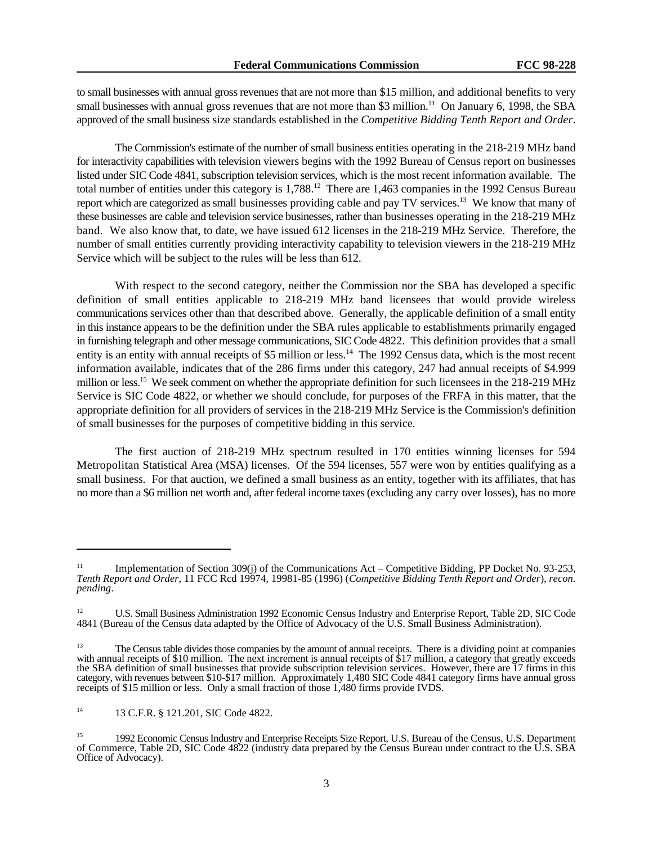to small businesses with annual gross revenues that are not more than \$15 million, and additional benefits to very small businesses with annual gross revenues that are not more than \$3 million.<sup>11</sup> On January 6, 1998, the SBA approved of the small business size standards established in the *Competitive Bidding Tenth Report and Order*.

The Commission's estimate of the number of small business entities operating in the 218-219 MHz band for interactivity capabilities with television viewers begins with the 1992 Bureau of Census report on businesses listed under SIC Code 4841, subscription television services, which is the most recent information available. The total number of entities under this category is  $1,788$ <sup>12</sup> There are 1,463 companies in the 1992 Census Bureau report which are categorized as small businesses providing cable and pay TV services.<sup>13</sup> We know that many of these businesses are cable and television service businesses, rather than businesses operating in the 218-219 MHz band. We also know that, to date, we have issued 612 licenses in the 218-219 MHz Service. Therefore, the number of small entities currently providing interactivity capability to television viewers in the 218-219 MHz Service which will be subject to the rules will be less than 612.

With respect to the second category, neither the Commission nor the SBA has developed a specific definition of small entities applicable to 218-219 MHz band licensees that would provide wireless communications services other than that described above. Generally, the applicable definition of a small entity in this instance appears to be the definition under the SBA rules applicable to establishments primarily engaged in furnishing telegraph and other message communications, SIC Code 4822. This definition provides that a small entity is an entity with annual receipts of \$5 million or less.<sup>14</sup> The 1992 Census data, which is the most recent information available, indicates that of the 286 firms under this category, 247 had annual receipts of \$4.999 million or less.<sup>15</sup> We seek comment on whether the appropriate definition for such licensees in the 218-219 MHz Service is SIC Code 4822, or whether we should conclude, for purposes of the FRFA in this matter, that the appropriate definition for all providers of services in the 218-219 MHz Service is the Commission's definition of small businesses for the purposes of competitive bidding in this service.

The first auction of 218-219 MHz spectrum resulted in 170 entities winning licenses for 594 Metropolitan Statistical Area (MSA) licenses. Of the 594 licenses, 557 were won by entities qualifying as a small business. For that auction, we defined a small business as an entity, together with its affiliates, that has no more than a \$6 million net worth and, after federal income taxes (excluding any carry over losses), has no more

<sup>&</sup>lt;sup>11</sup> Implementation of Section 309(j) of the Communications Act – Competitive Bidding, PP Docket No. 93-253, *Tenth Report and Order*, 11 FCC Rcd 19974, 19981-85 (1996) (*Competitive Bidding Tenth Report and Order*), *recon. pending*.

<sup>&</sup>lt;sup>12</sup> U.S. Small Business Administration 1992 Economic Census Industry and Enterprise Report, Table 2D, SIC Code 4841 (Bureau of the Census data adapted by the Office of Advocacy of the U.S. Small Business Administration).

<sup>&</sup>lt;sup>13</sup> The Census table divides those companies by the amount of annual receipts. There is a dividing point at companies with annual receipts of \$10 million. The next increment is annual receipts of \$17 million, a category that greatly exceeds the SBA definition of small businesses that provide subscription television services. However, there are 17 firms in this category, with revenues between \$10-\$17 million. Approximately 1,480 SIC Code 4841 category firms have annual gross receipts of \$15 million or less. Only a small fraction of those 1,480 firms provide IVDS.

<sup>&</sup>lt;sup>14</sup> 13 C.F.R. § 121.201, SIC Code 4822.

<sup>&</sup>lt;sup>15</sup> 1992 Economic Census Industry and Enterprise Receipts Size Report, U.S. Bureau of the Census, U.S. Department of Commerce, Table 2D, SIC Code 4822 (industry data prepared by the Census Bureau under contract to the U.S. SBA Office of Advocacy).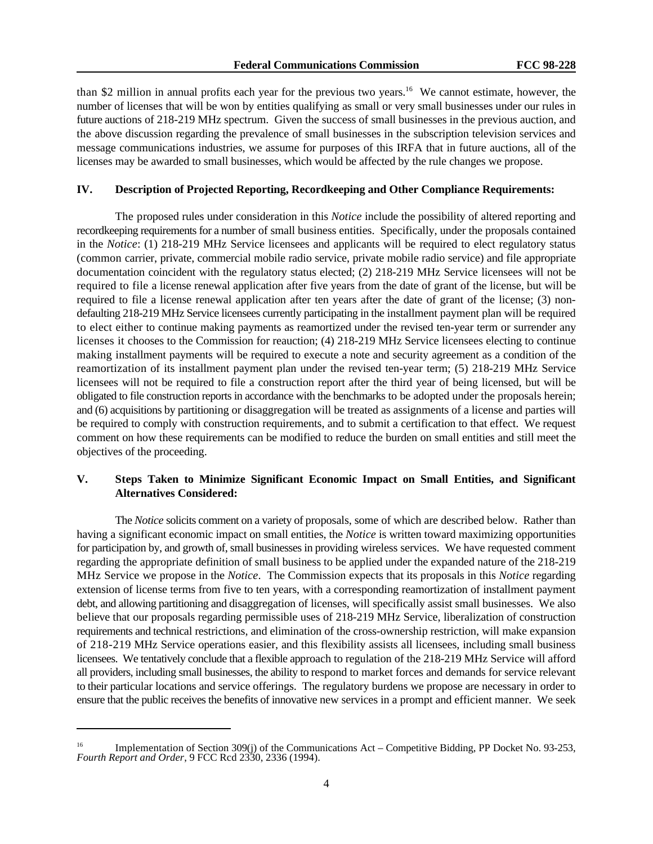than \$2 million in annual profits each year for the previous two years.<sup>16</sup> We cannot estimate, however, the number of licenses that will be won by entities qualifying as small or very small businesses under our rules in future auctions of 218-219 MHz spectrum. Given the success of small businesses in the previous auction, and the above discussion regarding the prevalence of small businesses in the subscription television services and message communications industries, we assume for purposes of this IRFA that in future auctions, all of the licenses may be awarded to small businesses, which would be affected by the rule changes we propose.

## **IV. Description of Projected Reporting, Recordkeeping and Other Compliance Requirements:**

The proposed rules under consideration in this *Notice* include the possibility of altered reporting and recordkeeping requirements for a number of small business entities. Specifically, under the proposals contained in the *Notice*: (1) 218-219 MHz Service licensees and applicants will be required to elect regulatory status (common carrier, private, commercial mobile radio service, private mobile radio service) and file appropriate documentation coincident with the regulatory status elected; (2) 218-219 MHz Service licensees will not be required to file a license renewal application after five years from the date of grant of the license, but will be required to file a license renewal application after ten years after the date of grant of the license; (3) nondefaulting 218-219 MHz Service licensees currently participating in the installment payment plan will be required to elect either to continue making payments as reamortized under the revised ten-year term or surrender any licenses it chooses to the Commission for reauction; (4) 218-219 MHz Service licensees electing to continue making installment payments will be required to execute a note and security agreement as a condition of the reamortization of its installment payment plan under the revised ten-year term; (5) 218-219 MHz Service licensees will not be required to file a construction report after the third year of being licensed, but will be obligated to file construction reports in accordance with the benchmarks to be adopted under the proposals herein; and (6) acquisitions by partitioning or disaggregation will be treated as assignments of a license and parties will be required to comply with construction requirements, and to submit a certification to that effect. We request comment on how these requirements can be modified to reduce the burden on small entities and still meet the objectives of the proceeding.

# **V. Steps Taken to Minimize Significant Economic Impact on Small Entities, and Significant Alternatives Considered:**

The *Notice* solicits comment on a variety of proposals, some of which are described below. Rather than having a significant economic impact on small entities, the *Notice* is written toward maximizing opportunities for participation by, and growth of, small businesses in providing wireless services. We have requested comment regarding the appropriate definition of small business to be applied under the expanded nature of the 218-219 MHz Service we propose in the *Notice*. The Commission expects that its proposals in this *Notice* regarding extension of license terms from five to ten years, with a corresponding reamortization of installment payment debt, and allowing partitioning and disaggregation of licenses, will specifically assist small businesses. We also believe that our proposals regarding permissible uses of 218-219 MHz Service, liberalization of construction requirements and technical restrictions, and elimination of the cross-ownership restriction, will make expansion of 218-219 MHz Service operations easier, and this flexibility assists all licensees, including small business licensees. We tentatively conclude that a flexible approach to regulation of the 218-219 MHz Service will afford all providers, including small businesses, the ability to respond to market forces and demands for service relevant to their particular locations and service offerings. The regulatory burdens we propose are necessary in order to ensure that the public receives the benefits of innovative new services in a prompt and efficient manner. We seek

<sup>&</sup>lt;sup>16</sup> Implementation of Section 309(j) of the Communications Act – Competitive Bidding, PP Docket No. 93-253, *Fourth Report and Order*, 9 FCC Rcd 2330, 2336 (1994).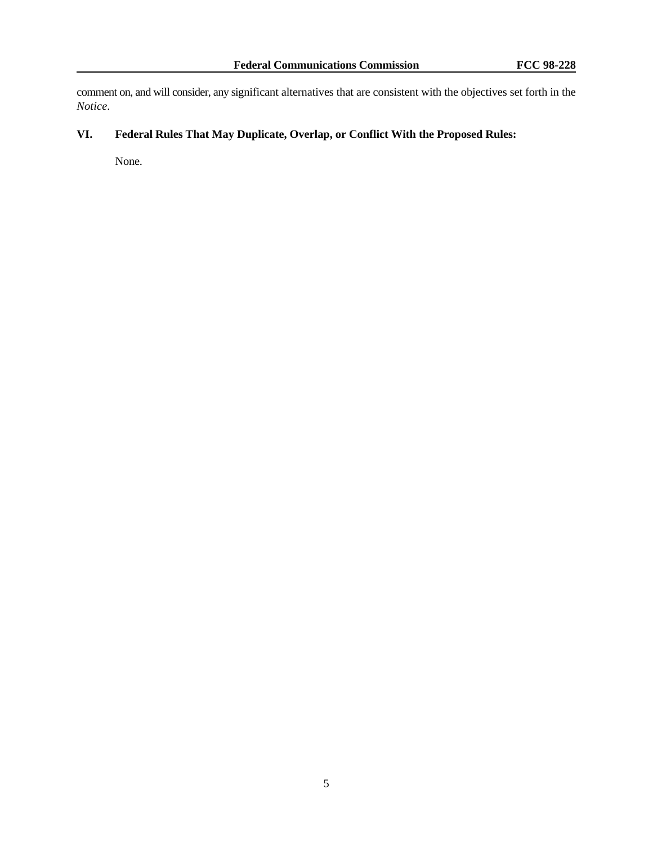comment on, and will consider, any significant alternatives that are consistent with the objectives set forth in the *Notice*.

# **VI. Federal Rules That May Duplicate, Overlap, or Conflict With the Proposed Rules:**

None.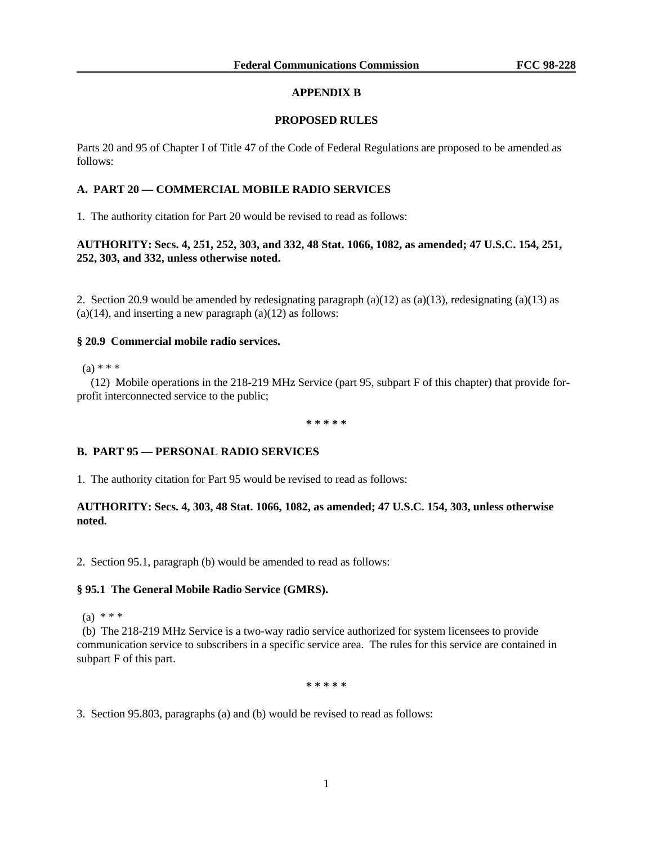# **APPENDIX B**

# **PROPOSED RULES**

Parts 20 and 95 of Chapter I of Title 47 of the Code of Federal Regulations are proposed to be amended as follows:

## **A. PART 20 — COMMERCIAL MOBILE RADIO SERVICES**

1. The authority citation for Part 20 would be revised to read as follows:

# **AUTHORITY: Secs. 4, 251, 252, 303, and 332, 48 Stat. 1066, 1082, as amended; 47 U.S.C. 154, 251, 252, 303, and 332, unless otherwise noted.**

2. Section 20.9 would be amended by redesignating paragraph (a)(12) as (a)(13), redesignating (a)(13) as  $(a)(14)$ , and inserting a new paragraph  $(a)(12)$  as follows:

# **§ 20.9 Commercial mobile radio services.**

 $(a) * * *$ 

 (12) Mobile operations in the 218-219 MHz Service (part 95, subpart F of this chapter) that provide forprofit interconnected service to the public;

**\* \* \* \* \***

# **B. PART 95 — PERSONAL RADIO SERVICES**

1. The authority citation for Part 95 would be revised to read as follows:

# **AUTHORITY: Secs. 4, 303, 48 Stat. 1066, 1082, as amended; 47 U.S.C. 154, 303, unless otherwise noted.**

2. Section 95.1, paragraph (b) would be amended to read as follows:

## **§ 95.1 The General Mobile Radio Service (GMRS).**

 $(a) * * *$ 

 (b) The 218-219 MHz Service is a two-way radio service authorized for system licensees to provide communication service to subscribers in a specific service area. The rules for this service are contained in subpart F of this part.

**\* \* \* \* \***

3. Section 95.803, paragraphs (a) and (b) would be revised to read as follows: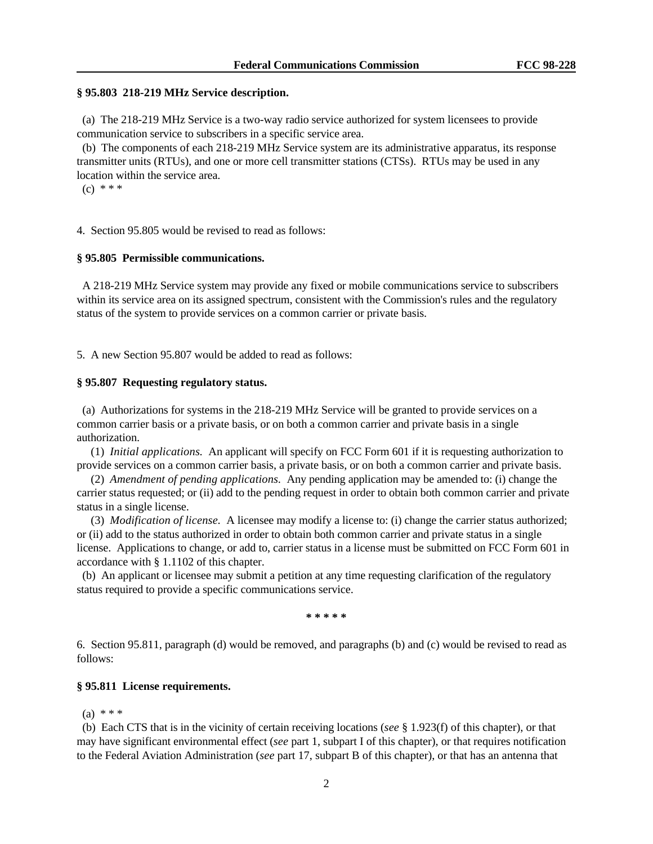#### **§ 95.803 218-219 MHz Service description.**

 (a) The 218-219 MHz Service is a two-way radio service authorized for system licensees to provide communication service to subscribers in a specific service area.

 (b) The components of each 218-219 MHz Service system are its administrative apparatus, its response transmitter units (RTUs), and one or more cell transmitter stations (CTSs). RTUs may be used in any location within the service area.

 $(c) * * * *$ 

4. Section 95.805 would be revised to read as follows:

#### **§ 95.805 Permissible communications.**

 A 218-219 MHz Service system may provide any fixed or mobile communications service to subscribers within its service area on its assigned spectrum, consistent with the Commission's rules and the regulatory status of the system to provide services on a common carrier or private basis.

5. A new Section 95.807 would be added to read as follows:

### **§ 95.807 Requesting regulatory status.**

 (a) Authorizations for systems in the 218-219 MHz Service will be granted to provide services on a common carrier basis or a private basis, or on both a common carrier and private basis in a single authorization.

 (1) *Initial applications.* An applicant will specify on FCC Form 601 if it is requesting authorization to provide services on a common carrier basis, a private basis, or on both a common carrier and private basis.

 (2) *Amendment of pending applications.* Any pending application may be amended to: (i) change the carrier status requested; or (ii) add to the pending request in order to obtain both common carrier and private status in a single license.

 (3) *Modification of license.* A licensee may modify a license to: (i) change the carrier status authorized; or (ii) add to the status authorized in order to obtain both common carrier and private status in a single license. Applications to change, or add to, carrier status in a license must be submitted on FCC Form 601 in accordance with § 1.1102 of this chapter.

 (b) An applicant or licensee may submit a petition at any time requesting clarification of the regulatory status required to provide a specific communications service.

**\* \* \* \* \***

6. Section 95.811, paragraph (d) would be removed, and paragraphs (b) and (c) would be revised to read as follows:

#### **§ 95.811 License requirements.**

 $(a) * * *$ 

 (b) Each CTS that is in the vicinity of certain receiving locations (*see* § 1.923(f) of this chapter), or that may have significant environmental effect (*see* part 1, subpart I of this chapter), or that requires notification to the Federal Aviation Administration (*see* part 17, subpart B of this chapter), or that has an antenna that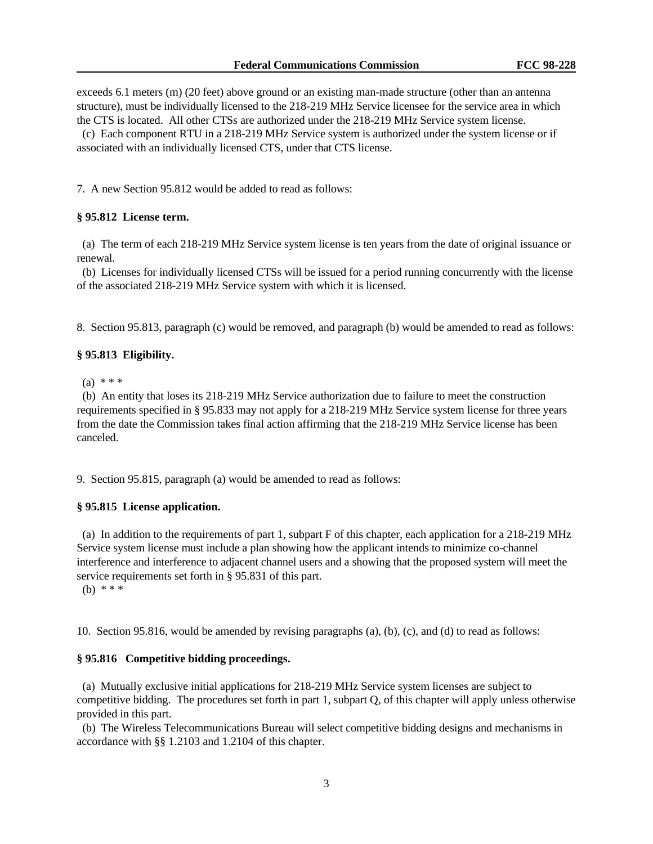exceeds 6.1 meters (m) (20 feet) above ground or an existing man-made structure (other than an antenna structure), must be individually licensed to the 218-219 MHz Service licensee for the service area in which the CTS is located. All other CTSs are authorized under the 218-219 MHz Service system license.

 (c) Each component RTU in a 218-219 MHz Service system is authorized under the system license or if associated with an individually licensed CTS, under that CTS license.

7. A new Section 95.812 would be added to read as follows:

### **§ 95.812 License term.**

 (a) The term of each 218-219 MHz Service system license is ten years from the date of original issuance or renewal.

 (b) Licenses for individually licensed CTSs will be issued for a period running concurrently with the license of the associated 218-219 MHz Service system with which it is licensed.

8. Section 95.813, paragraph (c) would be removed, and paragraph (b) would be amended to read as follows:

#### **§ 95.813 Eligibility.**

 $(a) * * *$ 

 (b) An entity that loses its 218-219 MHz Service authorization due to failure to meet the construction requirements specified in § 95.833 may not apply for a 218-219 MHz Service system license for three years from the date the Commission takes final action affirming that the 218-219 MHz Service license has been canceled.

9. Section 95.815, paragraph (a) would be amended to read as follows:

### **§ 95.815 License application.**

 (a) In addition to the requirements of part 1, subpart F of this chapter, each application for a 218-219 MHz Service system license must include a plan showing how the applicant intends to minimize co-channel interference and interference to adjacent channel users and a showing that the proposed system will meet the service requirements set forth in § 95.831 of this part.

(b) \* \* \*

10. Section 95.816, would be amended by revising paragraphs (a), (b), (c), and (d) to read as follows:

#### **§ 95.816 Competitive bidding proceedings.**

 (a) Mutually exclusive initial applications for 218-219 MHz Service system licenses are subject to competitive bidding. The procedures set forth in part 1, subpart Q, of this chapter will apply unless otherwise provided in this part.

 (b) The Wireless Telecommunications Bureau will select competitive bidding designs and mechanisms in accordance with §§ 1.2103 and 1.2104 of this chapter.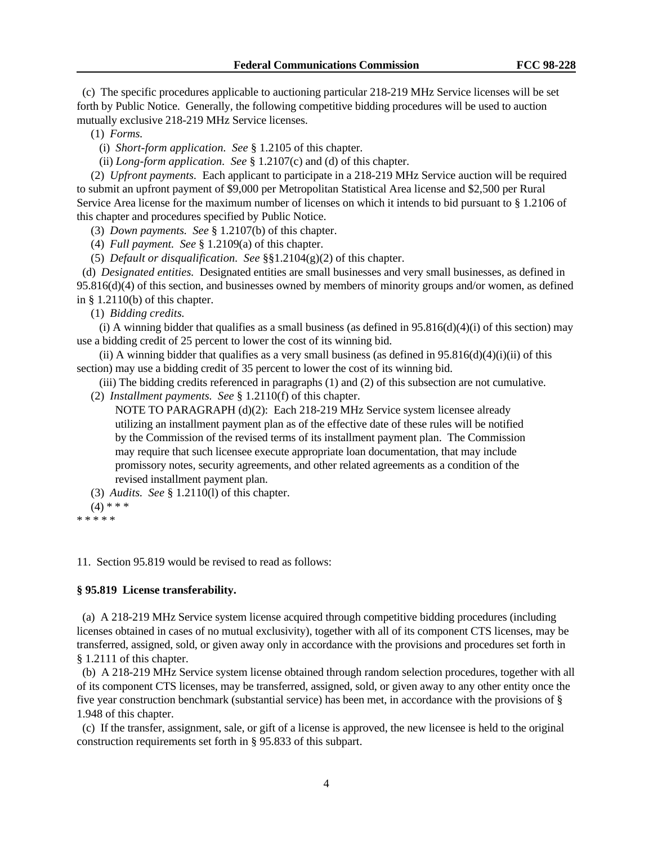(c) The specific procedures applicable to auctioning particular 218-219 MHz Service licenses will be set forth by Public Notice. Generally, the following competitive bidding procedures will be used to auction mutually exclusive 218-219 MHz Service licenses.

(1) *Forms.*

(i) *Short-form application. See* § 1.2105 of this chapter.

(ii) *Long-form application. See* § 1.2107(c) and (d) of this chapter.

 (2) *Upfront payments.* Each applicant to participate in a 218-219 MHz Service auction will be required to submit an upfront payment of \$9,000 per Metropolitan Statistical Area license and \$2,500 per Rural Service Area license for the maximum number of licenses on which it intends to bid pursuant to § 1.2106 of this chapter and procedures specified by Public Notice.

(3) *Down payments. See* § 1.2107(b) of this chapter.

(4) *Full payment. See* § 1.2109(a) of this chapter.

(5) *Default or disqualification. See* §§1.2104(g)(2) of this chapter.

 (d) *Designated entities.* Designated entities are small businesses and very small businesses, as defined in 95.816(d)(4) of this section, and businesses owned by members of minority groups and/or women, as defined in § 1.2110(b) of this chapter.

(1) *Bidding credits.*

(i) A winning bidder that qualifies as a small business (as defined in  $95.816(d)(4)(i)$  of this section) may use a bidding credit of 25 percent to lower the cost of its winning bid.

(ii) A winning bidder that qualifies as a very small business (as defined in  $95.816(d)(4)(i)(ii)$  of this section) may use a bidding credit of 35 percent to lower the cost of its winning bid.

 (iii) The bidding credits referenced in paragraphs (1) and (2) of this subsection are not cumulative. (2) *Installment payments. See* § 1.2110(f) of this chapter.

NOTE TO PARAGRAPH (d)(2): Each 218-219 MHz Service system licensee already utilizing an installment payment plan as of the effective date of these rules will be notified by the Commission of the revised terms of its installment payment plan. The Commission may require that such licensee execute appropriate loan documentation, that may include promissory notes, security agreements, and other related agreements as a condition of the revised installment payment plan.

(3) *Audits. See* § 1.2110(l) of this chapter.

 $(4)$  \* \* \* \* \* \* \* \*

11. Section 95.819 would be revised to read as follows:

#### **§ 95.819 License transferability.**

 (a) A 218-219 MHz Service system license acquired through competitive bidding procedures (including licenses obtained in cases of no mutual exclusivity), together with all of its component CTS licenses, may be transferred, assigned, sold, or given away only in accordance with the provisions and procedures set forth in § 1.2111 of this chapter.

 (b) A 218-219 MHz Service system license obtained through random selection procedures, together with all of its component CTS licenses, may be transferred, assigned, sold, or given away to any other entity once the five year construction benchmark (substantial service) has been met, in accordance with the provisions of § 1.948 of this chapter.

 (c) If the transfer, assignment, sale, or gift of a license is approved, the new licensee is held to the original construction requirements set forth in § 95.833 of this subpart.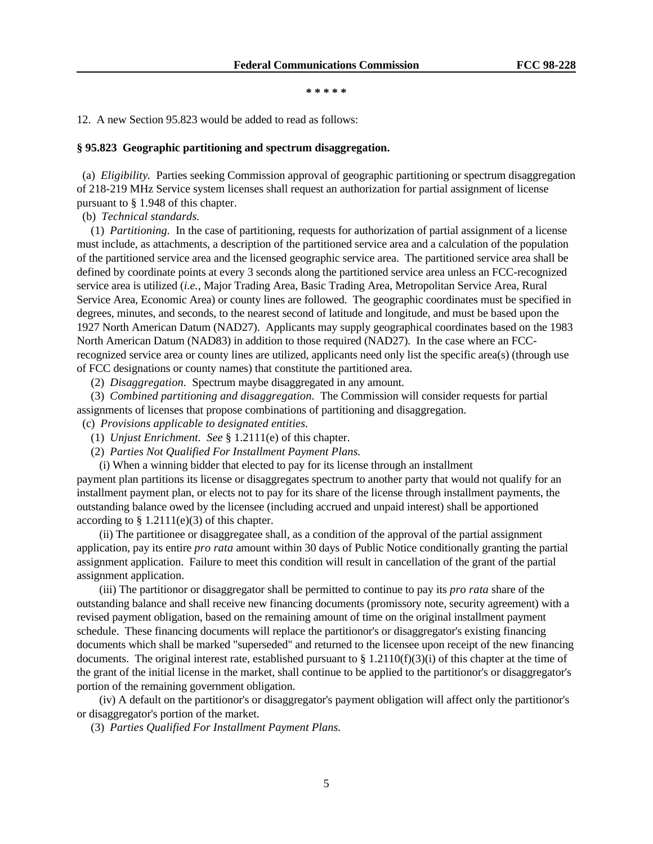**\* \* \* \* \***

12. A new Section 95.823 would be added to read as follows:

#### **§ 95.823 Geographic partitioning and spectrum disaggregation.**

 (a) *Eligibility.* Parties seeking Commission approval of geographic partitioning or spectrum disaggregation of 218-219 MHz Service system licenses shall request an authorization for partial assignment of license pursuant to § 1.948 of this chapter.

(b) *Technical standards.*

 (1) *Partitioning.* In the case of partitioning, requests for authorization of partial assignment of a license must include, as attachments, a description of the partitioned service area and a calculation of the population of the partitioned service area and the licensed geographic service area. The partitioned service area shall be defined by coordinate points at every 3 seconds along the partitioned service area unless an FCC-recognized service area is utilized (*i.e.*, Major Trading Area, Basic Trading Area, Metropolitan Service Area, Rural Service Area, Economic Area) or county lines are followed. The geographic coordinates must be specified in degrees, minutes, and seconds, to the nearest second of latitude and longitude, and must be based upon the 1927 North American Datum (NAD27). Applicants may supply geographical coordinates based on the 1983 North American Datum (NAD83) in addition to those required (NAD27). In the case where an FCCrecognized service area or county lines are utilized, applicants need only list the specific area(s) (through use of FCC designations or county names) that constitute the partitioned area.

(2) *Disaggregation.* Spectrum maybe disaggregated in any amount.

 (3) *Combined partitioning and disaggregation.* The Commission will consider requests for partial assignments of licenses that propose combinations of partitioning and disaggregation.

(c) *Provisions applicable to designated entities.*

- (1) *Unjust Enrichment. See* § 1.2111(e) of this chapter.
- (2) *Parties Not Qualified For Installment Payment Plans.*

(i) When a winning bidder that elected to pay for its license through an installment

payment plan partitions its license or disaggregates spectrum to another party that would not qualify for an installment payment plan, or elects not to pay for its share of the license through installment payments, the outstanding balance owed by the licensee (including accrued and unpaid interest) shall be apportioned according to  $\S 1.2111(e)(3)$  of this chapter.

 (ii) The partitionee or disaggregatee shall, as a condition of the approval of the partial assignment application, pay its entire *pro rata* amount within 30 days of Public Notice conditionally granting the partial assignment application. Failure to meet this condition will result in cancellation of the grant of the partial assignment application.

 (iii) The partitionor or disaggregator shall be permitted to continue to pay its *pro rata* share of the outstanding balance and shall receive new financing documents (promissory note, security agreement) with a revised payment obligation, based on the remaining amount of time on the original installment payment schedule. These financing documents will replace the partitionor's or disaggregator's existing financing documents which shall be marked "superseded" and returned to the licensee upon receipt of the new financing documents. The original interest rate, established pursuant to  $\S 1.2110(f)(3)(i)$  of this chapter at the time of the grant of the initial license in the market, shall continue to be applied to the partitionor's or disaggregator's portion of the remaining government obligation.

 (iv) A default on the partitionor's or disaggregator's payment obligation will affect only the partitionor's or disaggregator's portion of the market.

(3) *Parties Qualified For Installment Payment Plans.*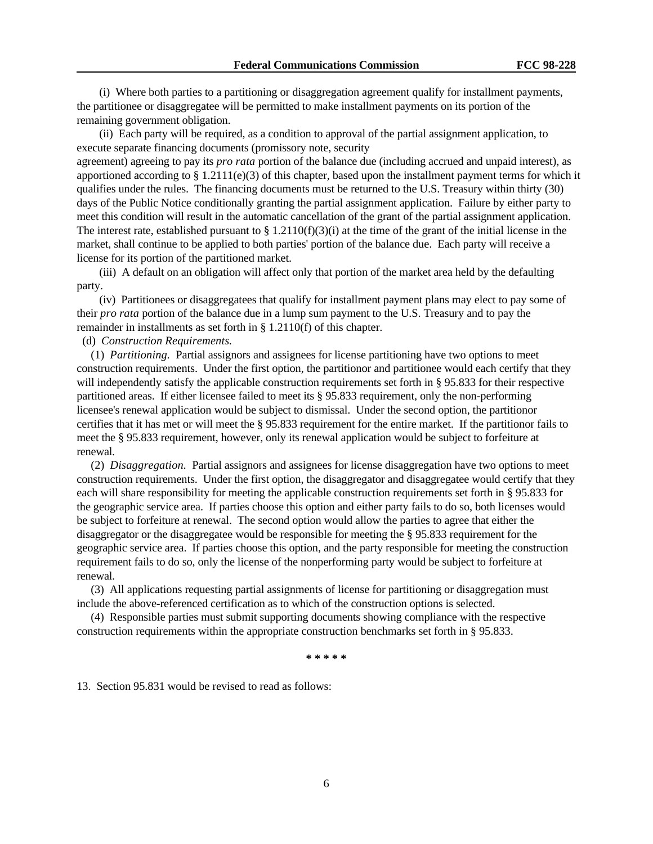(i) Where both parties to a partitioning or disaggregation agreement qualify for installment payments, the partitionee or disaggregatee will be permitted to make installment payments on its portion of the remaining government obligation.

 (ii) Each party will be required, as a condition to approval of the partial assignment application, to execute separate financing documents (promissory note, security

agreement) agreeing to pay its *pro rata* portion of the balance due (including accrued and unpaid interest), as apportioned according to § 1.2111(e)(3) of this chapter, based upon the installment payment terms for which it qualifies under the rules. The financing documents must be returned to the U.S. Treasury within thirty (30) days of the Public Notice conditionally granting the partial assignment application. Failure by either party to meet this condition will result in the automatic cancellation of the grant of the partial assignment application. The interest rate, established pursuant to  $\S 1.2110(f)(3)(i)$  at the time of the grant of the initial license in the market, shall continue to be applied to both parties' portion of the balance due. Each party will receive a license for its portion of the partitioned market.

 (iii) A default on an obligation will affect only that portion of the market area held by the defaulting party.

 (iv) Partitionees or disaggregatees that qualify for installment payment plans may elect to pay some of their *pro rata* portion of the balance due in a lump sum payment to the U.S. Treasury and to pay the remainder in installments as set forth in § 1.2110(f) of this chapter.

(d) *Construction Requirements.*

 (1) *Partitioning.* Partial assignors and assignees for license partitioning have two options to meet construction requirements. Under the first option, the partitionor and partitionee would each certify that they will independently satisfy the applicable construction requirements set forth in § 95.833 for their respective partitioned areas. If either licensee failed to meet its § 95.833 requirement, only the non-performing licensee's renewal application would be subject to dismissal. Under the second option, the partitionor certifies that it has met or will meet the § 95.833 requirement for the entire market. If the partitionor fails to meet the § 95.833 requirement, however, only its renewal application would be subject to forfeiture at renewal.

 (2) *Disaggregation.* Partial assignors and assignees for license disaggregation have two options to meet construction requirements. Under the first option, the disaggregator and disaggregatee would certify that they each will share responsibility for meeting the applicable construction requirements set forth in § 95.833 for the geographic service area. If parties choose this option and either party fails to do so, both licenses would be subject to forfeiture at renewal. The second option would allow the parties to agree that either the disaggregator or the disaggregatee would be responsible for meeting the § 95.833 requirement for the geographic service area. If parties choose this option, and the party responsible for meeting the construction requirement fails to do so, only the license of the nonperforming party would be subject to forfeiture at renewal.

 (3) All applications requesting partial assignments of license for partitioning or disaggregation must include the above-referenced certification as to which of the construction options is selected.

 (4) Responsible parties must submit supporting documents showing compliance with the respective construction requirements within the appropriate construction benchmarks set forth in § 95.833.

**\* \* \* \* \***

13. Section 95.831 would be revised to read as follows: